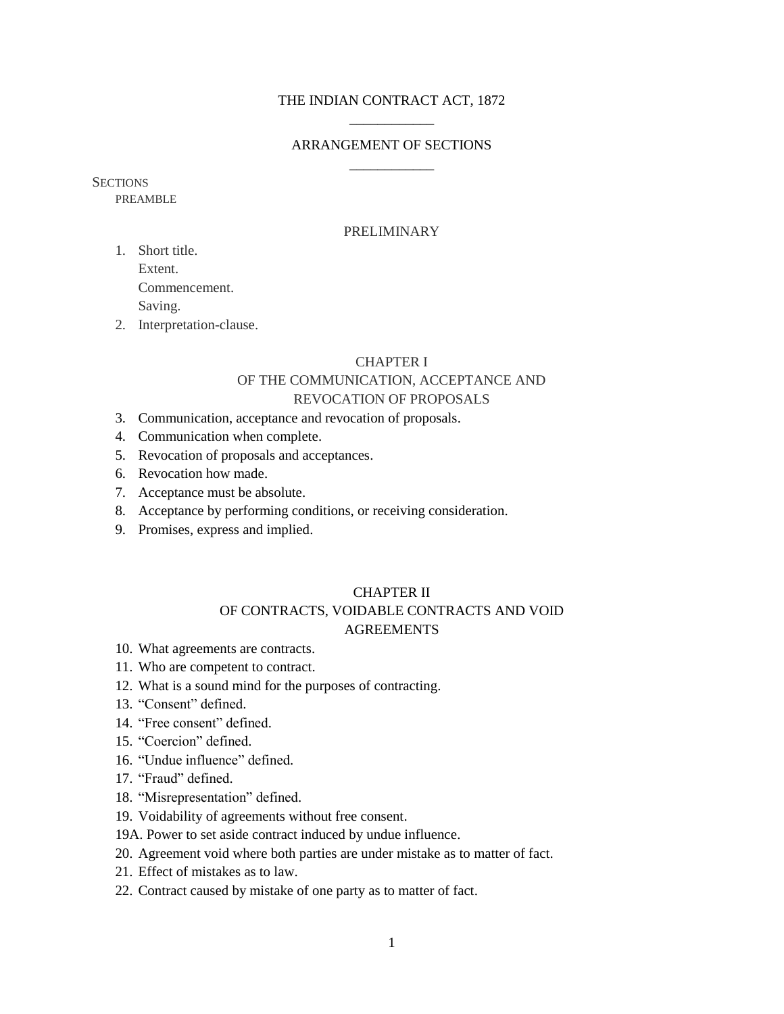## THE INDIAN CONTRACT ACT, 1872 \_\_\_\_\_\_\_\_\_\_\_\_

## ARRANGEMENT OF SECTIONS \_\_\_\_\_\_\_\_\_\_\_\_

**SECTIONS** PREAMBLE

## PRELIMINARY

- 1. Short title. Extent. Commencement. Saving.
- 2. Interpretation-clause.

## CHAPTER I

## OF THE COMMUNICATION, ACCEPTANCE AND

## REVOCATION OF PROPOSALS

- 3. Communication, acceptance and revocation of proposals.
- 4. Communication when complete.
- 5. Revocation of proposals and acceptances.
- 6. Revocation how made.
- 7. Acceptance must be absolute.
- 8. Acceptance by performing conditions, or receiving consideration.
- 9. Promises, express and implied.

## CHAPTER II

# OF CONTRACTS, VOIDABLE CONTRACTS AND VOID

## AGREEMENTS

- 10. What agreements are contracts.
- 11. Who are competent to contract.
- 12. What is a sound mind for the purposes of contracting.
- 13. "Consent" defined.
- 14. "Free consent" defined.
- 15. "Coercion" defined.
- 16. "Undue influence" defined.
- 17. "Fraud" defined.
- 18. "Misrepresentation" defined.
- 19. Voidability of agreements without free consent.
- 19A. Power to set aside contract induced by undue influence.
- 20. Agreement void where both parties are under mistake as to matter of fact.
- 21. Effect of mistakes as to law.
- 22. Contract caused by mistake of one party as to matter of fact.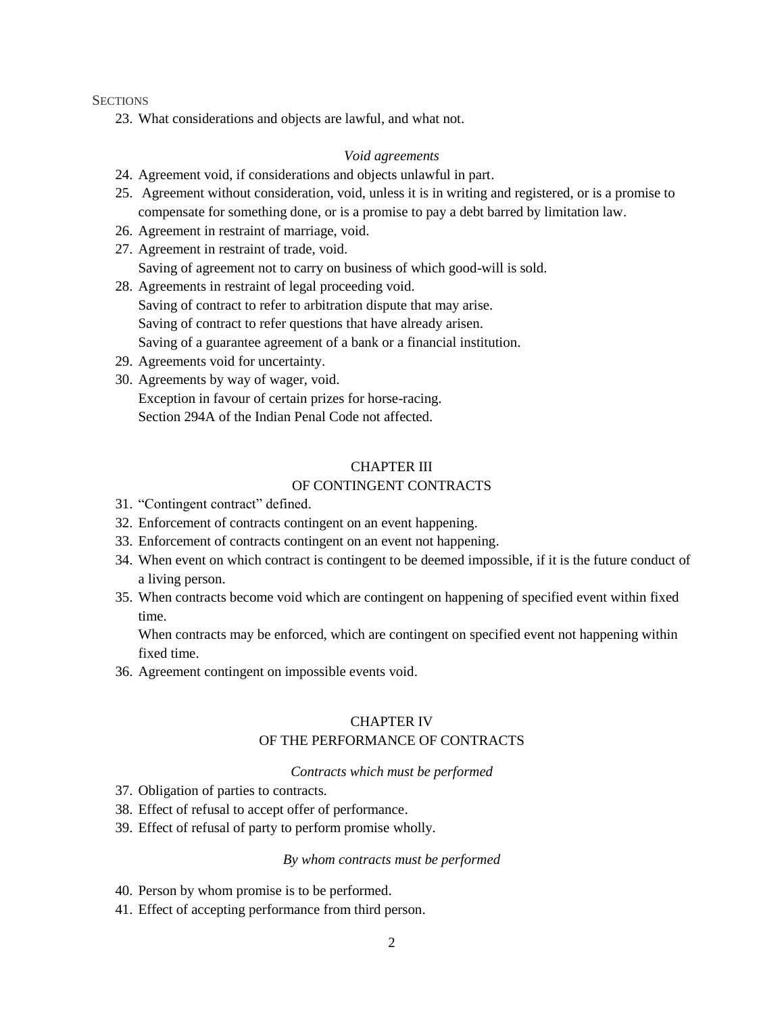**SECTIONS** 

23. What considerations and objects are lawful, and what not.

## *Void agreements*

- 24. Agreement void, if considerations and objects unlawful in part.
- 25. Agreement without consideration, void, unless it is in writing and registered, or is a promise to compensate for something done, or is a promise to pay a debt barred by limitation law.
- 26. Agreement in restraint of marriage, void.
- 27. Agreement in restraint of trade, void. Saving of agreement not to carry on business of which good-will is sold.
- 28. Agreements in restraint of legal proceeding void. Saving of contract to refer to arbitration dispute that may arise. Saving of contract to refer questions that have already arisen. Saving of a guarantee agreement of a bank or a financial institution.
- 29. Agreements void for uncertainty.
- 30. Agreements by way of wager, void.

Exception in favour of certain prizes for horse-racing. Section 294A of the Indian Penal Code not affected.

## CHAPTER III

## OF CONTINGENT CONTRACTS

- 31. "Contingent contract" defined.
- 32. Enforcement of contracts contingent on an event happening.
- 33. Enforcement of contracts contingent on an event not happening.
- 34. When event on which contract is contingent to be deemed impossible, if it is the future conduct of a living person.
- 35. When contracts become void which are contingent on happening of specified event within fixed time.

When contracts may be enforced, which are contingent on specified event not happening within fixed time.

36. Agreement contingent on impossible events void.

## CHAPTER IV OF THE PERFORMANCE OF CONTRACTS

### *Contracts which must be performed*

- 37. Obligation of parties to contracts.
- 38. Effect of refusal to accept offer of performance.
- 39. Effect of refusal of party to perform promise wholly.

## *By whom contracts must be performed*

- 40. Person by whom promise is to be performed.
- 41. Effect of accepting performance from third person.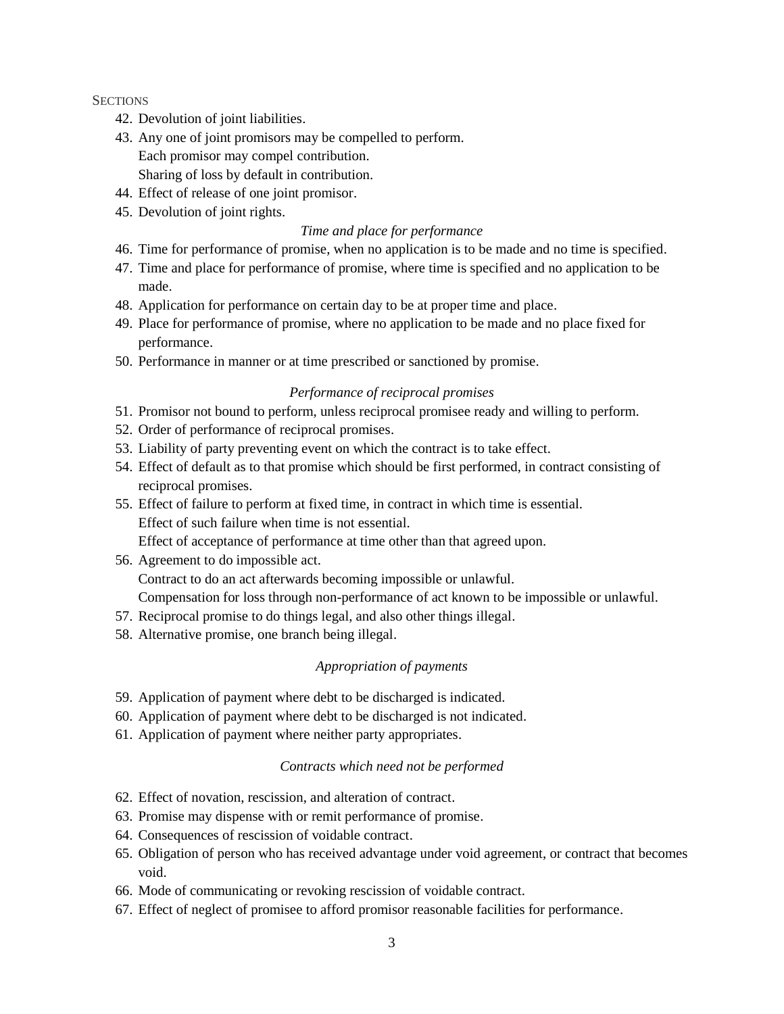## **SECTIONS**

- 42. Devolution of joint liabilities.
- 43. Any one of joint promisors may be compelled to perform. Each promisor may compel contribution. Sharing of loss by default in contribution.
- 44. Effect of release of one joint promisor.
- 45. Devolution of joint rights.

## *Time and place for performance*

- 46. Time for performance of promise, when no application is to be made and no time is specified.
- 47. Time and place for performance of promise, where time is specified and no application to be made.
- 48. Application for performance on certain day to be at proper time and place.
- 49. Place for performance of promise, where no application to be made and no place fixed for performance.
- 50. Performance in manner or at time prescribed or sanctioned by promise.

## *Performance of reciprocal promises*

- 51. Promisor not bound to perform, unless reciprocal promisee ready and willing to perform.
- 52. Order of performance of reciprocal promises.
- 53. Liability of party preventing event on which the contract is to take effect.
- 54. Effect of default as to that promise which should be first performed, in contract consisting of reciprocal promises.
- 55. Effect of failure to perform at fixed time, in contract in which time is essential. Effect of such failure when time is not essential.

Effect of acceptance of performance at time other than that agreed upon.

- 56. Agreement to do impossible act. Contract to do an act afterwards becoming impossible or unlawful. Compensation for loss through non-performance of act known to be impossible or unlawful.
- 57. Reciprocal promise to do things legal, and also other things illegal.
- 58. Alternative promise, one branch being illegal.

## *Appropriation of payments*

- 59. Application of payment where debt to be discharged is indicated.
- 60. Application of payment where debt to be discharged is not indicated.
- 61. Application of payment where neither party appropriates.

## *Contracts which need not be performed*

- 62. Effect of novation, rescission, and alteration of contract.
- 63. Promise may dispense with or remit performance of promise.
- 64. Consequences of rescission of voidable contract.
- 65. Obligation of person who has received advantage under void agreement, or contract that becomes void.
- 66. Mode of communicating or revoking rescission of voidable contract.
- 67. Effect of neglect of promisee to afford promisor reasonable facilities for performance.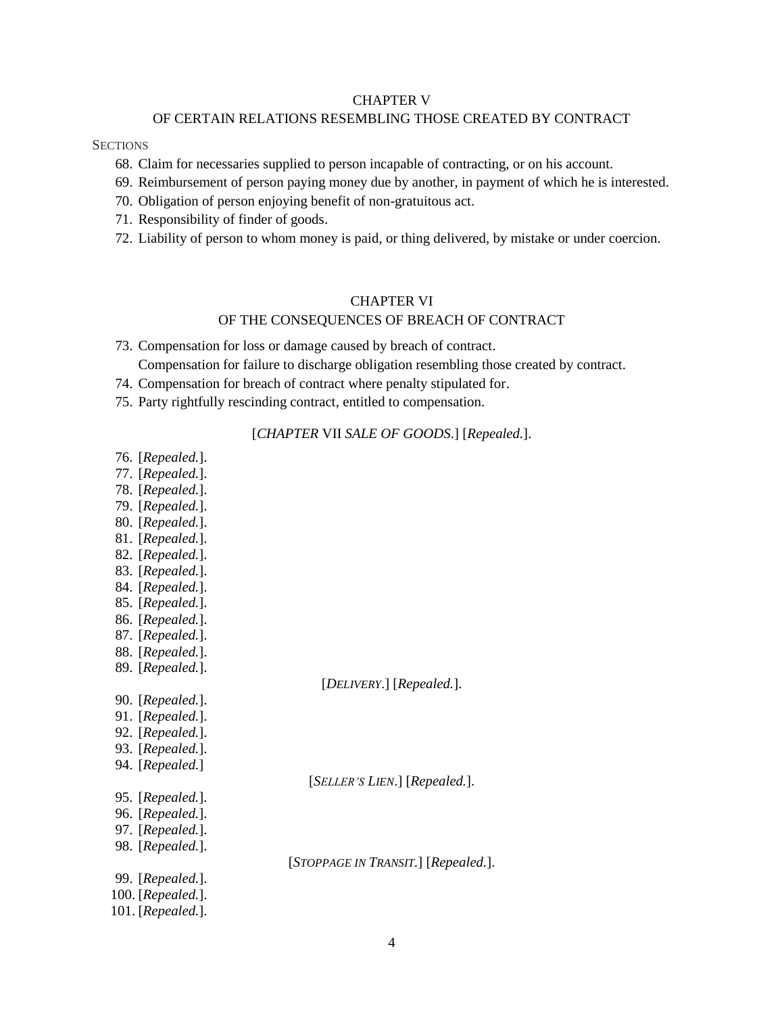## CHAPTER V

## OF CERTAIN RELATIONS RESEMBLING THOSE CREATED BY CONTRACT

## **SECTIONS**

- 68. Claim for necessaries supplied to person incapable of contracting, or on his account.
- 69. Reimbursement of person paying money due by another, in payment of which he is interested.
- 70. Obligation of person enjoying benefit of non-gratuitous act.
- 71. Responsibility of finder of goods.
- 72. Liability of person to whom money is paid, or thing delivered, by mistake or under coercion.

## CHAPTER VI

## OF THE CONSEQUENCES OF BREACH OF CONTRACT

- 73. Compensation for loss or damage caused by breach of contract. Compensation for failure to discharge obligation resembling those created by contract.
- 74. Compensation for breach of contract where penalty stipulated for.
- 75. Party rightfully rescinding contract, entitled to compensation.

## [*CHAPTER* VII *SALE OF GOODS*.] [*Repealed.*].

| 76. [Repealed.].  |                                     |
|-------------------|-------------------------------------|
| 77. [Repealed.].  |                                     |
| 78. [Repealed.].  |                                     |
| 79. [Repealed.].  |                                     |
| 80. [Repealed.].  |                                     |
| 81. [Repealed.].  |                                     |
| 82. [Repealed.].  |                                     |
| 83. [Repealed.].  |                                     |
| 84. [Repealed.].  |                                     |
| 85. [Repealed.].  |                                     |
| 86. [Repealed.].  |                                     |
| 87. [Repealed.].  |                                     |
| 88. [Repealed.].  |                                     |
| 89. [Repealed.].  |                                     |
|                   | [DELIVERY.] [Repealed.].            |
| 90. [Repealed.].  |                                     |
| 91. [Repealed.].  |                                     |
| 92. [Repealed.].  |                                     |
| 93. [Repealed.].  |                                     |
| 94. [Repealed.]   |                                     |
|                   | [SELLER'S LIEN.] [Repealed.].       |
| 95. [Repealed.].  |                                     |
| 96. [Repealed.].  |                                     |
| 97. [Repealed.].  |                                     |
| 98. [Repealed.].  |                                     |
|                   | [STOPPAGE IN TRANSIT.] [Repealed.]. |
| 99. [Repealed.].  |                                     |
| 100. [Repealed.]. |                                     |
| 101. [Repealed.]. |                                     |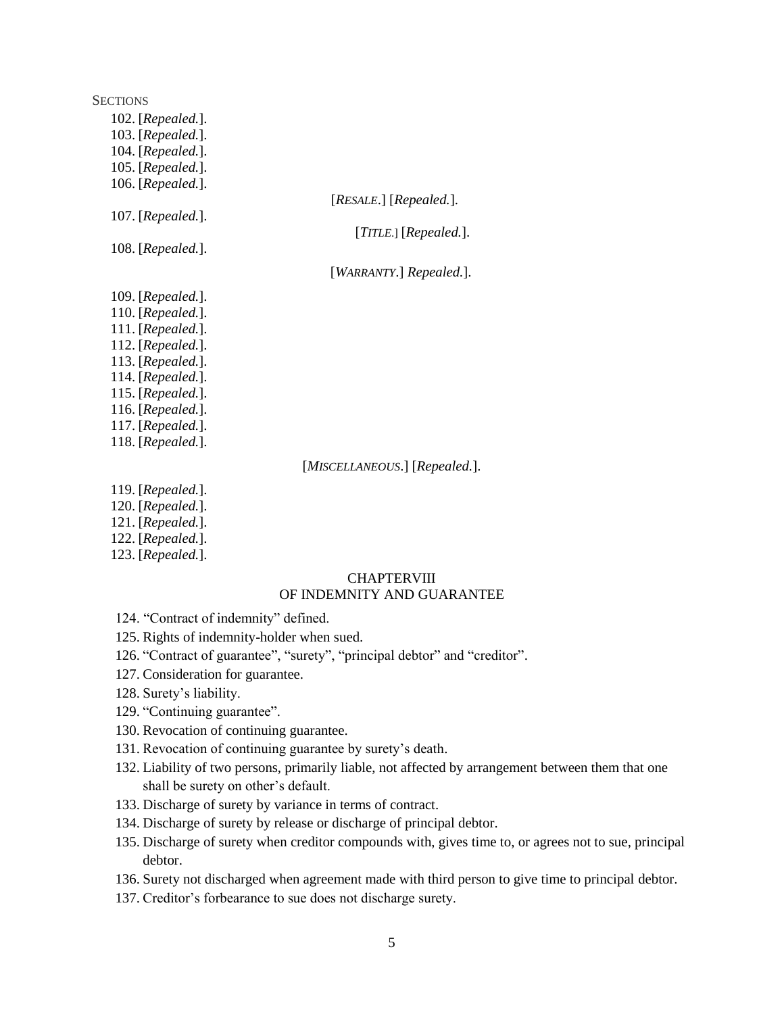| <b>SECTIONS</b>            |                          |
|----------------------------|--------------------------|
| 102. [ <i>Repealed.</i> ]. |                          |
| 103. [Repealed.].          |                          |
| 104. [Repealed.].          |                          |
| 105. [Repealed.].          |                          |
| 106. [Repealed.].          |                          |
|                            | $[RESALE.]$ [Repealed.]. |
| 107. [Repealed.].          |                          |
|                            | [TITLE.] [Repealed.].    |
| 108. [ <i>Repealed.</i> ]. |                          |
|                            | [WARRANTY.] Repealed.].  |
| 109. [Repealed.].          |                          |
| 110. [Repealed.].          |                          |
| 111. [ <i>Repealed.</i> ]. |                          |
| 112. [Repealed.].          |                          |
| 113. [Repealed.].          |                          |
| 114. [Repealed.].          |                          |
| 115. [Repealed.].          |                          |
| 116. [Repealed.].          |                          |

#### [*MISCELLANEOUS*.] [*Repealed.*].

119. [*Repealed.*].

117. [*Repealed.*]. 118. [*Repealed.*].

- 120. [*Repealed.*].
- 121. [*Repealed.*].
- 122. [*Repealed.*].
- 123. [*Repealed.*].

### **CHAPTERVIII** OF INDEMNITY AND GUARANTEE

- 124. "Contract of indemnity" defined.
- 125. Rights of indemnity-holder when sued.
- 126. "Contract of guarantee", "surety", "principal debtor" and "creditor".
- 127. Consideration for guarantee.
- 128. Surety"s liability.
- 129. "Continuing guarantee".
- 130. Revocation of continuing guarantee.
- 131. Revocation of continuing guarantee by surety"s death.
- 132. Liability of two persons, primarily liable, not affected by arrangement between them that one shall be surety on other's default.
- 133. Discharge of surety by variance in terms of contract.
- 134. Discharge of surety by release or discharge of principal debtor.
- 135. Discharge of surety when creditor compounds with, gives time to, or agrees not to sue, principal debtor.
- 136. Surety not discharged when agreement made with third person to give time to principal debtor.
- 137. Creditor's forbearance to sue does not discharge surety.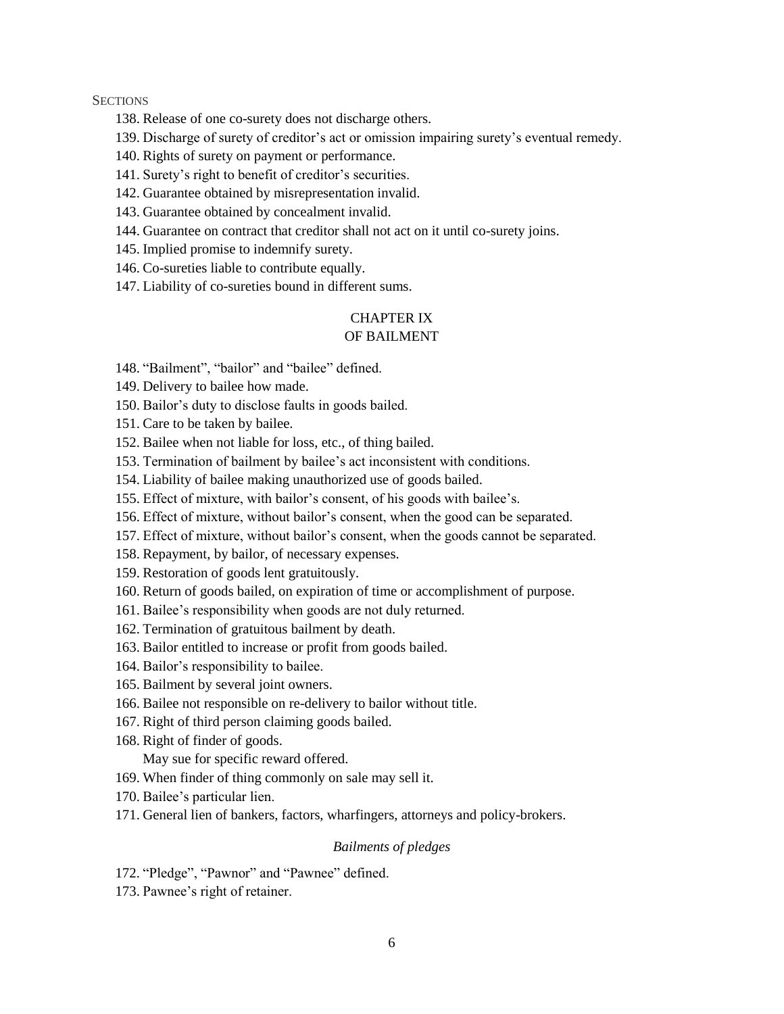## **SECTIONS**

- 138. Release of one co-surety does not discharge others.
- 139. Discharge of surety of creditor"s act or omission impairing surety"s eventual remedy.
- 140. Rights of surety on payment or performance.
- 141. Surety's right to benefit of creditor's securities.
- 142. Guarantee obtained by misrepresentation invalid.
- 143. Guarantee obtained by concealment invalid.
- 144. Guarantee on contract that creditor shall not act on it until co-surety joins.
- 145. Implied promise to indemnify surety.
- 146. Co-sureties liable to contribute equally.
- 147. Liability of co-sureties bound in different sums.

# CHAPTER IX

## OF BAILMENT

148. "Bailment", "bailor" and "bailee" defined.

149. Delivery to bailee how made.

150. Bailor"s duty to disclose faults in goods bailed.

151. Care to be taken by bailee.

152. Bailee when not liable for loss, etc., of thing bailed.

153. Termination of bailment by bailee"s act inconsistent with conditions.

154. Liability of bailee making unauthorized use of goods bailed.

- 155. Effect of mixture, with bailor"s consent, of his goods with bailee"s.
- 156. Effect of mixture, without bailor"s consent, when the good can be separated.
- 157. Effect of mixture, without bailor"s consent, when the goods cannot be separated.
- 158. Repayment, by bailor, of necessary expenses.
- 159. Restoration of goods lent gratuitously.
- 160. Return of goods bailed, on expiration of time or accomplishment of purpose.
- 161. Bailee"s responsibility when goods are not duly returned.
- 162. Termination of gratuitous bailment by death.
- 163. Bailor entitled to increase or profit from goods bailed.
- 164. Bailor"s responsibility to bailee.
- 165. Bailment by several joint owners.
- 166. Bailee not responsible on re-delivery to bailor without title.
- 167. Right of third person claiming goods bailed.
- 168. Right of finder of goods.

May sue for specific reward offered.

- 169. When finder of thing commonly on sale may sell it.
- 170. Bailee"s particular lien.
- 171. General lien of bankers, factors, wharfingers, attorneys and policy-brokers.

## *Bailments of pledges*

- 172. "Pledge", "Pawnor" and "Pawnee" defined.
- 173. Pawnee's right of retainer.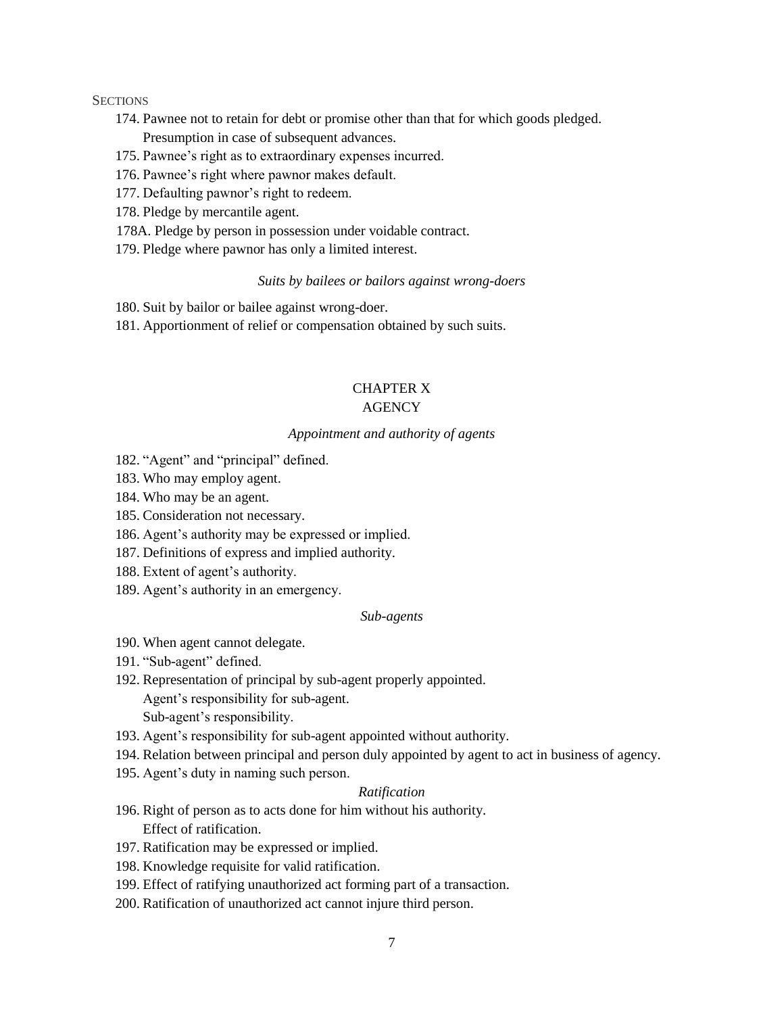## **SECTIONS**

- 174. Pawnee not to retain for debt or promise other than that for which goods pledged. Presumption in case of subsequent advances.
- 175. Pawnee"s right as to extraordinary expenses incurred.
- 176. Pawnee"s right where pawnor makes default.
- 177. Defaulting pawnor's right to redeem.
- 178. Pledge by mercantile agent.
- 178A. Pledge by person in possession under voidable contract.
- 179. Pledge where pawnor has only a limited interest.

## *Suits by bailees or bailors against wrong-doers*

180. Suit by bailor or bailee against wrong-doer.

181. Apportionment of relief or compensation obtained by such suits.

## CHAPTER X **AGENCY**

### *Appointment and authority of agents*

- 182. "Agent" and "principal" defined.
- 183. Who may employ agent.
- 184. Who may be an agent.
- 185. Consideration not necessary.
- 186. Agent's authority may be expressed or implied.
- 187. Definitions of express and implied authority.
- 188. Extent of agent's authority.
- 189. Agent"s authority in an emergency.

## *Sub-agents*

- 190. When agent cannot delegate.
- 191. "Sub-agent" defined.
- 192. Representation of principal by sub-agent properly appointed. Agent"s responsibility for sub-agent. Sub-agent's responsibility.
- 193. Agent"s responsibility for sub-agent appointed without authority.
- 194. Relation between principal and person duly appointed by agent to act in business of agency.
- 195. Agent"s duty in naming such person.

## *Ratification*

- 196. Right of person as to acts done for him without his authority. Effect of ratification.
- 197. Ratification may be expressed or implied.
- 198. Knowledge requisite for valid ratification.
- 199. Effect of ratifying unauthorized act forming part of a transaction.
- 200. Ratification of unauthorized act cannot injure third person.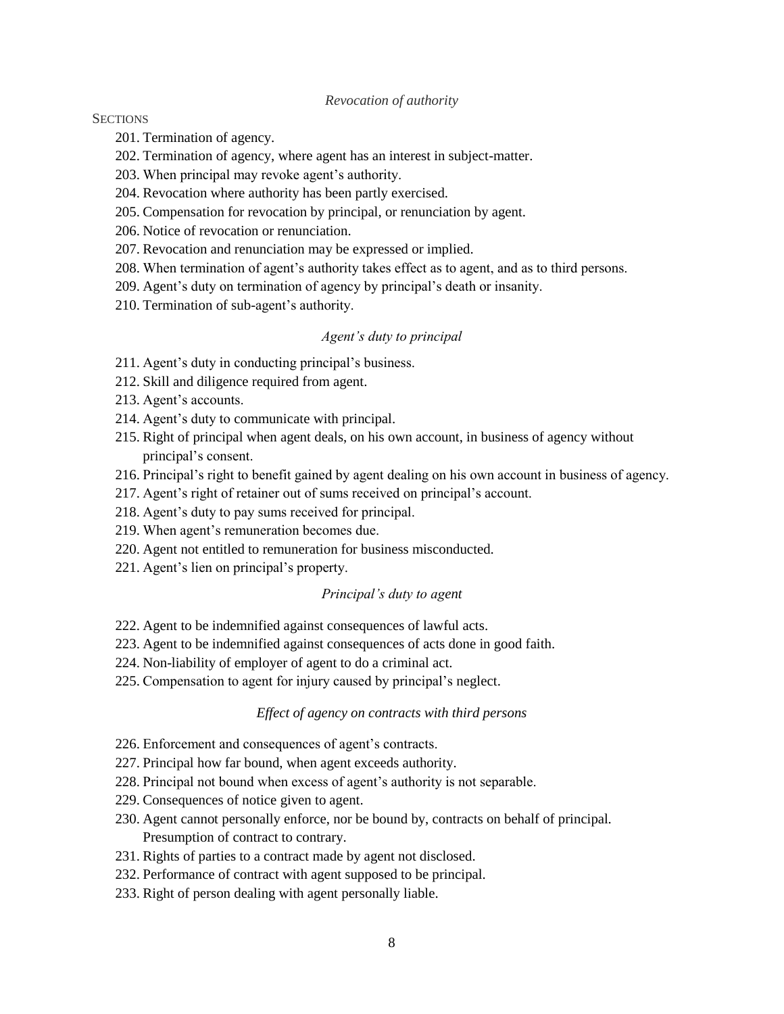## *Revocation of authority*

**SECTIONS** 

- 201. Termination of agency.
- 202. Termination of agency, where agent has an interest in subject-matter.
- 203. When principal may revoke agent"s authority.
- 204. Revocation where authority has been partly exercised.
- 205. Compensation for revocation by principal, or renunciation by agent.
- 206. Notice of revocation or renunciation.
- 207. Revocation and renunciation may be expressed or implied.
- 208. When termination of agent's authority takes effect as to agent, and as to third persons.
- 209. Agent"s duty on termination of agency by principal"s death or insanity.
- 210. Termination of sub-agent's authority.

## *Agent's duty to principal*

- 211. Agent's duty in conducting principal's business.
- 212. Skill and diligence required from agent.
- 213. Agent"s accounts.
- 214. Agent"s duty to communicate with principal.
- 215. Right of principal when agent deals, on his own account, in business of agency without principal"s consent.
- 216. Principal"s right to benefit gained by agent dealing on his own account in business of agency.
- 217. Agent's right of retainer out of sums received on principal's account.
- 218. Agent"s duty to pay sums received for principal.
- 219. When agent"s remuneration becomes due.
- 220. Agent not entitled to remuneration for business misconducted.
- 221. Agent"s lien on principal"s property.

## *Principal's duty to agent*

- 222. Agent to be indemnified against consequences of lawful acts.
- 223. Agent to be indemnified against consequences of acts done in good faith.
- 224. Non-liability of employer of agent to do a criminal act.
- 225. Compensation to agent for injury caused by principal"s neglect.

## *Effect of agency on contracts with third persons*

- 226. Enforcement and consequences of agent"s contracts.
- 227. Principal how far bound, when agent exceeds authority.
- 228. Principal not bound when excess of agent"s authority is not separable.
- 229. Consequences of notice given to agent.
- 230. Agent cannot personally enforce, nor be bound by, contracts on behalf of principal. Presumption of contract to contrary.
- 231. Rights of parties to a contract made by agent not disclosed.
- 232. Performance of contract with agent supposed to be principal.
- 233. Right of person dealing with agent personally liable.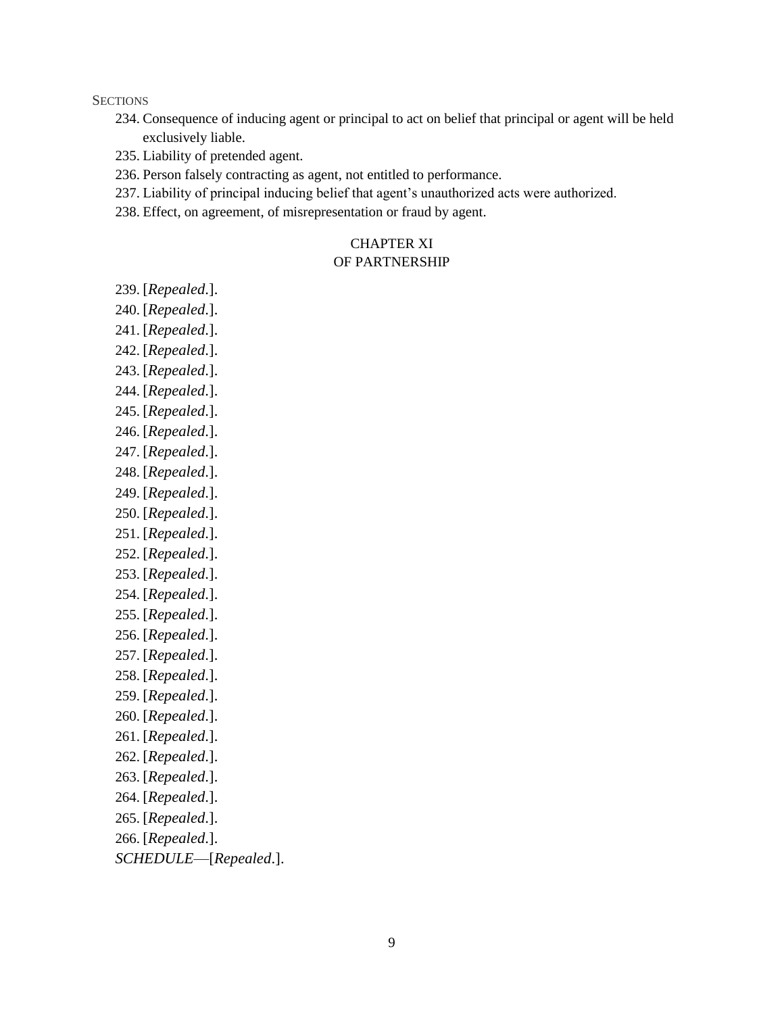**SECTIONS** 

- 234. Consequence of inducing agent or principal to act on belief that principal or agent will be held exclusively liable.
- 235. Liability of pretended agent.
- 236. Person falsely contracting as agent, not entitled to performance.
- 237. Liability of principal inducing belief that agent"s unauthorized acts were authorized.
- 238. Effect, on agreement, of misrepresentation or fraud by agent.

## CHAPTER XI OF PARTNERSHIP

- 239. [*Repealed*.].
- 240. [*Repealed*.].
- 241. [*Repealed*.].
- 242. [*Repealed*.].
- 243. [*Repealed*.].
- 244. [*Repealed*.].
- 245. [*Repealed*.].
- 246. [*Repealed*.].
- 247. [*Repealed*.].
- 248. [*Repealed*.].
- 249. [*Repealed*.].
- 250. [*Repealed*.].
- 251. [*Repealed*.].
- 252. [*Repealed*.].
- 253. [*Repealed*.].
- 254. [*Repealed*.].
- 255. [*Repealed*.].
- 256. [*Repealed*.].
- 257. [*Repealed*.].
- 258. [*Repealed*.].
- 259. [*Repealed*.].
- 260. [*Repealed*.].
- 261. [*Repealed*.].
- 262. [*Repealed*.].
- 263. [*Repealed*.].
- 264. [*Repealed*.].
- 265. [*Repealed*.].
- 266. [*Repealed*.].
- *SCHEDULE*—[*Repealed*.].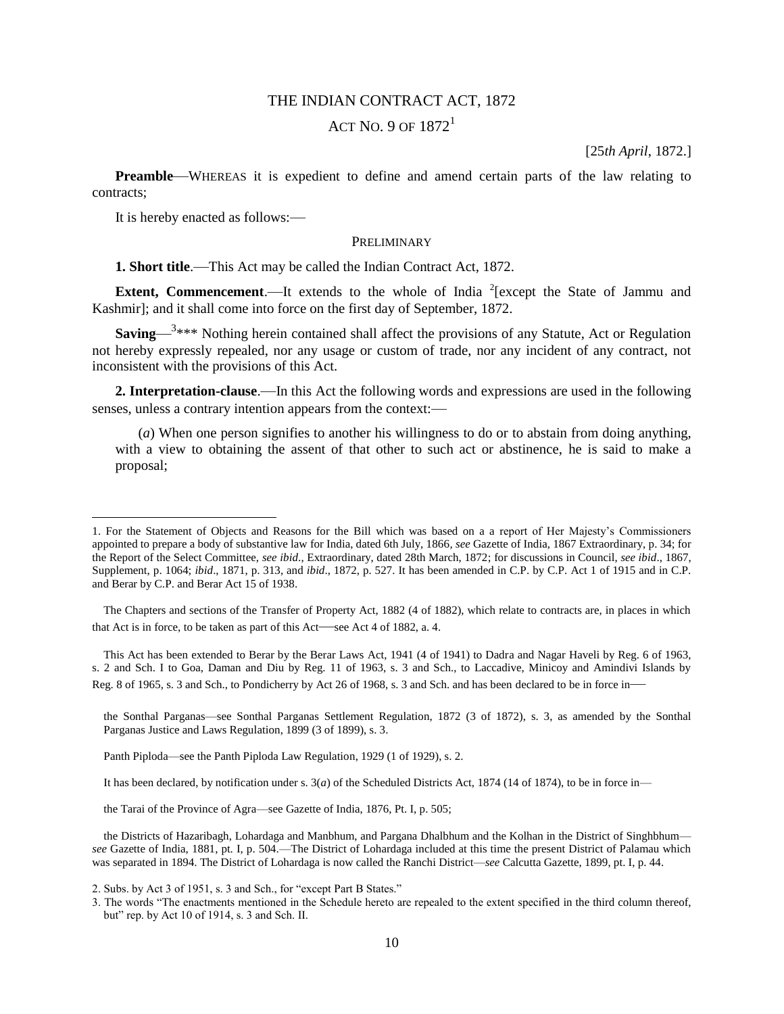## THE INDIAN CONTRACT ACT, 1872

## ACT NO. 9 OF  $1872<sup>1</sup>$

[25*th April*, 1872.]

**Preamble**—WHEREAS it is expedient to define and amend certain parts of the law relating to contracts;

It is hereby enacted as follows:—

l

### **PRELIMINARY**

**1. Short title**.—This Act may be called the Indian Contract Act, 1872.

**Extent, Commencement**.—It extends to the whole of India <sup>2</sup> [except the State of Jammu and Kashmir]; and it shall come into force on the first day of September, 1872.

Saving<sup>—3\*\*\*</sup> Nothing herein contained shall affect the provisions of any Statute, Act or Regulation not hereby expressly repealed, nor any usage or custom of trade, nor any incident of any contract, not inconsistent with the provisions of this Act.

**2. Interpretation-clause**.—In this Act the following words and expressions are used in the following senses, unless a contrary intention appears from the context:—

(*a*) When one person signifies to another his willingness to do or to abstain from doing anything, with a view to obtaining the assent of that other to such act or abstinence, he is said to make a proposal;

The Chapters and sections of the Transfer of Property Act, 1882 (4 of 1882), which relate to contracts are, in places in which that Act is in force, to be taken as part of this Act—see Act 4 of 1882, a. 4.

This Act has been extended to Berar by the Berar Laws Act, 1941 (4 of 1941) to Dadra and Nagar Haveli by Reg. 6 of 1963, s. 2 and Sch. I to Goa, Daman and Diu by Reg. 11 of 1963, s. 3 and Sch., to Laccadive, Minicoy and Amindivi Islands by Reg. 8 of 1965, s. 3 and Sch., to Pondicherry by Act 26 of 1968, s. 3 and Sch. and has been declared to be in force in—

the Sonthal Parganas—see Sonthal Parganas Settlement Regulation, 1872 (3 of 1872), s. 3, as amended by the Sonthal Parganas Justice and Laws Regulation, 1899 (3 of 1899), s. 3.

Panth Piploda—see the Panth Piploda Law Regulation, 1929 (1 of 1929), s. 2.

It has been declared, by notification under s. 3(*a*) of the Scheduled Districts Act, 1874 (14 of 1874), to be in force in—

the Tarai of the Province of Agra—see Gazette of India, 1876, Pt. I, p. 505;

the Districts of Hazaribagh, Lohardaga and Manbhum, and Pargana Dhalbhum and the Kolhan in the District of Singhbhum *see* Gazette of India, 1881, pt. I, p. 504.—The District of Lohardaga included at this time the present District of Palamau which was separated in 1894. The District of Lohardaga is now called the Ranchi District—*see* Calcutta Gazette, 1899, pt. I, p. 44.

<sup>1.</sup> For the Statement of Objects and Reasons for the Bill which was based on a a report of Her Majesty"s Commissioners appointed to prepare a body of substantive law for India, dated 6th July, 1866*, see* Gazette of India, 1867 Extraordinary, p. 34; for the Report of the Select Committee, *see ibid*., Extraordinary, dated 28th March, 1872; for discussions in Council, *see ibid*., 1867, Supplement, p. 1064; *ibid*., 1871, p. 313, and *ibid*., 1872, p. 527. It has been amended in C.P. by C.P. Act 1 of 1915 and in C.P. and Berar by C.P. and Berar Act 15 of 1938.

<sup>2.</sup> Subs. by Act 3 of 1951, s. 3 and Sch., for "except Part B States."

<sup>3.</sup> The words "The enactments mentioned in the Schedule hereto are repealed to the extent specified in the third column thereof, but" rep. by Act 10 of 1914, s. 3 and Sch. II.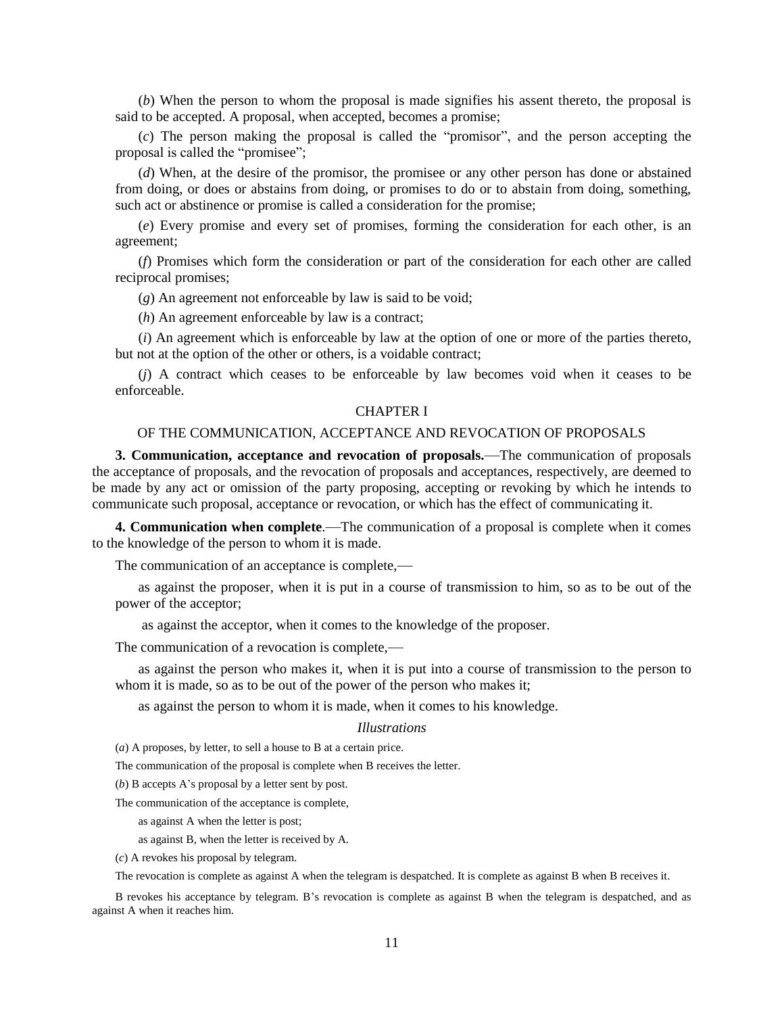(*b*) When the person to whom the proposal is made signifies his assent thereto, the proposal is said to be accepted. A proposal, when accepted, becomes a promise;

(*c*) The person making the proposal is called the "promisor", and the person accepting the proposal is called the "promisee";

(*d*) When, at the desire of the promisor, the promisee or any other person has done or abstained from doing, or does or abstains from doing, or promises to do or to abstain from doing, something, such act or abstinence or promise is called a consideration for the promise;

(*e*) Every promise and every set of promises, forming the consideration for each other, is an agreement;

(*f*) Promises which form the consideration or part of the consideration for each other are called reciprocal promises;

(*g*) An agreement not enforceable by law is said to be void;

(*h*) An agreement enforceable by law is a contract;

(*i*) An agreement which is enforceable by law at the option of one or more of the parties thereto, but not at the option of the other or others, is a voidable contract;

(*j*) A contract which ceases to be enforceable by law becomes void when it ceases to be enforceable.

## CHAPTER I

#### OF THE COMMUNICATION, ACCEPTANCE AND REVOCATION OF PROPOSALS

**3. Communication, acceptance and revocation of proposals.**—The communication of proposals the acceptance of proposals, and the revocation of proposals and acceptances, respectively, are deemed to be made by any act or omission of the party proposing, accepting or revoking by which he intends to communicate such proposal, acceptance or revocation, or which has the effect of communicating it.

**4. Communication when complete**.—The communication of a proposal is complete when it comes to the knowledge of the person to whom it is made.

The communication of an acceptance is complete,—

as against the proposer, when it is put in a course of transmission to him, so as to be out of the power of the acceptor;

as against the acceptor, when it comes to the knowledge of the proposer.

The communication of a revocation is complete,—

as against the person who makes it, when it is put into a course of transmission to the person to whom it is made, so as to be out of the power of the person who makes it;

as against the person to whom it is made, when it comes to his knowledge.

### *Illustrations*

(*a*) A proposes, by letter, to sell a house to B at a certain price.

The communication of the proposal is complete when B receives the letter.

(*b*) B accepts A"s proposal by a letter sent by post.

The communication of the acceptance is complete,

as against A when the letter is post;

as against B, when the letter is received by A.

(*c*) A revokes his proposal by telegram.

The revocation is complete as against A when the telegram is despatched. It is complete as against B when B receives it.

B revokes his acceptance by telegram. B"s revocation is complete as against B when the telegram is despatched, and as against A when it reaches him.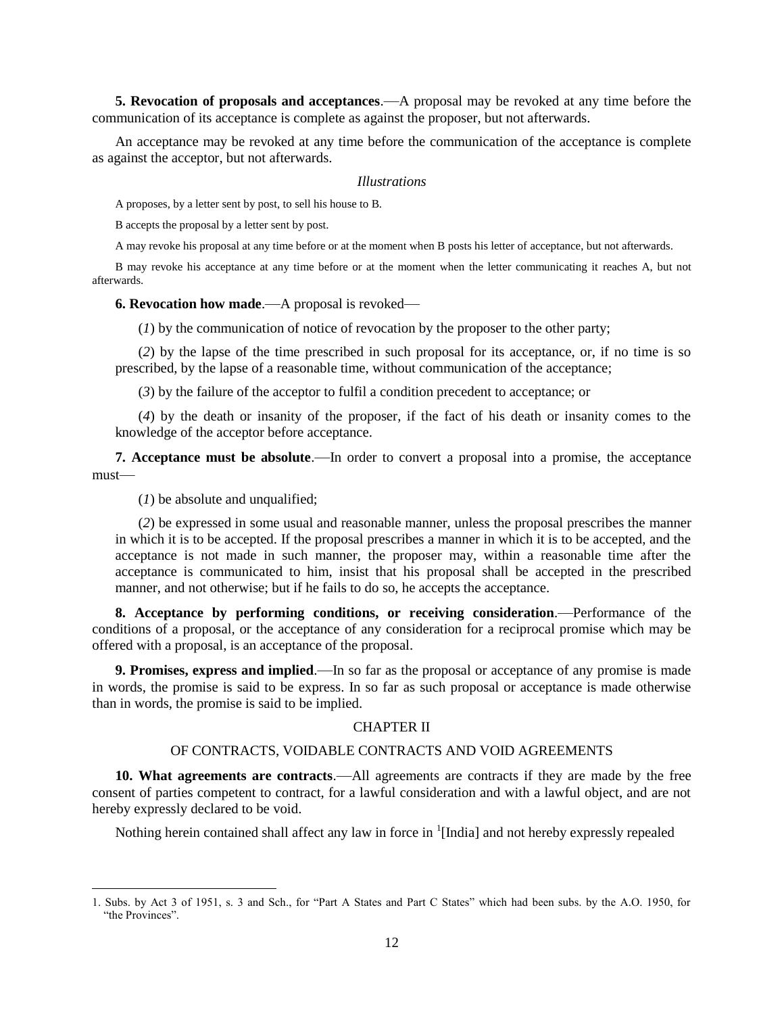**5. Revocation of proposals and acceptances**.—A proposal may be revoked at any time before the communication of its acceptance is complete as against the proposer, but not afterwards.

An acceptance may be revoked at any time before the communication of the acceptance is complete as against the acceptor, but not afterwards.

#### *Illustrations*

A proposes, by a letter sent by post, to sell his house to B.

B accepts the proposal by a letter sent by post.

A may revoke his proposal at any time before or at the moment when B posts his letter of acceptance, but not afterwards.

B may revoke his acceptance at any time before or at the moment when the letter communicating it reaches A, but not afterwards.

**6. Revocation how made**.—A proposal is revoked—

(*1*) by the communication of notice of revocation by the proposer to the other party;

(*2*) by the lapse of the time prescribed in such proposal for its acceptance, or, if no time is so prescribed, by the lapse of a reasonable time, without communication of the acceptance;

(*3*) by the failure of the acceptor to fulfil a condition precedent to acceptance; or

(*4*) by the death or insanity of the proposer, if the fact of his death or insanity comes to the knowledge of the acceptor before acceptance.

**7. Acceptance must be absolute**.—In order to convert a proposal into a promise, the acceptance must—

(*1*) be absolute and unqualified;

 $\overline{a}$ 

(*2*) be expressed in some usual and reasonable manner, unless the proposal prescribes the manner in which it is to be accepted. If the proposal prescribes a manner in which it is to be accepted, and the acceptance is not made in such manner, the proposer may, within a reasonable time after the acceptance is communicated to him, insist that his proposal shall be accepted in the prescribed manner, and not otherwise; but if he fails to do so, he accepts the acceptance.

**8. Acceptance by performing conditions, or receiving consideration**.—Performance of the conditions of a proposal, or the acceptance of any consideration for a reciprocal promise which may be offered with a proposal, is an acceptance of the proposal.

**9. Promises, express and implied**.—In so far as the proposal or acceptance of any promise is made in words, the promise is said to be express. In so far as such proposal or acceptance is made otherwise than in words, the promise is said to be implied.

## CHAPTER II

#### OF CONTRACTS, VOIDABLE CONTRACTS AND VOID AGREEMENTS

**10. What agreements are contracts**.—All agreements are contracts if they are made by the free consent of parties competent to contract, for a lawful consideration and with a lawful object, and are not hereby expressly declared to be void.

Nothing herein contained shall affect any law in force in <sup>1</sup>[India] and not hereby expressly repealed

<sup>1.</sup> Subs. by Act 3 of 1951, s. 3 and Sch., for "Part A States and Part C States" which had been subs. by the A.O. 1950, for "the Provinces".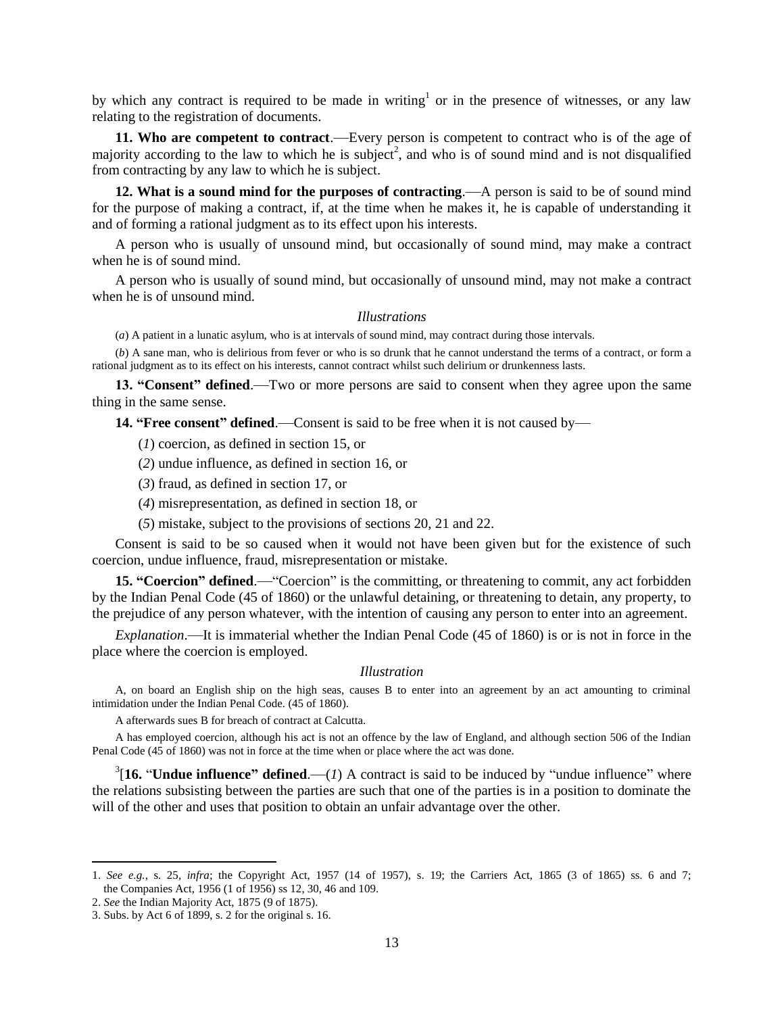by which any contract is required to be made in writing<sup>1</sup> or in the presence of witnesses, or any law relating to the registration of documents.

**11. Who are competent to contract**.—Every person is competent to contract who is of the age of majority according to the law to which he is subject<sup>2</sup>, and who is of sound mind and is not disqualified from contracting by any law to which he is subject.

**12. What is a sound mind for the purposes of contracting**.—A person is said to be of sound mind for the purpose of making a contract, if, at the time when he makes it, he is capable of understanding it and of forming a rational judgment as to its effect upon his interests.

A person who is usually of unsound mind, but occasionally of sound mind, may make a contract when he is of sound mind.

A person who is usually of sound mind, but occasionally of unsound mind, may not make a contract when he is of unsound mind.

#### *Illustrations*

(*a*) A patient in a lunatic asylum, who is at intervals of sound mind, may contract during those intervals.

(*b*) A sane man, who is delirious from fever or who is so drunk that he cannot understand the terms of a contract, or form a rational judgment as to its effect on his interests, cannot contract whilst such delirium or drunkenness lasts.

**13. "Consent" defined**.—Two or more persons are said to consent when they agree upon the same thing in the same sense.

**14. "Free consent" defined**.—Consent is said to be free when it is not caused by—

- (*1*) coercion, as defined in section 15, or
- (*2*) undue influence, as defined in section 16, or
- (*3*) fraud, as defined in section 17, or
- (*4*) misrepresentation, as defined in section 18, or
- (*5*) mistake, subject to the provisions of sections 20, 21 and 22.

Consent is said to be so caused when it would not have been given but for the existence of such coercion, undue influence, fraud, misrepresentation or mistake.

**15. "Coercion" defined**.—"Coercion" is the committing, or threatening to commit, any act forbidden by the Indian Penal Code (45 of 1860) or the unlawful detaining, or threatening to detain, any property, to the prejudice of any person whatever, with the intention of causing any person to enter into an agreement.

*Explanation*.—It is immaterial whether the Indian Penal Code (45 of 1860) is or is not in force in the place where the coercion is employed.

#### *Illustration*

A, on board an English ship on the high seas, causes B to enter into an agreement by an act amounting to criminal intimidation under the Indian Penal Code. (45 of 1860).

A afterwards sues B for breach of contract at Calcutta.

A has employed coercion, although his act is not an offence by the law of England, and although section 506 of the Indian Penal Code (45 of 1860) was not in force at the time when or place where the act was done.

 $3$ [16. "Undue influence" defined.—(*1*) A contract is said to be induced by "undue influence" where the relations subsisting between the parties are such that one of the parties is in a position to dominate the will of the other and uses that position to obtain an unfair advantage over the other.

<sup>1.</sup> *See e.g.*, s. 25, *infra*; the Copyright Act, 1957 (14 of 1957), s. 19; the Carriers Act, 1865 (3 of 1865) ss. 6 and 7; the Companies Act, 1956 (1 of 1956) ss 12, 30, 46 and 109.

<sup>2.</sup> *See* the Indian Majority Act, 1875 (9 of 1875).

<sup>3.</sup> Subs. by Act 6 of 1899, s. 2 for the original s. 16.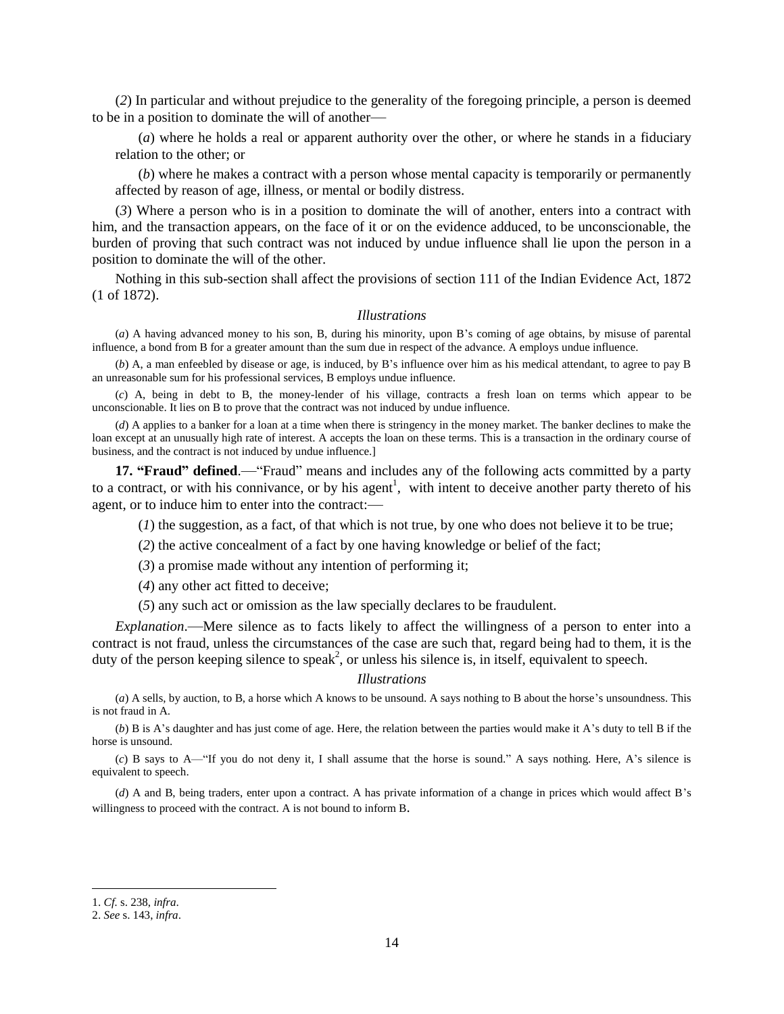(*2*) In particular and without prejudice to the generality of the foregoing principle, a person is deemed to be in a position to dominate the will of another—

(*a*) where he holds a real or apparent authority over the other, or where he stands in a fiduciary relation to the other; or

(*b*) where he makes a contract with a person whose mental capacity is temporarily or permanently affected by reason of age, illness, or mental or bodily distress.

(*3*) Where a person who is in a position to dominate the will of another, enters into a contract with him, and the transaction appears, on the face of it or on the evidence adduced, to be unconscionable, the burden of proving that such contract was not induced by undue influence shall lie upon the person in a position to dominate the will of the other.

Nothing in this sub-section shall affect the provisions of section 111 of the Indian Evidence Act, 1872 (1 of 1872).

#### *Illustrations*

(*a*) A having advanced money to his son, B, during his minority, upon B"s coming of age obtains, by misuse of parental influence, a bond from B for a greater amount than the sum due in respect of the advance. A employs undue influence.

(*b*) A, a man enfeebled by disease or age, is induced, by B"s influence over him as his medical attendant, to agree to pay B an unreasonable sum for his professional services, B employs undue influence.

(*c*) A, being in debt to B, the money-lender of his village, contracts a fresh loan on terms which appear to be unconscionable. It lies on B to prove that the contract was not induced by undue influence.

(*d*) A applies to a banker for a loan at a time when there is stringency in the money market. The banker declines to make the loan except at an unusually high rate of interest. A accepts the loan on these terms. This is a transaction in the ordinary course of business, and the contract is not induced by undue influence.]

**17. "Fraud" defined**.—"Fraud" means and includes any of the following acts committed by a party to a contract, or with his connivance, or by his agent<sup>1</sup>, with intent to deceive another party thereto of his agent, or to induce him to enter into the contract:—

(*1*) the suggestion, as a fact, of that which is not true, by one who does not believe it to be true;

(*2*) the active concealment of a fact by one having knowledge or belief of the fact;

(*3*) a promise made without any intention of performing it;

(*4*) any other act fitted to deceive;

(*5*) any such act or omission as the law specially declares to be fraudulent.

*Explanation*.—Mere silence as to facts likely to affect the willingness of a person to enter into a contract is not fraud, unless the circumstances of the case are such that, regard being had to them, it is the duty of the person keeping silence to speak<sup>2</sup>, or unless his silence is, in itself, equivalent to speech.

## *Illustrations*

(*a*) A sells, by auction, to B, a horse which A knows to be unsound. A says nothing to B about the horse"s unsoundness. This is not fraud in A.

(*b*) B is A"s daughter and has just come of age. Here, the relation between the parties would make it A"s duty to tell B if the horse is unsound.

(*c*) B says to A—"If you do not deny it, I shall assume that the horse is sound." A says nothing. Here, A"s silence is equivalent to speech.

(*d*) A and B, being traders, enter upon a contract. A has private information of a change in prices which would affect B"s willingness to proceed with the contract. A is not bound to inform B.

1. *Cf.* s. 238, *infra*.

 $\overline{a}$ 

<sup>2.</sup> *See* s. 143, *infra*.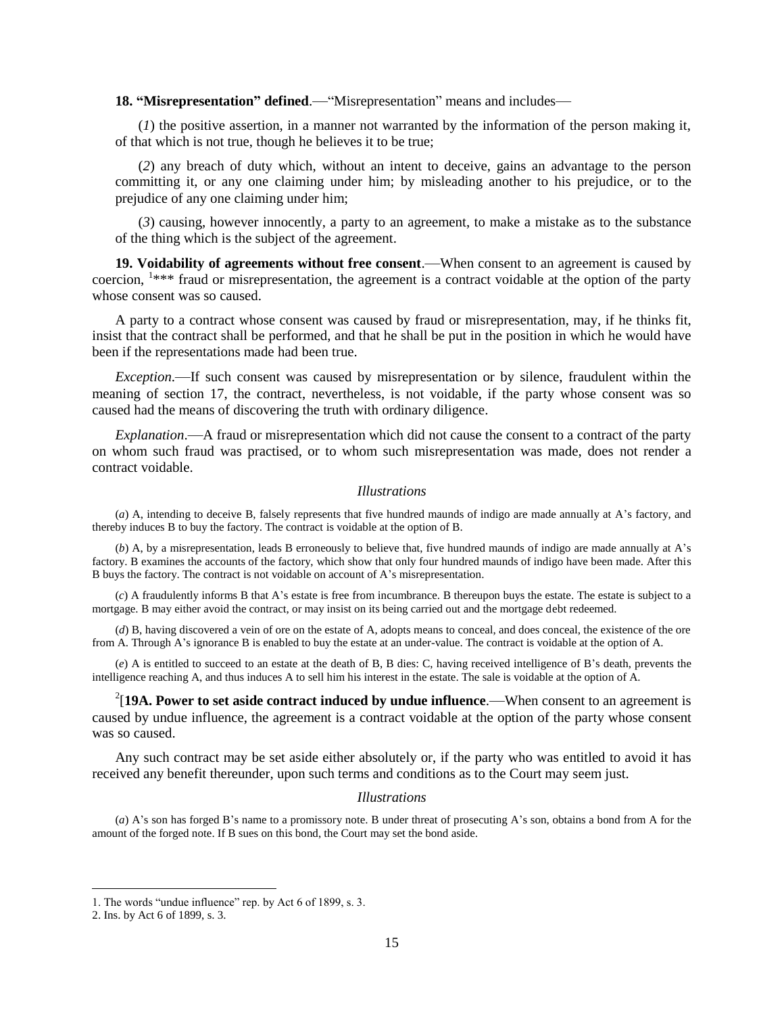#### **18. "Misrepresentation" defined**.—"Misrepresentation" means and includes—

(*1*) the positive assertion, in a manner not warranted by the information of the person making it, of that which is not true, though he believes it to be true;

(*2*) any breach of duty which, without an intent to deceive, gains an advantage to the person committing it, or any one claiming under him; by misleading another to his prejudice, or to the prejudice of any one claiming under him;

(*3*) causing, however innocently, a party to an agreement, to make a mistake as to the substance of the thing which is the subject of the agreement.

**19. Voidability of agreements without free consent**.—When consent to an agreement is caused by coercion, <sup>1</sup>\*\*\* fraud or misrepresentation, the agreement is a contract voidable at the option of the party whose consent was so caused.

A party to a contract whose consent was caused by fraud or misrepresentation, may, if he thinks fit, insist that the contract shall be performed, and that he shall be put in the position in which he would have been if the representations made had been true.

*Exception*.—If such consent was caused by misrepresentation or by silence, fraudulent within the meaning of section 17, the contract, nevertheless, is not voidable, if the party whose consent was so caused had the means of discovering the truth with ordinary diligence.

*Explanation*.—A fraud or misrepresentation which did not cause the consent to a contract of the party on whom such fraud was practised, or to whom such misrepresentation was made, does not render a contract voidable.

#### *Illustrations*

(*a*) A, intending to deceive B, falsely represents that five hundred maunds of indigo are made annually at A"s factory, and thereby induces B to buy the factory. The contract is voidable at the option of B.

(*b*) A, by a misrepresentation, leads B erroneously to believe that, five hundred maunds of indigo are made annually at A"s factory. B examines the accounts of the factory, which show that only four hundred maunds of indigo have been made. After this B buys the factory. The contract is not voidable on account of A"s misrepresentation.

(*c*) A fraudulently informs B that A"s estate is free from incumbrance. B thereupon buys the estate. The estate is subject to a mortgage. B may either avoid the contract, or may insist on its being carried out and the mortgage debt redeemed.

(*d*) B, having discovered a vein of ore on the estate of A, adopts means to conceal, and does conceal, the existence of the ore from A. Through A"s ignorance B is enabled to buy the estate at an under-value. The contract is voidable at the option of A.

(*e*) A is entitled to succeed to an estate at the death of B, B dies: C, having received intelligence of B"s death, prevents the intelligence reaching A, and thus induces A to sell him his interest in the estate. The sale is voidable at the option of A.

2 [**19A. Power to set aside contract induced by undue influence**.—When consent to an agreement is caused by undue influence, the agreement is a contract voidable at the option of the party whose consent was so caused.

Any such contract may be set aside either absolutely or, if the party who was entitled to avoid it has received any benefit thereunder, upon such terms and conditions as to the Court may seem just.

#### *Illustrations*

(*a*) A"s son has forged B"s name to a promissory note. B under threat of prosecuting A"s son, obtains a bond from A for the amount of the forged note. If B sues on this bond, the Court may set the bond aside.

 $\overline{a}$ 

<sup>1.</sup> The words "undue influence" rep. by Act 6 of 1899, s. 3.

<sup>2.</sup> Ins. by Act 6 of 1899, s. 3.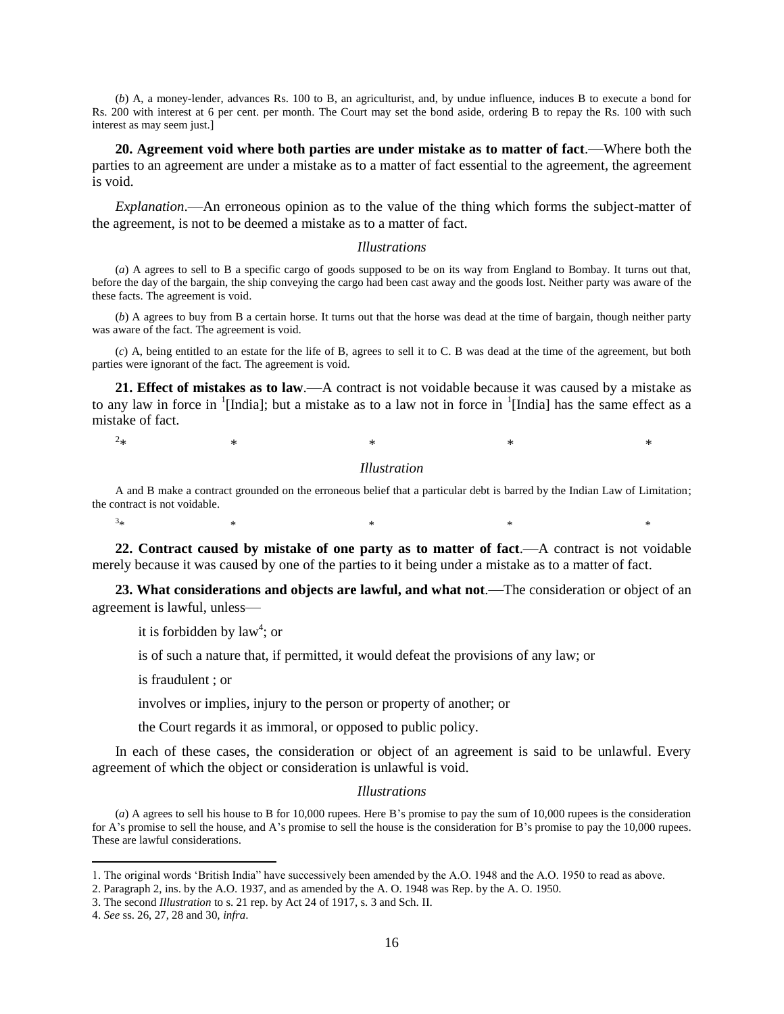(*b*) A, a money-lender, advances Rs. 100 to B, an agriculturist, and, by undue influence, induces B to execute a bond for Rs. 200 with interest at 6 per cent. per month. The Court may set the bond aside, ordering B to repay the Rs. 100 with such interest as may seem just.]

**20. Agreement void where both parties are under mistake as to matter of fact**.—Where both the parties to an agreement are under a mistake as to a matter of fact essential to the agreement, the agreement is void.

*Explanation*.—An erroneous opinion as to the value of the thing which forms the subject-matter of the agreement, is not to be deemed a mistake as to a matter of fact.

#### *Illustrations*

(*a*) A agrees to sell to B a specific cargo of goods supposed to be on its way from England to Bombay. It turns out that, before the day of the bargain, the ship conveying the cargo had been cast away and the goods lost. Neither party was aware of the these facts. The agreement is void.

(*b*) A agrees to buy from B a certain horse. It turns out that the horse was dead at the time of bargain, though neither party was aware of the fact. The agreement is void.

(*c*) A, being entitled to an estate for the life of B, agrees to sell it to C. B was dead at the time of the agreement, but both parties were ignorant of the fact. The agreement is void.

**21. Effect of mistakes as to law**.—A contract is not voidable because it was caused by a mistake as to any law in force in <sup>1</sup>[India]; but a mistake as to a law not in force in <sup>1</sup>[India] has the same effect as a mistake of fact.

 $2_{\ast}$  $*$  \*  $*$  \*  $*$  \*  $*$  \*

 $3*$ 

#### *Illustration*

A and B make a contract grounded on the erroneous belief that a particular debt is barred by the Indian Law of Limitation; the contract is not voidable.

**22. Contract caused by mistake of one party as to matter of fact**.—A contract is not voidable merely because it was caused by one of the parties to it being under a mistake as to a matter of fact.

\* \* \* \* \*

**23. What considerations and objects are lawful, and what not**.—The consideration or object of an agreement is lawful, unless—

it is forbidden by  $law<sup>4</sup>$ ; or

is of such a nature that, if permitted, it would defeat the provisions of any law; or

is fraudulent ; or

involves or implies, injury to the person or property of another; or

the Court regards it as immoral, or opposed to public policy.

In each of these cases, the consideration or object of an agreement is said to be unlawful. Every agreement of which the object or consideration is unlawful is void.

#### *Illustrations*

(*a*) A agrees to sell his house to B for 10,000 rupees. Here B's promise to pay the sum of 10,000 rupees is the consideration for A"s promise to sell the house, and A"s promise to sell the house is the consideration for B"s promise to pay the 10,000 rupees. These are lawful considerations.

1. The original words "British India" have successively been amended by the A.O. 1948 and the A.O. 1950 to read as above.

<sup>2.</sup> Paragraph 2, ins. by the A.O. 1937, and as amended by the A. O. 1948 was Rep. by the A. O. 1950.

<sup>3.</sup> The second *Illustration* to s. 21 rep. by Act 24 of 1917, s. 3 and Sch. II.

<sup>4.</sup> *See* ss. 26, 27, 28 and 30, *infra*.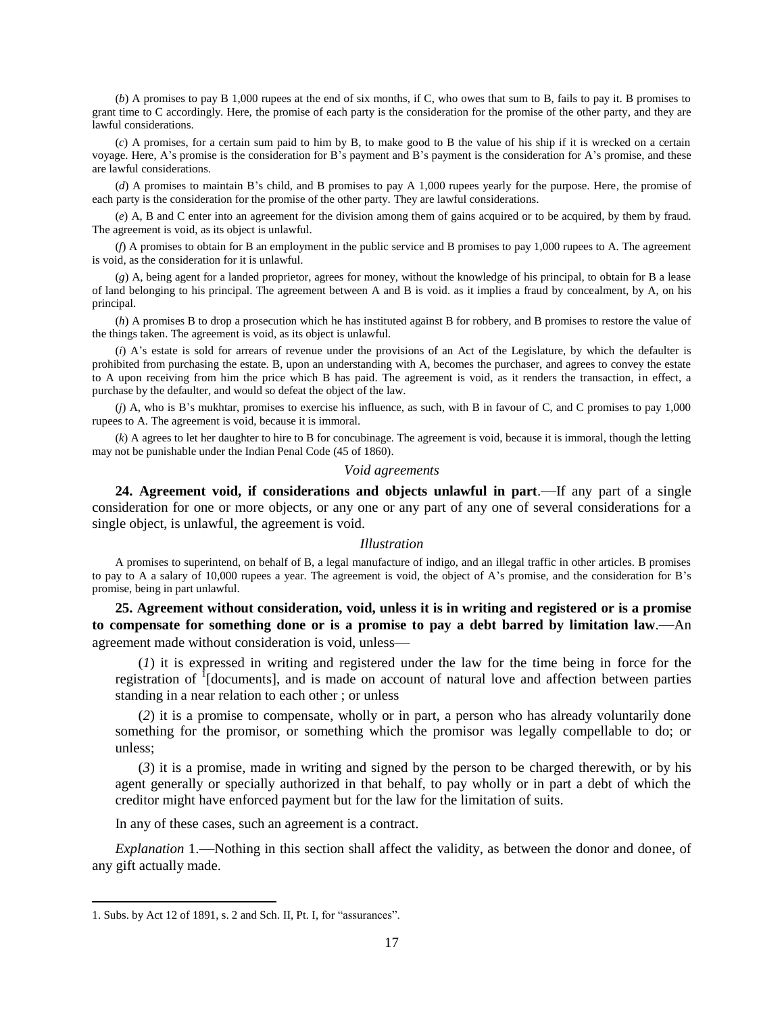(*b*) A promises to pay B 1,000 rupees at the end of six months, if C, who owes that sum to B, fails to pay it. B promises to grant time to C accordingly. Here, the promise of each party is the consideration for the promise of the other party, and they are lawful considerations.

(*c*) A promises, for a certain sum paid to him by B, to make good to B the value of his ship if it is wrecked on a certain voyage. Here, A"s promise is the consideration for B"s payment and B"s payment is the consideration for A"s promise, and these are lawful considerations.

(*d*) A promises to maintain B"s child, and B promises to pay A 1,000 rupees yearly for the purpose. Here, the promise of each party is the consideration for the promise of the other party. They are lawful considerations.

(*e*) A, B and C enter into an agreement for the division among them of gains acquired or to be acquired, by them by fraud. The agreement is void, as its object is unlawful.

(*f*) A promises to obtain for B an employment in the public service and B promises to pay 1,000 rupees to A. The agreement is void, as the consideration for it is unlawful.

(*g*) A, being agent for a landed proprietor, agrees for money, without the knowledge of his principal, to obtain for B a lease of land belonging to his principal. The agreement between A and B is void. as it implies a fraud by concealment, by A, on his principal.

(*h*) A promises B to drop a prosecution which he has instituted against B for robbery, and B promises to restore the value of the things taken. The agreement is void, as its object is unlawful.

(*i*) A"s estate is sold for arrears of revenue under the provisions of an Act of the Legislature, by which the defaulter is prohibited from purchasing the estate. B, upon an understanding with A, becomes the purchaser, and agrees to convey the estate to A upon receiving from him the price which B has paid. The agreement is void, as it renders the transaction, in effect, a purchase by the defaulter, and would so defeat the object of the law.

(*j*) A, who is B"s mukhtar, promises to exercise his influence, as such, with B in favour of C, and C promises to pay 1,000 rupees to A. The agreement is void, because it is immoral.

(*k*) A agrees to let her daughter to hire to B for concubinage. The agreement is void, because it is immoral, though the letting may not be punishable under the Indian Penal Code (45 of 1860).

#### *Void agreements*

**24. Agreement void, if considerations and objects unlawful in part**.—If any part of a single consideration for one or more objects, or any one or any part of any one of several considerations for a single object, is unlawful, the agreement is void.

#### *Illustration*

A promises to superintend, on behalf of B, a legal manufacture of indigo, and an illegal traffic in other articles. B promises to pay to A a salary of 10,000 rupees a year. The agreement is void, the object of A"s promise, and the consideration for B"s promise, being in part unlawful.

**25. Agreement without consideration, void, unless it is in writing and registered or is a promise to compensate for something done or is a promise to pay a debt barred by limitation law**.—An agreement made without consideration is void, unless—

(*1*) it is expressed in writing and registered under the law for the time being in force for the registration of <sup>1</sup>[documents], and is made on account of natural love and affection between parties standing in a near relation to each other ; or unless

(*2*) it is a promise to compensate, wholly or in part, a person who has already voluntarily done something for the promisor, or something which the promisor was legally compellable to do; or unless;

(*3*) it is a promise, made in writing and signed by the person to be charged therewith, or by his agent generally or specially authorized in that behalf, to pay wholly or in part a debt of which the creditor might have enforced payment but for the law for the limitation of suits.

In any of these cases, such an agreement is a contract.

*Explanation* 1.—Nothing in this section shall affect the validity, as between the donor and donee, of any gift actually made.

<sup>1.</sup> Subs. by Act 12 of 1891, s. 2 and Sch. II, Pt. I, for "assurances".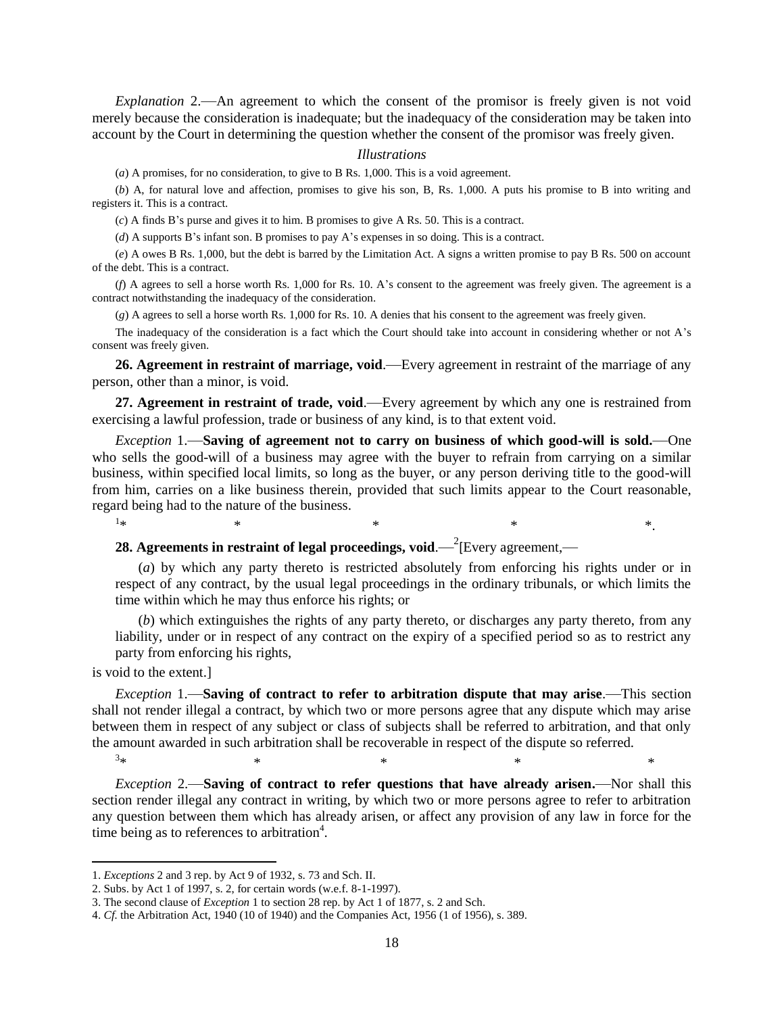*Explanation* 2.—An agreement to which the consent of the promisor is freely given is not void merely because the consideration is inadequate; but the inadequacy of the consideration may be taken into account by the Court in determining the question whether the consent of the promisor was freely given.

## *Illustrations*

(*a*) A promises, for no consideration, to give to B Rs. 1,000. This is a void agreement.

(*b*) A, for natural love and affection, promises to give his son, B, Rs. 1,000. A puts his promise to B into writing and registers it. This is a contract.

(*c*) A finds B"s purse and gives it to him. B promises to give A Rs. 50. This is a contract.

(*d*) A supports B's infant son. B promises to pay A's expenses in so doing. This is a contract.

(*e*) A owes B Rs. 1,000, but the debt is barred by the Limitation Act. A signs a written promise to pay B Rs. 500 on account of the debt. This is a contract.

(*f*) A agrees to sell a horse worth Rs. 1,000 for Rs. 10. A"s consent to the agreement was freely given. The agreement is a contract notwithstanding the inadequacy of the consideration.

(*g*) A agrees to sell a horse worth Rs. 1,000 for Rs. 10. A denies that his consent to the agreement was freely given.

The inadequacy of the consideration is a fact which the Court should take into account in considering whether or not A"s consent was freely given.

**26. Agreement in restraint of marriage, void**.—Every agreement in restraint of the marriage of any person, other than a minor, is void.

**27. Agreement in restraint of trade, void**.—Every agreement by which any one is restrained from exercising a lawful profession, trade or business of any kind, is to that extent void.

*Exception* 1.—**Saving of agreement not to carry on business of which good-will is sold.**—One who sells the good-will of a business may agree with the buyer to refrain from carrying on a similar business, within specified local limits, so long as the buyer, or any person deriving title to the good-will from him, carries on a like business therein, provided that such limits appear to the Court reasonable, regard being had to the nature of the business.

\* \* \* \* \*.

 $1_{\ast}$ 

# **28. Agreements in restraint of legal proceedings, void.—** $^2$ **[Every agreement,—**

(*a*) by which any party thereto is restricted absolutely from enforcing his rights under or in respect of any contract, by the usual legal proceedings in the ordinary tribunals, or which limits the time within which he may thus enforce his rights; or

(*b*) which extinguishes the rights of any party thereto, or discharges any party thereto, from any liability, under or in respect of any contract on the expiry of a specified period so as to restrict any party from enforcing his rights,

is void to the extent.]

 $3*$ 

 $\overline{\phantom{a}}$ 

*Exception* 1.—**Saving of contract to refer to arbitration dispute that may arise**.—This section shall not render illegal a contract, by which two or more persons agree that any dispute which may arise between them in respect of any subject or class of subjects shall be referred to arbitration, and that only the amount awarded in such arbitration shall be recoverable in respect of the dispute so referred.

 $*$   $*$   $*$   $*$   $*$   $*$   $*$ 

*Exception* 2.—**Saving of contract to refer questions that have already arisen.**—Nor shall this section render illegal any contract in writing, by which two or more persons agree to refer to arbitration any question between them which has already arisen, or affect any provision of any law in force for the time being as to references to arbitration<sup>4</sup>.

<sup>1.</sup> *Exceptions* 2 and 3 rep. by Act 9 of 1932, s. 73 and Sch. II.

<sup>2.</sup> Subs. by Act 1 of 1997, s. 2, for certain words (w.e.f. 8-1-1997).

<sup>3.</sup> The second clause of *Exception* 1 to section 28 rep. by Act 1 of 1877, s. 2 and Sch.

<sup>4.</sup> *Cf.* the Arbitration Act, 1940 (10 of 1940) and the Companies Act, 1956 (1 of 1956), s. 389.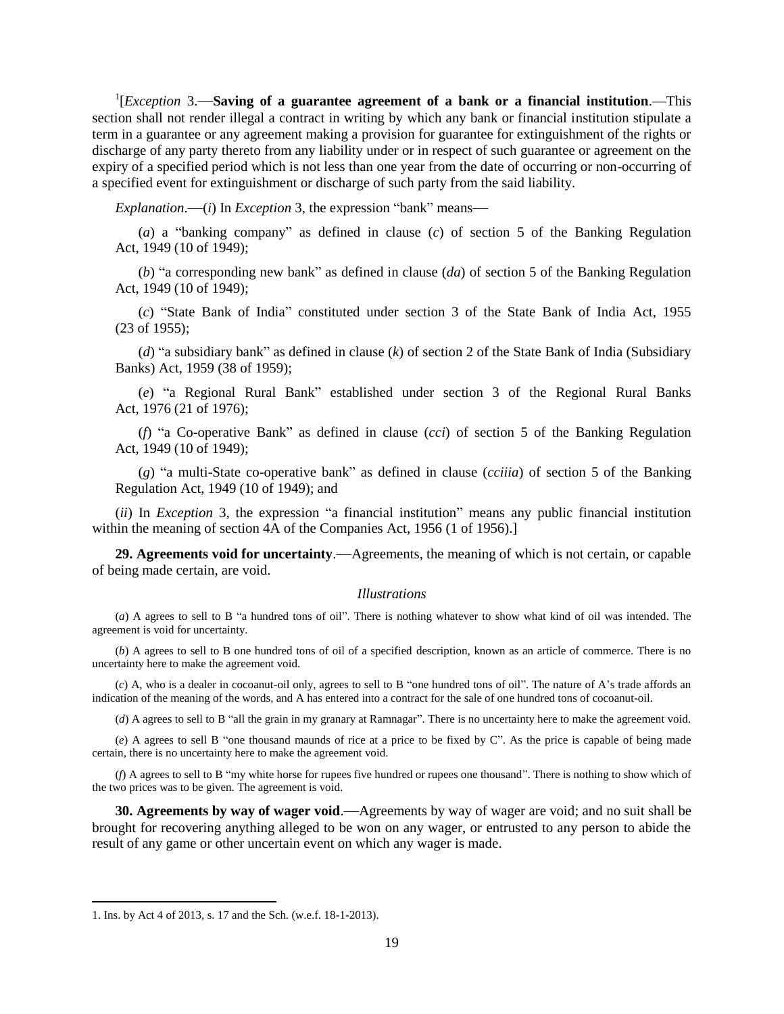1 [*Exception* 3.—**Saving of a guarantee agreement of a bank or a financial institution**.—This section shall not render illegal a contract in writing by which any bank or financial institution stipulate a term in a guarantee or any agreement making a provision for guarantee for extinguishment of the rights or discharge of any party thereto from any liability under or in respect of such guarantee or agreement on the expiry of a specified period which is not less than one year from the date of occurring or non-occurring of a specified event for extinguishment or discharge of such party from the said liability.

*Explanation*.—(*i*) In *Exception* 3, the expression "bank" means—

(*a*) a "banking company" as defined in clause (*c*) of section 5 of the Banking Regulation Act, 1949 (10 of 1949);

(*b*) "a corresponding new bank" as defined in clause (*da*) of section 5 of the Banking Regulation Act, 1949 (10 of 1949);

(*c*) "State Bank of India" constituted under section 3 of the State Bank of India Act, 1955 (23 of 1955);

(*d*) "a subsidiary bank" as defined in clause (*k*) of section 2 of the State Bank of India (Subsidiary Banks) Act, 1959 (38 of 1959);

(*e*) "a Regional Rural Bank" established under section 3 of the Regional Rural Banks Act, 1976 (21 of 1976);

(*f*) "a Co-operative Bank" as defined in clause (*cci*) of section 5 of the Banking Regulation Act, 1949 (10 of 1949);

(*g*) "a multi-State co-operative bank" as defined in clause (*cciiia*) of section 5 of the Banking Regulation Act, 1949 (10 of 1949); and

(*ii*) In *Exception* 3, the expression "a financial institution" means any public financial institution within the meaning of section  $\angle A$  of the Companies Act, 1956 (1 of 1956).]

**29. Agreements void for uncertainty**.—Agreements, the meaning of which is not certain, or capable of being made certain, are void.

## *Illustrations*

(*a*) A agrees to sell to B "a hundred tons of oil". There is nothing whatever to show what kind of oil was intended. The agreement is void for uncertainty.

(*b*) A agrees to sell to B one hundred tons of oil of a specified description, known as an article of commerce. There is no uncertainty here to make the agreement void.

(*c*) A, who is a dealer in cocoanut-oil only, agrees to sell to B "one hundred tons of oil". The nature of A"s trade affords an indication of the meaning of the words, and A has entered into a contract for the sale of one hundred tons of cocoanut-oil.

(*d*) A agrees to sell to B "all the grain in my granary at Ramnagar". There is no uncertainty here to make the agreement void.

(*e*) A agrees to sell B "one thousand maunds of rice at a price to be fixed by C". As the price is capable of being made certain, there is no uncertainty here to make the agreement void.

(*f*) A agrees to sell to B "my white horse for rupees five hundred or rupees one thousand". There is nothing to show which of the two prices was to be given. The agreement is void.

**30. Agreements by way of wager void**.—Agreements by way of wager are void; and no suit shall be brought for recovering anything alleged to be won on any wager, or entrusted to any person to abide the result of any game or other uncertain event on which any wager is made.

<sup>1.</sup> Ins. by Act 4 of 2013, s. 17 and the Sch. (w.e.f. 18-1-2013).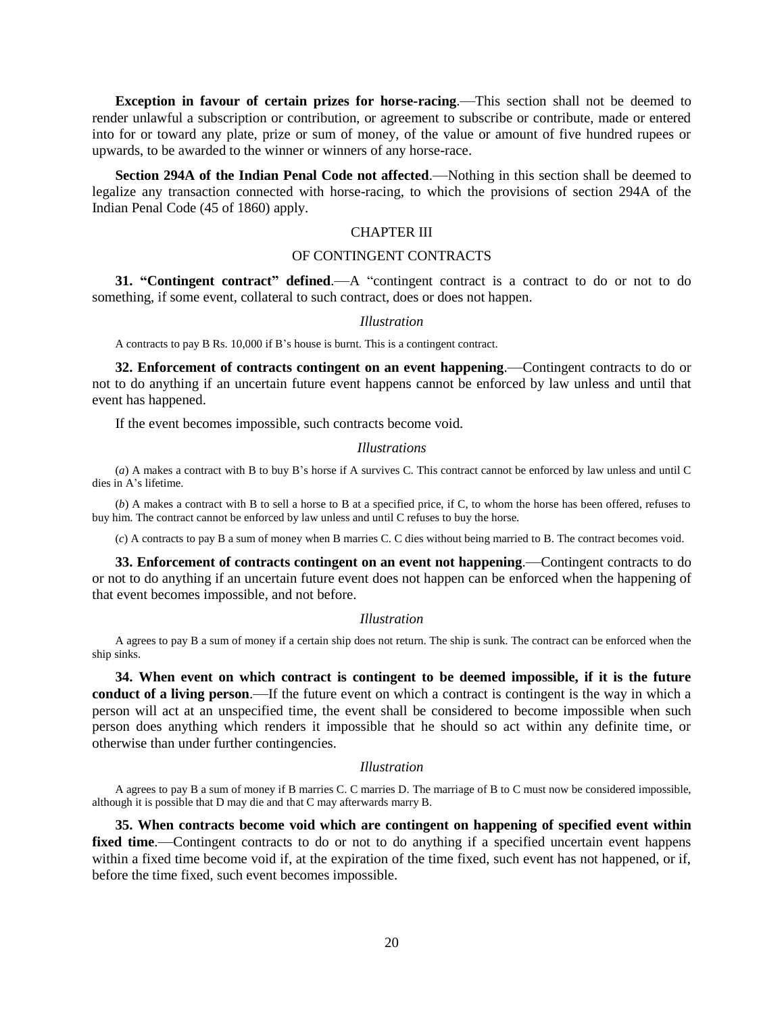**Exception in favour of certain prizes for horse-racing**.—This section shall not be deemed to render unlawful a subscription or contribution, or agreement to subscribe or contribute, made or entered into for or toward any plate, prize or sum of money, of the value or amount of five hundred rupees or upwards, to be awarded to the winner or winners of any horse-race.

**Section 294A of the Indian Penal Code not affected**.—Nothing in this section shall be deemed to legalize any transaction connected with horse-racing, to which the provisions of section 294A of the Indian Penal Code (45 of 1860) apply.

## CHAPTER III

## OF CONTINGENT CONTRACTS

**31. "Contingent contract" defined**.—A "contingent contract is a contract to do or not to do something, if some event, collateral to such contract, does or does not happen.

#### *Illustration*

A contracts to pay B Rs. 10,000 if B"s house is burnt. This is a contingent contract.

**32. Enforcement of contracts contingent on an event happening**.—Contingent contracts to do or not to do anything if an uncertain future event happens cannot be enforced by law unless and until that event has happened.

If the event becomes impossible, such contracts become void.

#### *Illustrations*

(*a*) A makes a contract with B to buy B"s horse if A survives C. This contract cannot be enforced by law unless and until C dies in A"s lifetime.

(*b*) A makes a contract with B to sell a horse to B at a specified price, if C, to whom the horse has been offered, refuses to buy him. The contract cannot be enforced by law unless and until C refuses to buy the horse.

(*c*) A contracts to pay B a sum of money when B marries C. C dies without being married to B. The contract becomes void.

**33. Enforcement of contracts contingent on an event not happening**.—Contingent contracts to do or not to do anything if an uncertain future event does not happen can be enforced when the happening of that event becomes impossible, and not before.

#### *Illustration*

A agrees to pay B a sum of money if a certain ship does not return. The ship is sunk. The contract can be enforced when the ship sinks.

**34. When event on which contract is contingent to be deemed impossible, if it is the future conduct of a living person**.—If the future event on which a contract is contingent is the way in which a person will act at an unspecified time, the event shall be considered to become impossible when such person does anything which renders it impossible that he should so act within any definite time, or otherwise than under further contingencies.

## *Illustration*

A agrees to pay B a sum of money if B marries C. C marries D. The marriage of B to C must now be considered impossible, although it is possible that D may die and that C may afterwards marry B.

**35. When contracts become void which are contingent on happening of specified event within fixed time.**—Contingent contracts to do or not to do anything if a specified uncertain event happens within a fixed time become void if, at the expiration of the time fixed, such event has not happened, or if, before the time fixed, such event becomes impossible.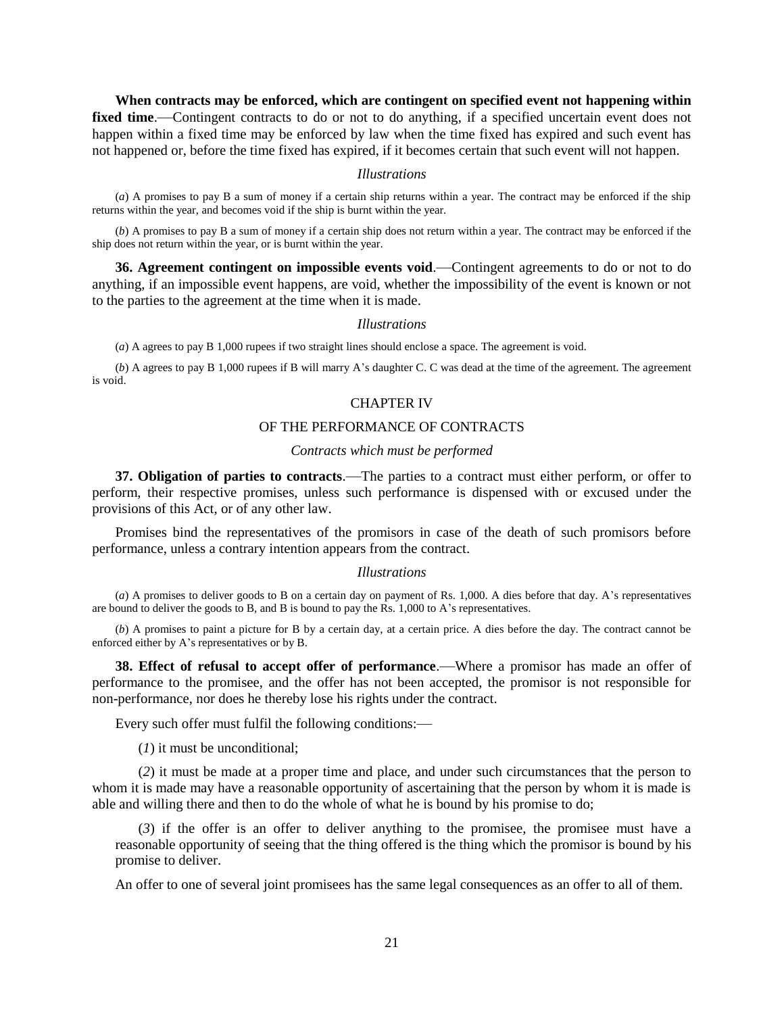**When contracts may be enforced, which are contingent on specified event not happening within fixed time.**—Contingent contracts to do or not to do anything, if a specified uncertain event does not happen within a fixed time may be enforced by law when the time fixed has expired and such event has not happened or, before the time fixed has expired, if it becomes certain that such event will not happen.

#### *Illustrations*

(*a*) A promises to pay B a sum of money if a certain ship returns within a year. The contract may be enforced if the ship returns within the year, and becomes void if the ship is burnt within the year.

(*b*) A promises to pay B a sum of money if a certain ship does not return within a year. The contract may be enforced if the ship does not return within the year, or is burnt within the year.

**36. Agreement contingent on impossible events void**.—Contingent agreements to do or not to do anything, if an impossible event happens, are void, whether the impossibility of the event is known or not to the parties to the agreement at the time when it is made.

#### *Illustrations*

(*a*) A agrees to pay B 1,000 rupees if two straight lines should enclose a space. The agreement is void.

(*b*) A agrees to pay B 1,000 rupees if B will marry A"s daughter C. C was dead at the time of the agreement. The agreement is void.

## CHAPTER IV

## OF THE PERFORMANCE OF CONTRACTS

## *Contracts which must be performed*

**37. Obligation of parties to contracts**.—The parties to a contract must either perform, or offer to perform, their respective promises, unless such performance is dispensed with or excused under the provisions of this Act, or of any other law.

Promises bind the representatives of the promisors in case of the death of such promisors before performance, unless a contrary intention appears from the contract.

#### *Illustrations*

(*a*) A promises to deliver goods to B on a certain day on payment of Rs. 1,000. A dies before that day. A"s representatives are bound to deliver the goods to B, and B is bound to pay the Rs. 1,000 to A"s representatives.

(*b*) A promises to paint a picture for B by a certain day, at a certain price. A dies before the day. The contract cannot be enforced either by A"s representatives or by B.

**38. Effect of refusal to accept offer of performance**.—Where a promisor has made an offer of performance to the promisee, and the offer has not been accepted, the promisor is not responsible for non-performance, nor does he thereby lose his rights under the contract.

Every such offer must fulfil the following conditions:—

(*1*) it must be unconditional;

(*2*) it must be made at a proper time and place, and under such circumstances that the person to whom it is made may have a reasonable opportunity of ascertaining that the person by whom it is made is able and willing there and then to do the whole of what he is bound by his promise to do;

(*3*) if the offer is an offer to deliver anything to the promisee, the promisee must have a reasonable opportunity of seeing that the thing offered is the thing which the promisor is bound by his promise to deliver.

An offer to one of several joint promisees has the same legal consequences as an offer to all of them.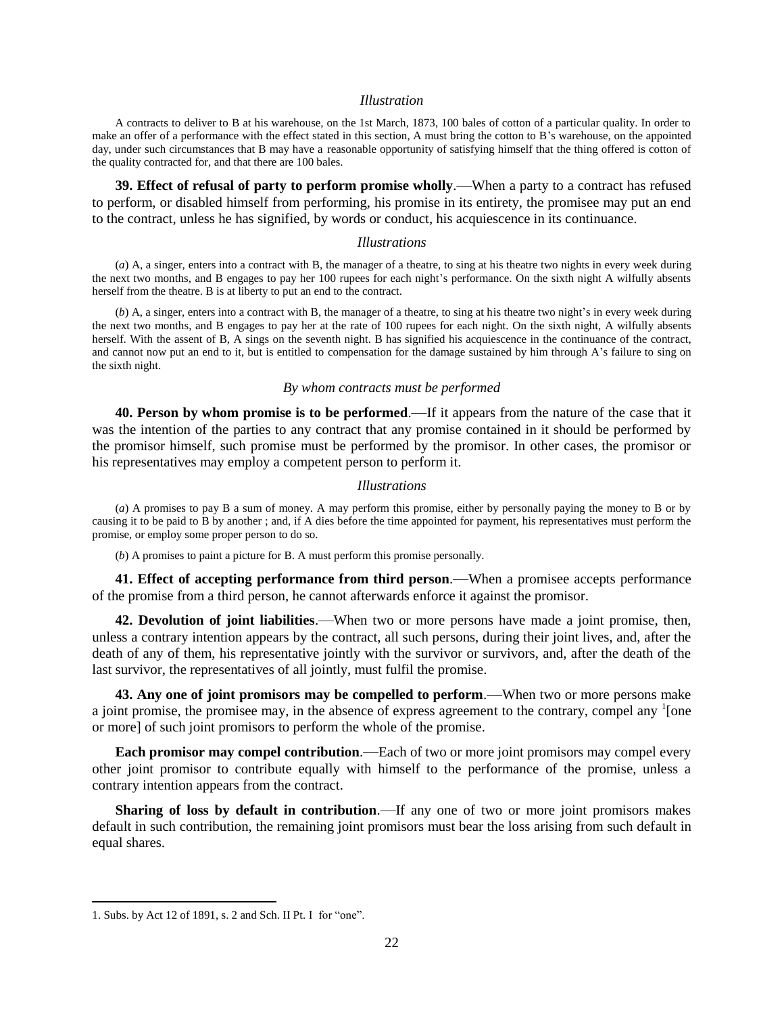#### *Illustration*

A contracts to deliver to B at his warehouse, on the 1st March, 1873, 100 bales of cotton of a particular quality. In order to make an offer of a performance with the effect stated in this section, A must bring the cotton to B"s warehouse, on the appointed day, under such circumstances that B may have a reasonable opportunity of satisfying himself that the thing offered is cotton of the quality contracted for, and that there are 100 bales.

**39. Effect of refusal of party to perform promise wholly**.—When a party to a contract has refused to perform, or disabled himself from performing, his promise in its entirety, the promisee may put an end to the contract, unless he has signified, by words or conduct, his acquiescence in its continuance.

#### *Illustrations*

(*a*) A, a singer, enters into a contract with B, the manager of a theatre, to sing at his theatre two nights in every week during the next two months, and B engages to pay her 100 rupees for each night's performance. On the sixth night A wilfully absents herself from the theatre. B is at liberty to put an end to the contract.

 $(b)$  A, a singer, enters into a contract with B, the manager of a theatre, to sing at his theatre two night's in every week during the next two months, and B engages to pay her at the rate of 100 rupees for each night. On the sixth night, A wilfully absents herself. With the assent of B, A sings on the seventh night. B has signified his acquiescence in the continuance of the contract, and cannot now put an end to it, but is entitled to compensation for the damage sustained by him through A"s failure to sing on the sixth night.

#### *By whom contracts must be performed*

**40. Person by whom promise is to be performed**.—If it appears from the nature of the case that it was the intention of the parties to any contract that any promise contained in it should be performed by the promisor himself, such promise must be performed by the promisor. In other cases, the promisor or his representatives may employ a competent person to perform it.

#### *Illustrations*

(*a*) A promises to pay B a sum of money. A may perform this promise, either by personally paying the money to B or by causing it to be paid to B by another ; and, if A dies before the time appointed for payment, his representatives must perform the promise, or employ some proper person to do so.

(*b*) A promises to paint a picture for B. A must perform this promise personally.

**41. Effect of accepting performance from third person**.—When a promisee accepts performance of the promise from a third person, he cannot afterwards enforce it against the promisor.

**42. Devolution of joint liabilities**.—When two or more persons have made a joint promise, then, unless a contrary intention appears by the contract, all such persons, during their joint lives, and, after the death of any of them, his representative jointly with the survivor or survivors, and, after the death of the last survivor, the representatives of all jointly, must fulfil the promise.

**43. Any one of joint promisors may be compelled to perform**.—When two or more persons make a joint promise, the promisee may, in the absence of express agreement to the contrary, compel any  $\frac{1}{2}$  [one or more] of such joint promisors to perform the whole of the promise.

**Each promisor may compel contribution**.—Each of two or more joint promisors may compel every other joint promisor to contribute equally with himself to the performance of the promise, unless a contrary intention appears from the contract.

**Sharing of loss by default in contribution**.—If any one of two or more joint promisors makes default in such contribution, the remaining joint promisors must bear the loss arising from such default in equal shares.

<sup>1.</sup> Subs. by Act 12 of 1891, s. 2 and Sch. II Pt. I for "one".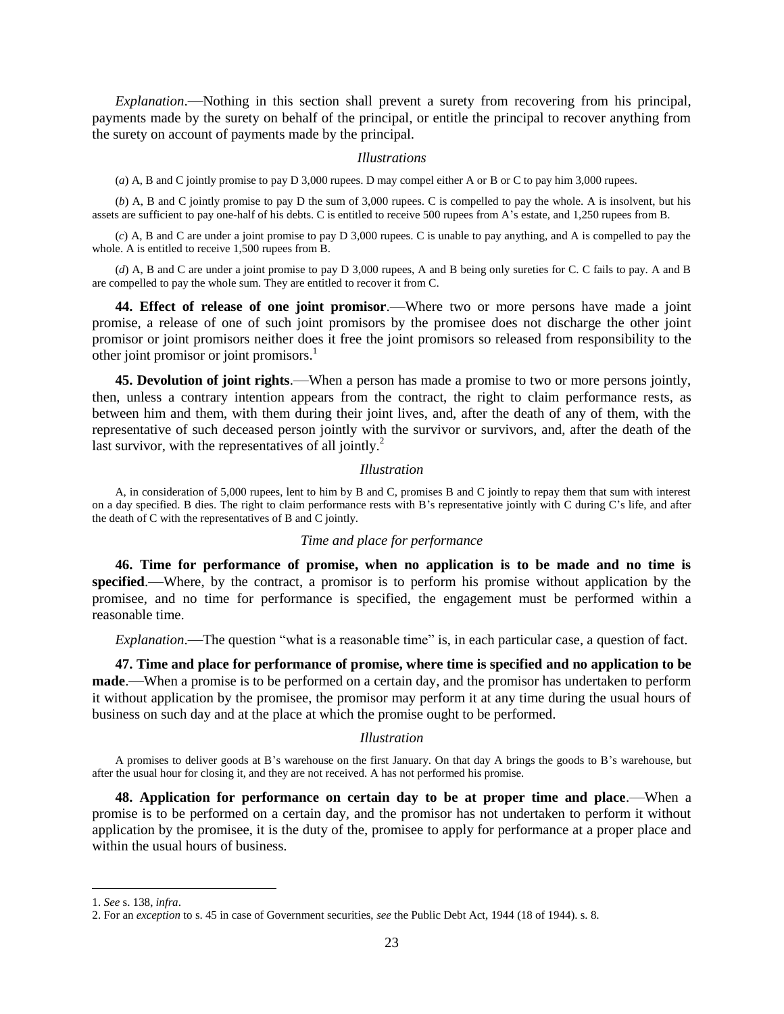*Explanation*.—Nothing in this section shall prevent a surety from recovering from his principal, payments made by the surety on behalf of the principal, or entitle the principal to recover anything from the surety on account of payments made by the principal.

#### *Illustrations*

(*a*) A, B and C jointly promise to pay D 3,000 rupees. D may compel either A or B or C to pay him 3,000 rupees.

(*b*) A, B and C jointly promise to pay D the sum of 3,000 rupees. C is compelled to pay the whole. A is insolvent, but his assets are sufficient to pay one-half of his debts. C is entitled to receive 500 rupees from A"s estate, and 1,250 rupees from B.

(*c*) A, B and C are under a joint promise to pay D 3,000 rupees. C is unable to pay anything, and A is compelled to pay the whole. A is entitled to receive 1,500 rupees from B.

(*d*) A, B and C are under a joint promise to pay D 3,000 rupees, A and B being only sureties for C. C fails to pay. A and B are compelled to pay the whole sum. They are entitled to recover it from C.

**44. Effect of release of one joint promisor**.—Where two or more persons have made a joint promise, a release of one of such joint promisors by the promisee does not discharge the other joint promisor or joint promisors neither does it free the joint promisors so released from responsibility to the other joint promisor or joint promisors. $<sup>1</sup>$ </sup>

**45. Devolution of joint rights**.—When a person has made a promise to two or more persons jointly, then, unless a contrary intention appears from the contract, the right to claim performance rests, as between him and them, with them during their joint lives, and, after the death of any of them, with the representative of such deceased person jointly with the survivor or survivors, and, after the death of the last survivor, with the representatives of all jointly.<sup>2</sup>

### *Illustration*

A, in consideration of 5,000 rupees, lent to him by B and C, promises B and C jointly to repay them that sum with interest on a day specified. B dies. The right to claim performance rests with B"s representative jointly with C during C"s life, and after the death of C with the representatives of B and C jointly.

## *Time and place for performance*

**46. Time for performance of promise, when no application is to be made and no time is specified**.—Where, by the contract, a promisor is to perform his promise without application by the promisee, and no time for performance is specified, the engagement must be performed within a reasonable time.

*Explanation*.—The question "what is a reasonable time" is, in each particular case, a question of fact.

**47. Time and place for performance of promise, where time is specified and no application to be made**.—When a promise is to be performed on a certain day, and the promisor has undertaken to perform it without application by the promisee, the promisor may perform it at any time during the usual hours of business on such day and at the place at which the promise ought to be performed.

#### *Illustration*

A promises to deliver goods at B"s warehouse on the first January. On that day A brings the goods to B"s warehouse, but after the usual hour for closing it, and they are not received. A has not performed his promise.

**48. Application for performance on certain day to be at proper time and place**.—When a promise is to be performed on a certain day, and the promisor has not undertaken to perform it without application by the promisee, it is the duty of the, promisee to apply for performance at a proper place and within the usual hours of business.

 $\overline{a}$ 

<sup>1.</sup> *See* s. 138, *infra*.

<sup>2.</sup> For an *exception* to s. 45 in case of Government securities, *see* the Public Debt Act, 1944 (18 of 1944). s. 8.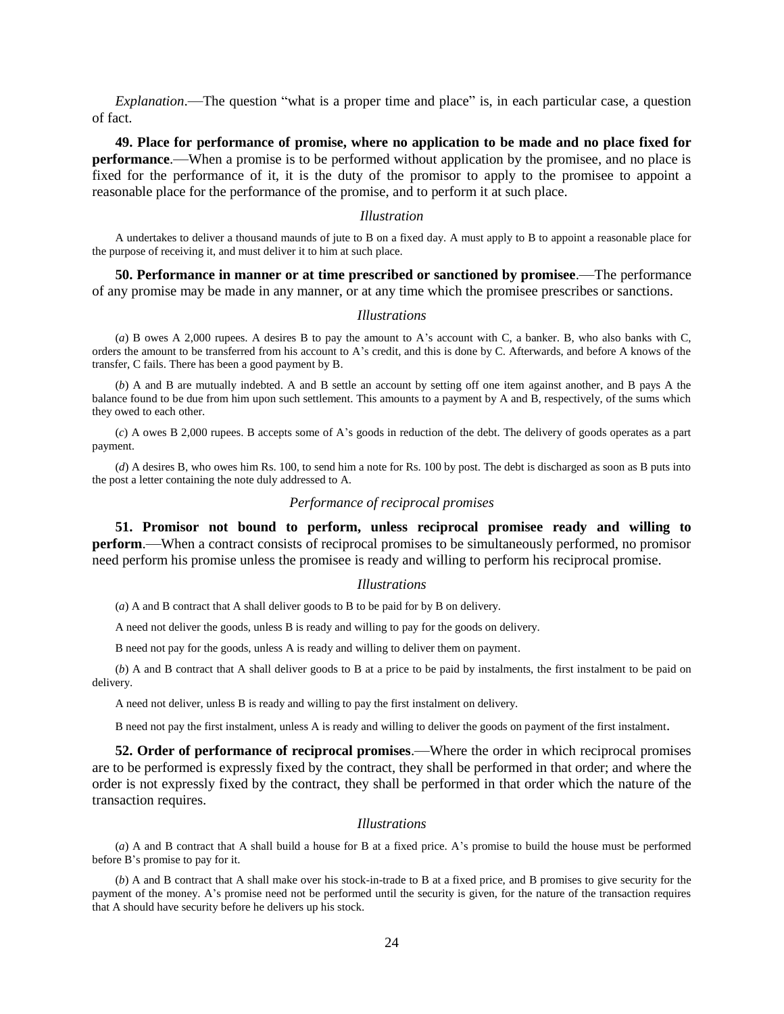*Explanation*.—The question "what is a proper time and place" is, in each particular case, a question of fact.

**49. Place for performance of promise, where no application to be made and no place fixed for performance**.—When a promise is to be performed without application by the promisee, and no place is fixed for the performance of it, it is the duty of the promisor to apply to the promisee to appoint a reasonable place for the performance of the promise, and to perform it at such place.

#### *Illustration*

A undertakes to deliver a thousand maunds of jute to B on a fixed day. A must apply to B to appoint a reasonable place for the purpose of receiving it, and must deliver it to him at such place.

## **50. Performance in manner or at time prescribed or sanctioned by promisee**.—The performance of any promise may be made in any manner, or at any time which the promisee prescribes or sanctions.

#### *Illustrations*

(*a*) B owes A 2,000 rupees. A desires B to pay the amount to A"s account with C, a banker. B, who also banks with C, orders the amount to be transferred from his account to A"s credit, and this is done by C. Afterwards, and before A knows of the transfer, C fails. There has been a good payment by B.

(*b*) A and B are mutually indebted. A and B settle an account by setting off one item against another, and B pays A the balance found to be due from him upon such settlement. This amounts to a payment by A and B, respectively, of the sums which they owed to each other.

(*c*) A owes B 2,000 rupees. B accepts some of A"s goods in reduction of the debt. The delivery of goods operates as a part payment.

(*d*) A desires B, who owes him Rs. 100, to send him a note for Rs. 100 by post. The debt is discharged as soon as B puts into the post a letter containing the note duly addressed to A.

### *Performance of reciprocal promises*

**51. Promisor not bound to perform, unless reciprocal promisee ready and willing to perform**.—When a contract consists of reciprocal promises to be simultaneously performed, no promisor need perform his promise unless the promisee is ready and willing to perform his reciprocal promise.

#### *Illustrations*

(*a*) A and B contract that A shall deliver goods to B to be paid for by B on delivery.

A need not deliver the goods, unless B is ready and willing to pay for the goods on delivery.

B need not pay for the goods, unless A is ready and willing to deliver them on payment.

(*b*) A and B contract that A shall deliver goods to B at a price to be paid by instalments, the first instalment to be paid on delivery.

A need not deliver, unless B is ready and willing to pay the first instalment on delivery.

B need not pay the first instalment, unless A is ready and willing to deliver the goods on payment of the first instalment.

**52. Order of performance of reciprocal promises**.—Where the order in which reciprocal promises are to be performed is expressly fixed by the contract, they shall be performed in that order; and where the order is not expressly fixed by the contract, they shall be performed in that order which the nature of the transaction requires.

## *Illustrations*

(*a*) A and B contract that A shall build a house for B at a fixed price. A"s promise to build the house must be performed before B"s promise to pay for it.

(*b*) A and B contract that A shall make over his stock-in-trade to B at a fixed price, and B promises to give security for the payment of the money. A"s promise need not be performed until the security is given, for the nature of the transaction requires that A should have security before he delivers up his stock.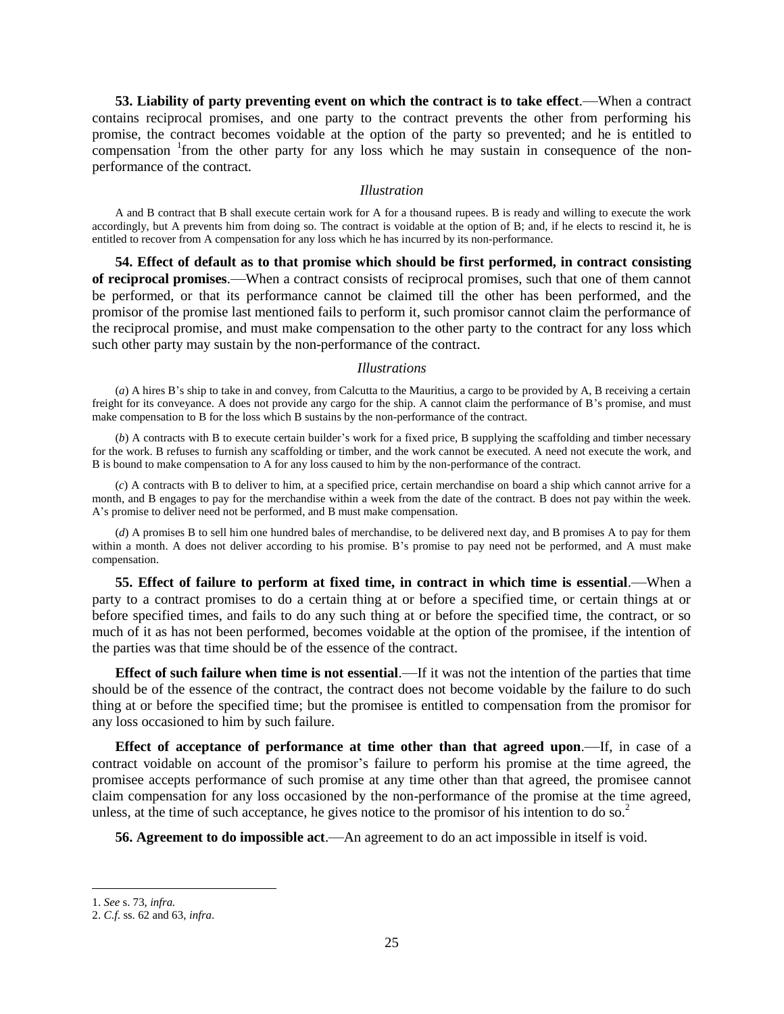**53. Liability of party preventing event on which the contract is to take effect**.—When a contract contains reciprocal promises, and one party to the contract prevents the other from performing his promise, the contract becomes voidable at the option of the party so prevented; and he is entitled to compensation  $1$ from the other party for any loss which he may sustain in consequence of the nonperformance of the contract.

#### *Illustration*

A and B contract that B shall execute certain work for A for a thousand rupees. B is ready and willing to execute the work accordingly, but A prevents him from doing so. The contract is voidable at the option of B; and, if he elects to rescind it, he is entitled to recover from A compensation for any loss which he has incurred by its non-performance.

**54. Effect of default as to that promise which should be first performed, in contract consisting of reciprocal promises**.—When a contract consists of reciprocal promises, such that one of them cannot be performed, or that its performance cannot be claimed till the other has been performed, and the promisor of the promise last mentioned fails to perform it, such promisor cannot claim the performance of the reciprocal promise, and must make compensation to the other party to the contract for any loss which such other party may sustain by the non-performance of the contract.

#### *Illustrations*

(*a*) A hires B"s ship to take in and convey, from Calcutta to the Mauritius, a cargo to be provided by A, B receiving a certain freight for its conveyance. A does not provide any cargo for the ship. A cannot claim the performance of B"s promise, and must make compensation to B for the loss which B sustains by the non-performance of the contract.

(*b*) A contracts with B to execute certain builder"s work for a fixed price, B supplying the scaffolding and timber necessary for the work. B refuses to furnish any scaffolding or timber, and the work cannot be executed. A need not execute the work, and B is bound to make compensation to A for any loss caused to him by the non-performance of the contract.

(*c*) A contracts with B to deliver to him, at a specified price, certain merchandise on board a ship which cannot arrive for a month, and B engages to pay for the merchandise within a week from the date of the contract. B does not pay within the week. A"s promise to deliver need not be performed, and B must make compensation.

(*d*) A promises B to sell him one hundred bales of merchandise, to be delivered next day, and B promises A to pay for them within a month. A does not deliver according to his promise. B's promise to pay need not be performed, and A must make compensation.

**55. Effect of failure to perform at fixed time, in contract in which time is essential**.—When a party to a contract promises to do a certain thing at or before a specified time, or certain things at or before specified times, and fails to do any such thing at or before the specified time, the contract, or so much of it as has not been performed, becomes voidable at the option of the promisee, if the intention of the parties was that time should be of the essence of the contract.

**Effect of such failure when time is not essential**.—If it was not the intention of the parties that time should be of the essence of the contract, the contract does not become voidable by the failure to do such thing at or before the specified time; but the promisee is entitled to compensation from the promisor for any loss occasioned to him by such failure.

**Effect of acceptance of performance at time other than that agreed upon**.—If, in case of a contract voidable on account of the promisor"s failure to perform his promise at the time agreed, the promisee accepts performance of such promise at any time other than that agreed, the promisee cannot claim compensation for any loss occasioned by the non-performance of the promise at the time agreed, unless, at the time of such acceptance, he gives notice to the promisor of his intention to do so.<sup>2</sup>

**56. Agreement to do impossible act**.—An agreement to do an act impossible in itself is void.

 $\overline{a}$ 

<sup>1.</sup> *See* s. 73, *infra.*

<sup>2.</sup> *C.f*. ss. 62 and 63, *infra*.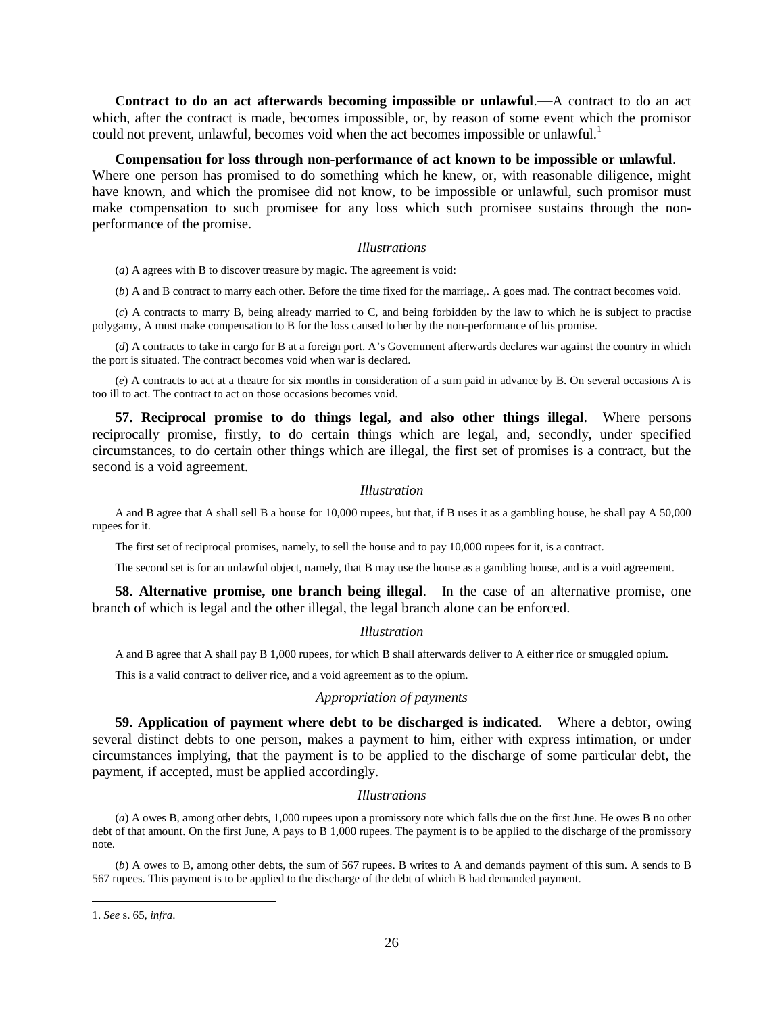**Contract to do an act afterwards becoming impossible or unlawful**.—A contract to do an act which, after the contract is made, becomes impossible, or, by reason of some event which the promisor could not prevent, unlawful, becomes void when the act becomes impossible or unlawful. $<sup>1</sup>$ </sup>

**Compensation for loss through non-performance of act known to be impossible or unlawful**.— Where one person has promised to do something which he knew, or, with reasonable diligence, might have known, and which the promisee did not know, to be impossible or unlawful, such promisor must make compensation to such promisee for any loss which such promisee sustains through the nonperformance of the promise.

### *Illustrations*

(*a*) A agrees with B to discover treasure by magic. The agreement is void:

(*b*) A and B contract to marry each other. Before the time fixed for the marriage,. A goes mad. The contract becomes void.

(*c*) A contracts to marry B, being already married to C, and being forbidden by the law to which he is subject to practise polygamy, A must make compensation to B for the loss caused to her by the non-performance of his promise.

(*d*) A contracts to take in cargo for B at a foreign port. A"s Government afterwards declares war against the country in which the port is situated. The contract becomes void when war is declared.

(*e*) A contracts to act at a theatre for six months in consideration of a sum paid in advance by B. On several occasions A is too ill to act. The contract to act on those occasions becomes void.

**57. Reciprocal promise to do things legal, and also other things illegal**.—Where persons reciprocally promise, firstly, to do certain things which are legal, and, secondly, under specified circumstances, to do certain other things which are illegal, the first set of promises is a contract, but the second is a void agreement.

#### *Illustration*

A and B agree that A shall sell B a house for 10,000 rupees, but that, if B uses it as a gambling house, he shall pay A 50,000 rupees for it.

The first set of reciprocal promises, namely, to sell the house and to pay 10,000 rupees for it, is a contract.

The second set is for an unlawful object, namely, that B may use the house as a gambling house, and is a void agreement.

**58. Alternative promise, one branch being illegal**.—In the case of an alternative promise, one branch of which is legal and the other illegal, the legal branch alone can be enforced.

### *Illustration*

A and B agree that A shall pay B 1,000 rupees, for which B shall afterwards deliver to A either rice or smuggled opium.

This is a valid contract to deliver rice, and a void agreement as to the opium.

### *Appropriation of payments*

**59. Application of payment where debt to be discharged is indicated**.—Where a debtor, owing several distinct debts to one person, makes a payment to him, either with express intimation, or under circumstances implying, that the payment is to be applied to the discharge of some particular debt, the payment, if accepted, must be applied accordingly.

#### *Illustrations*

(*a*) A owes B, among other debts, 1,000 rupees upon a promissory note which falls due on the first June. He owes B no other debt of that amount. On the first June, A pays to B 1,000 rupees. The payment is to be applied to the discharge of the promissory note.

(*b*) A owes to B, among other debts, the sum of 567 rupees. B writes to A and demands payment of this sum. A sends to B 567 rupees. This payment is to be applied to the discharge of the debt of which B had demanded payment.

<sup>1.</sup> *See* s. 65, *infra*.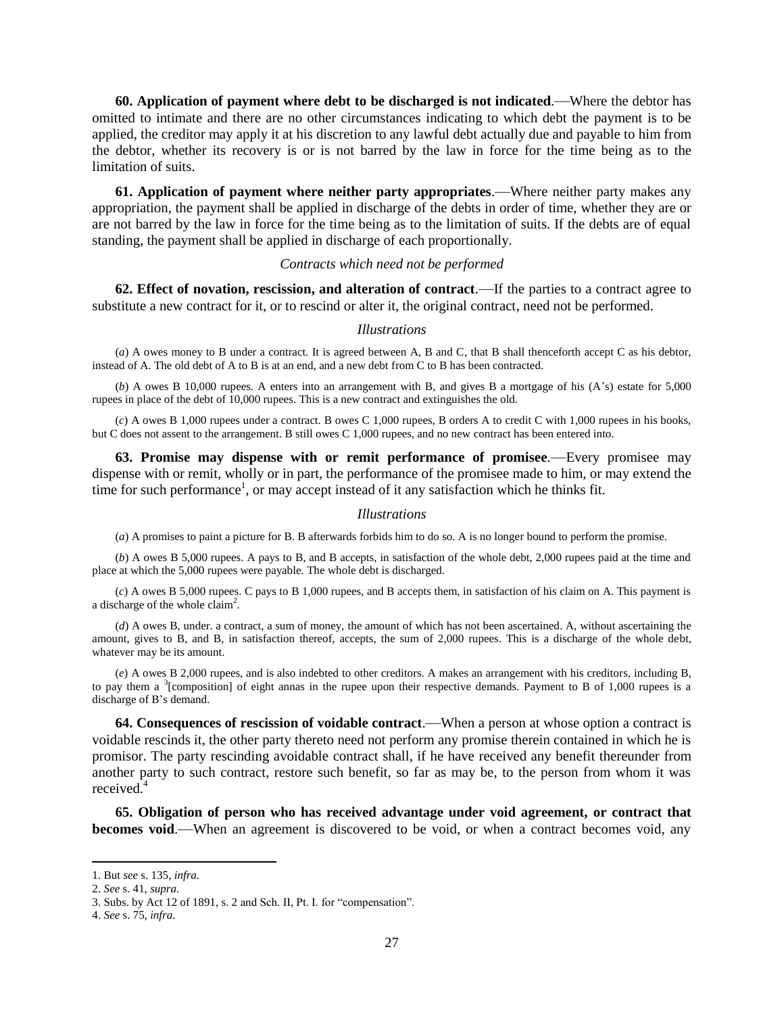**60. Application of payment where debt to be discharged is not indicated**.—Where the debtor has omitted to intimate and there are no other circumstances indicating to which debt the payment is to be applied, the creditor may apply it at his discretion to any lawful debt actually due and payable to him from the debtor, whether its recovery is or is not barred by the law in force for the time being as to the limitation of suits.

**61. Application of payment where neither party appropriates**.—Where neither party makes any appropriation, the payment shall be applied in discharge of the debts in order of time, whether they are or are not barred by the law in force for the time being as to the limitation of suits. If the debts are of equal standing, the payment shall be applied in discharge of each proportionally.

#### *Contracts which need not be performed*

**62. Effect of novation, rescission, and alteration of contract**.—If the parties to a contract agree to substitute a new contract for it, or to rescind or alter it, the original contract, need not be performed.

#### *Illustrations*

(*a*) A owes money to B under a contract. It is agreed between A, B and C, that B shall thenceforth accept C as his debtor, instead of A. The old debt of A to B is at an end, and a new debt from C to B has been contracted.

(*b*) A owes B 10,000 rupees. A enters into an arrangement with B, and gives B a mortgage of his (A"s) estate for 5,000 rupees in place of the debt of 10,000 rupees. This is a new contract and extinguishes the old.

(*c*) A owes B 1,000 rupees under a contract. B owes C 1,000 rupees, B orders A to credit C with 1,000 rupees in his books, but C does not assent to the arrangement. B still owes C 1,000 rupees, and no new contract has been entered into.

**63. Promise may dispense with or remit performance of promisee**.—Every promisee may dispense with or remit, wholly or in part, the performance of the promisee made to him, or may extend the time for such performance<sup>1</sup>, or may accept instead of it any satisfaction which he thinks fit.

#### *Illustrations*

(*a*) A promises to paint a picture for B. B afterwards forbids him to do so. A is no longer bound to perform the promise.

(*b*) A owes B 5,000 rupees. A pays to B, and B accepts, in satisfaction of the whole debt, 2,000 rupees paid at the time and place at which the 5,000 rupees were payable. The whole debt is discharged.

(*c*) A owes B 5,000 rupees. C pays to B 1,000 rupees, and B accepts them, in satisfaction of his claim on A. This payment is a discharge of the whole claim<sup>2</sup>.

(*d*) A owes B, under. a contract, a sum of money, the amount of which has not been ascertained. A, without ascertaining the amount, gives to B, and B, in satisfaction thereof, accepts, the sum of 2,000 rupees. This is a discharge of the whole debt, whatever may be its amount.

(*e*) A owes B 2,000 rupees, and is also indebted to other creditors. A makes an arrangement with his creditors, including B, to pay them a  $\frac{3}{2}$ [composition] of eight annas in the rupee upon their respective demands. Payment to B of 1,000 rupees is a discharge of B"s demand.

**64. Consequences of rescission of voidable contract**.—When a person at whose option a contract is voidable rescinds it, the other party thereto need not perform any promise therein contained in which he is promisor. The party rescinding avoidable contract shall, if he have received any benefit thereunder from another party to such contract, restore such benefit, so far as may be, to the person from whom it was received.<sup>4</sup>

**65. Obligation of person who has received advantage under void agreement, or contract that becomes void.**—When an agreement is discovered to be void, or when a contract becomes void, any

<sup>1.</sup> But *see* s. 135, *infra*.

<sup>2.</sup> *See* s. 41, *supra*.

<sup>3.</sup> Subs. by Act 12 of 1891, s. 2 and Sch. II, Pt. I. for "compensation".

<sup>4.</sup> *See* s. 75, *infra*.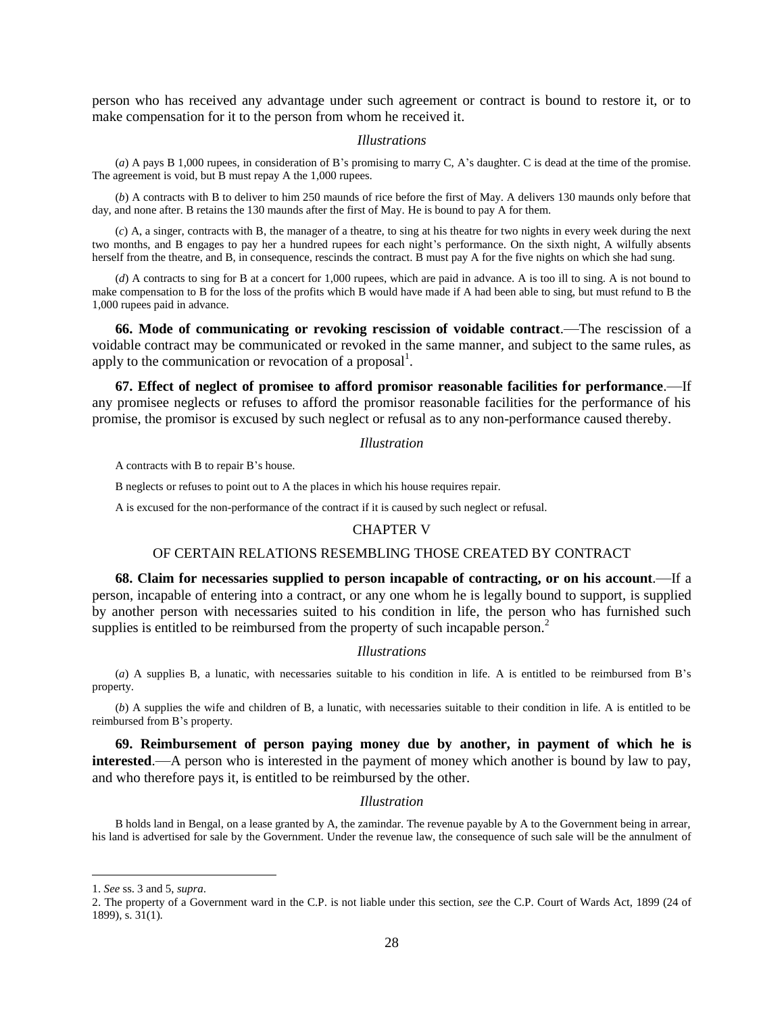person who has received any advantage under such agreement or contract is bound to restore it, or to make compensation for it to the person from whom he received it.

#### *Illustrations*

(*a*) A pays B 1,000 rupees, in consideration of B"s promising to marry C, A"s daughter. C is dead at the time of the promise. The agreement is void, but B must repay A the 1,000 rupees.

(*b*) A contracts with B to deliver to him 250 maunds of rice before the first of May. A delivers 130 maunds only before that day, and none after. B retains the 130 maunds after the first of May. He is bound to pay A for them.

(*c*) A, a singer, contracts with B, the manager of a theatre, to sing at his theatre for two nights in every week during the next two months, and B engages to pay her a hundred rupees for each night's performance. On the sixth night, A wilfully absents herself from the theatre, and B, in consequence, rescinds the contract. B must pay A for the five nights on which she had sung.

(*d*) A contracts to sing for B at a concert for 1,000 rupees, which are paid in advance. A is too ill to sing. A is not bound to make compensation to B for the loss of the profits which B would have made if A had been able to sing, but must refund to B the 1,000 rupees paid in advance.

**66. Mode of communicating or revoking rescission of voidable contract**.—The rescission of a voidable contract may be communicated or revoked in the same manner, and subject to the same rules, as apply to the communication or revocation of a proposal<sup>1</sup>.

**67. Effect of neglect of promisee to afford promisor reasonable facilities for performance**.—If any promisee neglects or refuses to afford the promisor reasonable facilities for the performance of his promise, the promisor is excused by such neglect or refusal as to any non-performance caused thereby.

#### *Illustration*

A contracts with B to repair B"s house.

B neglects or refuses to point out to A the places in which his house requires repair.

A is excused for the non-performance of the contract if it is caused by such neglect or refusal.

#### CHAPTER V

## OF CERTAIN RELATIONS RESEMBLING THOSE CREATED BY CONTRACT

**68. Claim for necessaries supplied to person incapable of contracting, or on his account**.—If a person, incapable of entering into a contract, or any one whom he is legally bound to support, is supplied by another person with necessaries suited to his condition in life, the person who has furnished such supplies is entitled to be reimbursed from the property of such incapable person.<sup>2</sup>

#### *Illustrations*

(*a*) A supplies B, a lunatic, with necessaries suitable to his condition in life. A is entitled to be reimbursed from B"s property.

(*b*) A supplies the wife and children of B, a lunatic, with necessaries suitable to their condition in life. A is entitled to be reimbursed from B"s property.

**69. Reimbursement of person paying money due by another, in payment of which he is interested**.—A person who is interested in the payment of money which another is bound by law to pay, and who therefore pays it, is entitled to be reimbursed by the other.

## *Illustration*

B holds land in Bengal, on a lease granted by A, the zamindar. The revenue payable by A to the Government being in arrear, his land is advertised for sale by the Government. Under the revenue law, the consequence of such sale will be the annulment of

l

<sup>1.</sup> *See* ss. 3 and 5, *supra*.

<sup>2.</sup> The property of a Government ward in the C.P. is not liable under this section, *see* the C.P. Court of Wards Act, 1899 (24 of 1899), s. 31(1).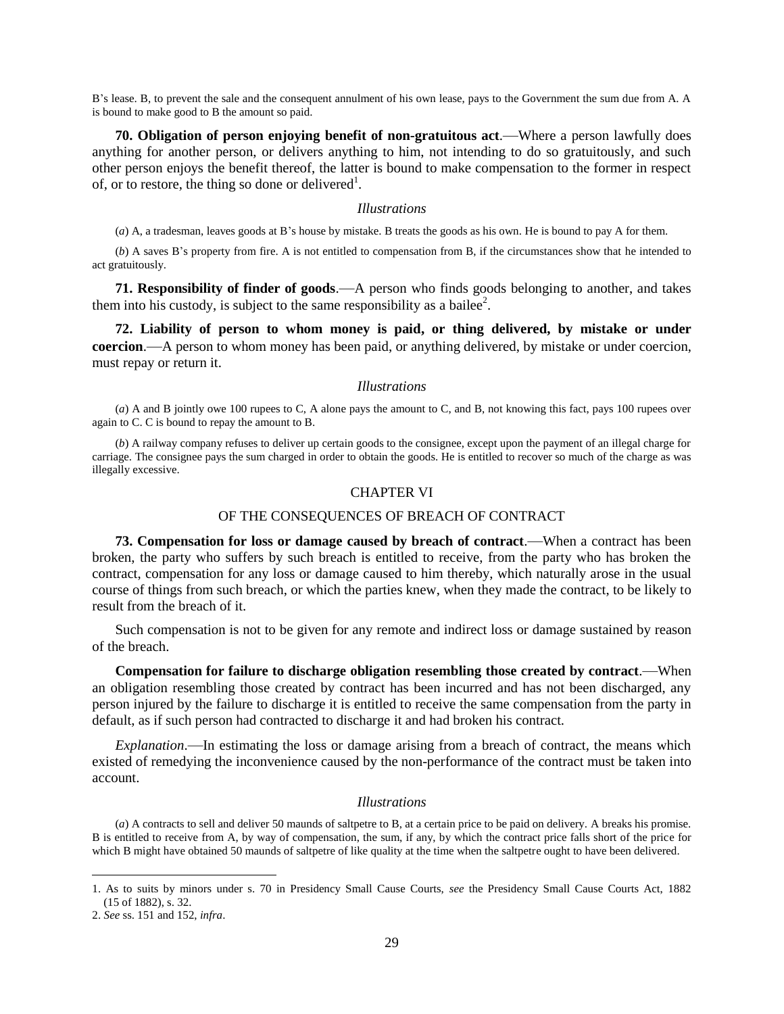B"s lease. B, to prevent the sale and the consequent annulment of his own lease, pays to the Government the sum due from A. A is bound to make good to B the amount so paid.

**70. Obligation of person enjoying benefit of non-gratuitous act**.—Where a person lawfully does anything for another person, or delivers anything to him, not intending to do so gratuitously, and such other person enjoys the benefit thereof, the latter is bound to make compensation to the former in respect of, or to restore, the thing so done or delivered<sup>1</sup>.

#### *Illustrations*

(*a*) A, a tradesman, leaves goods at B"s house by mistake. B treats the goods as his own. He is bound to pay A for them.

(*b*) A saves B"s property from fire. A is not entitled to compensation from B, if the circumstances show that he intended to act gratuitously.

**71. Responsibility of finder of goods**.—A person who finds goods belonging to another, and takes them into his custody, is subject to the same responsibility as a bailee<sup>2</sup>.

**72. Liability of person to whom money is paid, or thing delivered, by mistake or under coercion**.—A person to whom money has been paid, or anything delivered, by mistake or under coercion, must repay or return it.

## *Illustrations*

(*a*) A and B jointly owe 100 rupees to C, A alone pays the amount to C, and B, not knowing this fact, pays 100 rupees over again to C. C is bound to repay the amount to B.

(*b*) A railway company refuses to deliver up certain goods to the consignee, except upon the payment of an illegal charge for carriage. The consignee pays the sum charged in order to obtain the goods. He is entitled to recover so much of the charge as was illegally excessive.

## CHAPTER VI

## OF THE CONSEQUENCES OF BREACH OF CONTRACT

**73. Compensation for loss or damage caused by breach of contract**.—When a contract has been broken, the party who suffers by such breach is entitled to receive, from the party who has broken the contract, compensation for any loss or damage caused to him thereby, which naturally arose in the usual course of things from such breach, or which the parties knew, when they made the contract, to be likely to result from the breach of it.

Such compensation is not to be given for any remote and indirect loss or damage sustained by reason of the breach.

**Compensation for failure to discharge obligation resembling those created by contract**.—When an obligation resembling those created by contract has been incurred and has not been discharged, any person injured by the failure to discharge it is entitled to receive the same compensation from the party in default, as if such person had contracted to discharge it and had broken his contract.

*Explanation*.—In estimating the loss or damage arising from a breach of contract, the means which existed of remedying the inconvenience caused by the non-performance of the contract must be taken into account.

### *Illustrations*

(*a*) A contracts to sell and deliver 50 maunds of saltpetre to B, at a certain price to be paid on delivery. A breaks his promise. B is entitled to receive from A, by way of compensation, the sum, if any, by which the contract price falls short of the price for which B might have obtained 50 maunds of saltpetre of like quality at the time when the saltpetre ought to have been delivered.

l

<sup>1.</sup> As to suits by minors under s. 70 in Presidency Small Cause Courts, *see* the Presidency Small Cause Courts Act, 1882 (15 of 1882), s. 32.

<sup>2.</sup> *See* ss. 151 and 152, *infra*.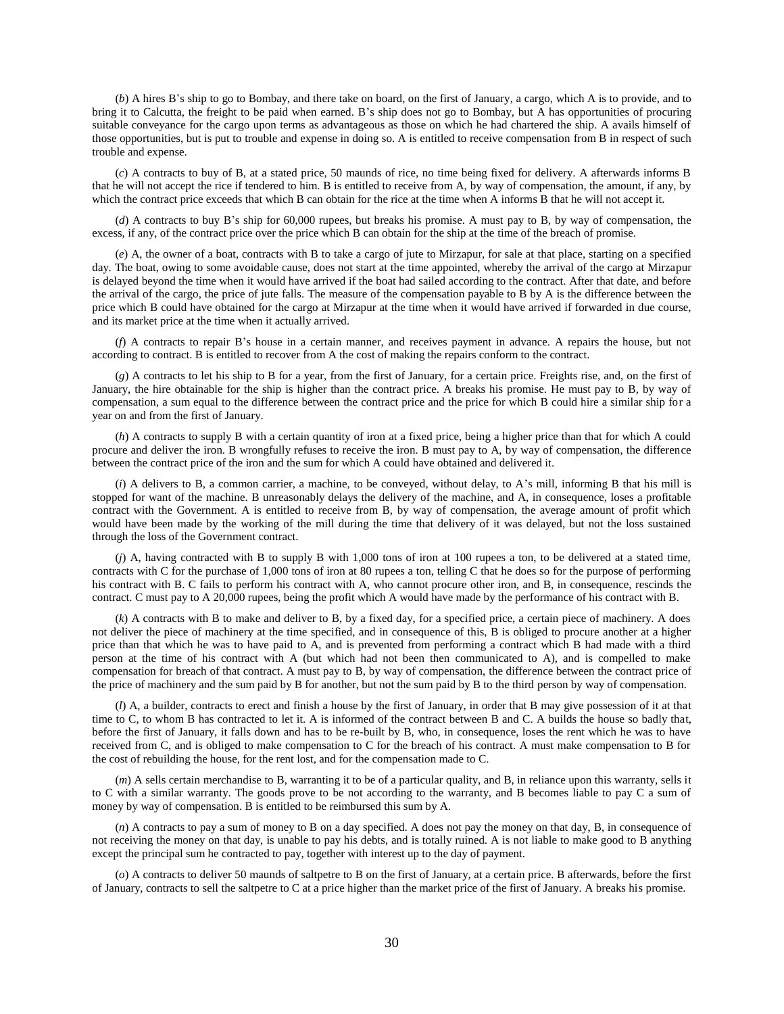(*b*) A hires B"s ship to go to Bombay, and there take on board, on the first of January, a cargo, which A is to provide, and to bring it to Calcutta, the freight to be paid when earned. B"s ship does not go to Bombay, but A has opportunities of procuring suitable conveyance for the cargo upon terms as advantageous as those on which he had chartered the ship. A avails himself of those opportunities, but is put to trouble and expense in doing so. A is entitled to receive compensation from B in respect of such trouble and expense.

(*c*) A contracts to buy of B, at a stated price, 50 maunds of rice, no time being fixed for delivery. A afterwards informs B that he will not accept the rice if tendered to him. B is entitled to receive from A, by way of compensation, the amount, if any, by which the contract price exceeds that which B can obtain for the rice at the time when A informs B that he will not accept it.

(*d*) A contracts to buy B"s ship for 60,000 rupees, but breaks his promise. A must pay to B, by way of compensation, the excess, if any, of the contract price over the price which B can obtain for the ship at the time of the breach of promise.

(*e*) A, the owner of a boat, contracts with B to take a cargo of jute to Mirzapur, for sale at that place, starting on a specified day. The boat, owing to some avoidable cause, does not start at the time appointed, whereby the arrival of the cargo at Mirzapur is delayed beyond the time when it would have arrived if the boat had sailed according to the contract. After that date, and before the arrival of the cargo, the price of jute falls. The measure of the compensation payable to B by A is the difference between the price which B could have obtained for the cargo at Mirzapur at the time when it would have arrived if forwarded in due course, and its market price at the time when it actually arrived.

(*f*) A contracts to repair B"s house in a certain manner, and receives payment in advance. A repairs the house, but not according to contract. B is entitled to recover from A the cost of making the repairs conform to the contract.

(*g*) A contracts to let his ship to B for a year, from the first of January, for a certain price. Freights rise, and, on the first of January, the hire obtainable for the ship is higher than the contract price. A breaks his promise. He must pay to B, by way of compensation, a sum equal to the difference between the contract price and the price for which B could hire a similar ship for a year on and from the first of January.

(*h*) A contracts to supply B with a certain quantity of iron at a fixed price, being a higher price than that for which A could procure and deliver the iron. B wrongfully refuses to receive the iron. B must pay to A, by way of compensation, the difference between the contract price of the iron and the sum for which A could have obtained and delivered it.

(*i*) A delivers to B, a common carrier, a machine, to be conveyed, without delay, to A"s mill, informing B that his mill is stopped for want of the machine. B unreasonably delays the delivery of the machine, and A, in consequence, loses a profitable contract with the Government. A is entitled to receive from B, by way of compensation, the average amount of profit which would have been made by the working of the mill during the time that delivery of it was delayed, but not the loss sustained through the loss of the Government contract.

(*j*) A, having contracted with B to supply B with 1,000 tons of iron at 100 rupees a ton, to be delivered at a stated time, contracts with C for the purchase of 1,000 tons of iron at 80 rupees a ton, telling C that he does so for the purpose of performing his contract with B. C fails to perform his contract with A, who cannot procure other iron, and B, in consequence, rescinds the contract. C must pay to A 20,000 rupees, being the profit which A would have made by the performance of his contract with B.

(*k*) A contracts with B to make and deliver to B, by a fixed day, for a specified price, a certain piece of machinery. A does not deliver the piece of machinery at the time specified, and in consequence of this, B is obliged to procure another at a higher price than that which he was to have paid to A, and is prevented from performing a contract which B had made with a third person at the time of his contract with A (but which had not been then communicated to A), and is compelled to make compensation for breach of that contract. A must pay to B, by way of compensation, the difference between the contract price of the price of machinery and the sum paid by B for another, but not the sum paid by B to the third person by way of compensation.

(*l*) A, a builder, contracts to erect and finish a house by the first of January, in order that B may give possession of it at that time to C, to whom B has contracted to let it. A is informed of the contract between B and C. A builds the house so badly that, before the first of January, it falls down and has to be re-built by B, who, in consequence, loses the rent which he was to have received from C, and is obliged to make compensation to C for the breach of his contract. A must make compensation to B for the cost of rebuilding the house, for the rent lost, and for the compensation made to C.

(*m*) A sells certain merchandise to B, warranting it to be of a particular quality, and B, in reliance upon this warranty, sells it to C with a similar warranty. The goods prove to be not according to the warranty, and B becomes liable to pay C a sum of money by way of compensation. B is entitled to be reimbursed this sum by A.

(*n*) A contracts to pay a sum of money to B on a day specified. A does not pay the money on that day, B, in consequence of not receiving the money on that day, is unable to pay his debts, and is totally ruined. A is not liable to make good to B anything except the principal sum he contracted to pay, together with interest up to the day of payment.

(*o*) A contracts to deliver 50 maunds of saltpetre to B on the first of January, at a certain price. B afterwards, before the first of January, contracts to sell the saltpetre to C at a price higher than the market price of the first of January. A breaks his promise.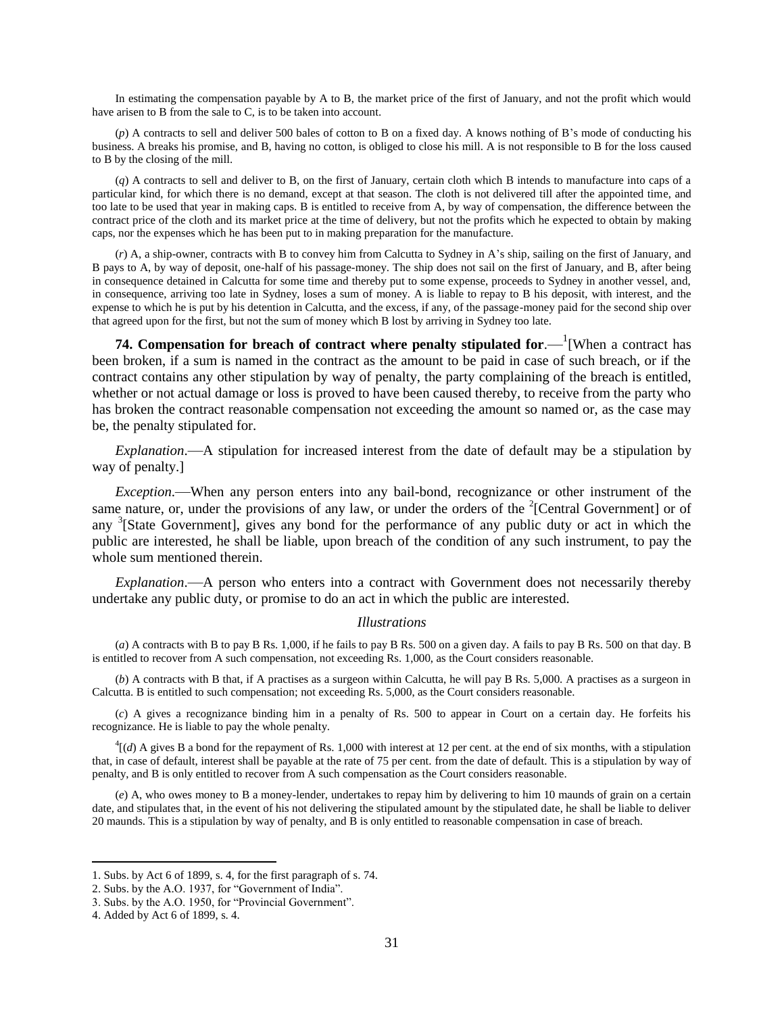In estimating the compensation payable by A to B, the market price of the first of January, and not the profit which would have arisen to B from the sale to C, is to be taken into account.

(*p*) A contracts to sell and deliver 500 bales of cotton to B on a fixed day. A knows nothing of B"s mode of conducting his business. A breaks his promise, and B, having no cotton, is obliged to close his mill. A is not responsible to B for the loss caused to B by the closing of the mill.

(*q*) A contracts to sell and deliver to B, on the first of January, certain cloth which B intends to manufacture into caps of a particular kind, for which there is no demand, except at that season. The cloth is not delivered till after the appointed time, and too late to be used that year in making caps. B is entitled to receive from A, by way of compensation, the difference between the contract price of the cloth and its market price at the time of delivery, but not the profits which he expected to obtain by making caps, nor the expenses which he has been put to in making preparation for the manufacture.

(*r*) A, a ship-owner, contracts with B to convey him from Calcutta to Sydney in A"s ship, sailing on the first of January, and B pays to A, by way of deposit, one-half of his passage-money. The ship does not sail on the first of January, and B, after being in consequence detained in Calcutta for some time and thereby put to some expense, proceeds to Sydney in another vessel, and, in consequence, arriving too late in Sydney, loses a sum of money. A is liable to repay to B his deposit, with interest, and the expense to which he is put by his detention in Calcutta, and the excess, if any, of the passage-money paid for the second ship over that agreed upon for the first, but not the sum of money which B lost by arriving in Sydney too late.

**74. Compensation for breach of contract where penalty stipulated for.**  $\frac{1}{1}$  [When a contract has been broken, if a sum is named in the contract as the amount to be paid in case of such breach, or if the contract contains any other stipulation by way of penalty, the party complaining of the breach is entitled, whether or not actual damage or loss is proved to have been caused thereby, to receive from the party who has broken the contract reasonable compensation not exceeding the amount so named or, as the case may be, the penalty stipulated for.

*Explanation*.—A stipulation for increased interest from the date of default may be a stipulation by way of penalty.]

*Exception*.—When any person enters into any bail-bond, recognizance or other instrument of the same nature, or, under the provisions of any law, or under the orders of the  $2$ [Central Government] or of any <sup>3</sup>[State Government], gives any bond for the performance of any public duty or act in which the public are interested, he shall be liable, upon breach of the condition of any such instrument, to pay the whole sum mentioned therein.

*Explanation*.—A person who enters into a contract with Government does not necessarily thereby undertake any public duty, or promise to do an act in which the public are interested.

## *Illustrations*

(*a*) A contracts with B to pay B Rs. 1,000, if he fails to pay B Rs. 500 on a given day. A fails to pay B Rs. 500 on that day. B is entitled to recover from A such compensation, not exceeding Rs. 1,000, as the Court considers reasonable.

(*b*) A contracts with B that, if A practises as a surgeon within Calcutta, he will pay B Rs. 5,000. A practises as a surgeon in Calcutta. B is entitled to such compensation; not exceeding Rs. 5,000, as the Court considers reasonable.

(*c*) A gives a recognizance binding him in a penalty of Rs. 500 to appear in Court on a certain day. He forfeits his recognizance. He is liable to pay the whole penalty.

 ${}^{4}$ [(*d*) A gives B a bond for the repayment of Rs. 1,000 with interest at 12 per cent. at the end of six months, with a stipulation that, in case of default, interest shall be payable at the rate of 75 per cent. from the date of default. This is a stipulation by way of penalty, and B is only entitled to recover from A such compensation as the Court considers reasonable.

(*e*) A, who owes money to B a money-lender, undertakes to repay him by delivering to him 10 maunds of grain on a certain date, and stipulates that, in the event of his not delivering the stipulated amount by the stipulated date, he shall be liable to deliver 20 maunds. This is a stipulation by way of penalty, and B is only entitled to reasonable compensation in case of breach.

<sup>1.</sup> Subs. by Act 6 of 1899, s. 4, for the first paragraph of s. 74.

<sup>2.</sup> Subs. by the A.O. 1937, for "Government of India".

<sup>3.</sup> Subs. by the A.O. 1950, for "Provincial Government".

<sup>4.</sup> Added by Act 6 of 1899, s. 4.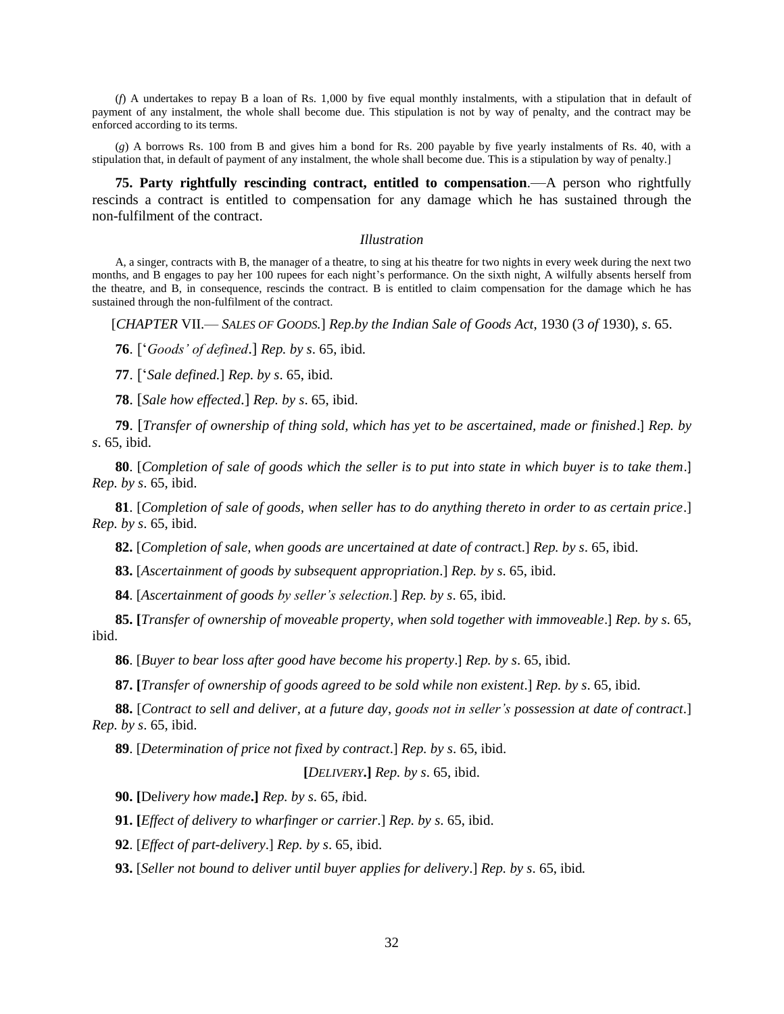(*f*) A undertakes to repay B a loan of Rs. 1,000 by five equal monthly instalments, with a stipulation that in default of payment of any instalment, the whole shall become due. This stipulation is not by way of penalty, and the contract may be enforced according to its terms.

(*g*) A borrows Rs. 100 from B and gives him a bond for Rs. 200 payable by five yearly instalments of Rs. 40, with a stipulation that, in default of payment of any instalment, the whole shall become due. This is a stipulation by way of penalty.]

**75. Party rightfully rescinding contract, entitled to compensation**.—A person who rightfully rescinds a contract is entitled to compensation for any damage which he has sustained through the non-fulfilment of the contract.

### *Illustration*

A, a singer, contracts with B, the manager of a theatre, to sing at his theatre for two nights in every week during the next two months, and B engages to pay her 100 rupees for each night's performance. On the sixth night, A wilfully absents herself from the theatre, and B, in consequence, rescinds the contract. B is entitled to claim compensation for the damage which he has sustained through the non-fulfilment of the contract.

[*CHAPTER* VII.— *SALES OF GOODS.*] *Rep.by the Indian Sale of Goods Act*, 1930 (3 *of* 1930), *s*. 65.

**76**. ["*Goods' of defined*.] *Rep. by s*. 65, ibid.

**77**. ["*Sale defined.*] *Rep. by s*. 65, ibid.

**78**. [*Sale how effected*.] *Rep. by s*. 65, ibid.

**79**. [*Transfer of ownership of thing sold, which has yet to be ascertained, made or finished*.] *Rep. by s*. 65, ibid.

**80**. [*Completion of sale of goods which the seller is to put into state in which buyer is to take them*.] *Rep. by s*. 65, ibid.

**81**. [*Completion of sale of goods, when seller has to do anything thereto in order to as certain price*.] *Rep. by s*. 65, ibid.

**82.** [*Completion of sale, when goods are uncertained at date of contrac*t.] *Rep. by s*. 65, ibid.

**83.** [*Ascertainment of goods by subsequent appropriation*.] *Rep. by s*. 65, ibid.

**84**. [*Ascertainment of goods by seller's selection.*] *Rep. by s*. 65, ibid.

**85. [***Transfer of ownership of moveable property, when sold together with immoveable*.] *Rep. by s*. 65, ibid.

**86**. [*Buyer to bear loss after good have become his property*.] *Rep. by s*. 65, ibid.

**87. [***Transfer of ownership of goods agreed to be sold while non existent*.] *Rep. by s*. 65, ibid.

**88.** [*Contract to sell and deliver, at a future day*, *goods not in seller's possession at date of contract*.] *Rep. by s*. 65, ibid.

**89**. [*Determination of price not fixed by contract*.] *Rep. by s*. 65, ibid.

**[***DELIVERY***.]** *Rep. by s*. 65, ibid.

**90. [**De*livery how made***.]** *Rep. by s*. 65, *i*bid.

**91. [***Effect of delivery to wharfinger or carrier*.] *Rep. by s*. 65, ibid.

**92**. [*Effect of part-delivery*.] *Rep. by s*. 65, ibid.

**93.** [*Seller not bound to deliver until buyer applies for delivery*.] *Rep. by s*. 65, ibid*.*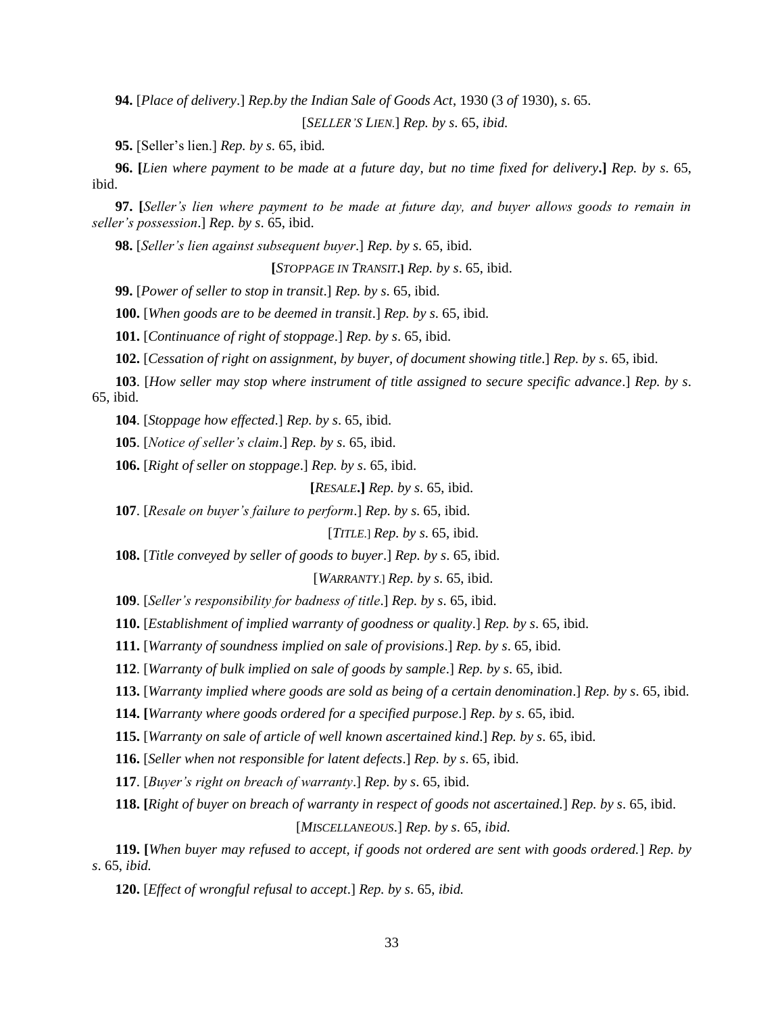**94.** [*Place of delivery*.] *Rep.by the Indian Sale of Goods Act*, 1930 (3 *of* 1930), *s*. 65.

[*SELLER'S LIEN.*] *Rep. by s*. 65, *ibid.*

**95.** [Seller"s lien.] *Rep. by s*. 65, ibid*.*

**96. [***Lien where payment to be made at a future day, but no time fixed for delivery***.]** *Rep. by s*. 65, ibid.

**97. [***Seller's lien where payment to be made at future day, and buyer allows goods to remain in seller's possession*.] *Rep. by s*. 65, ibid.

**98.** [*Seller's lien against subsequent buyer*.] *Rep. by s*. 65, ibid.

**[***STOPPAGE IN TRANSIT***.]** *Rep. by s*. 65, ibid.

**99.** [*Power of seller to stop in transit*.] *Rep. by s*. 65, ibid.

**100.** [*When goods are to be deemed in transit*.] *Rep. by s*. 65, ibid.

**101.** [*Continuance of right of stoppage*.] *Rep. by s*. 65, ibid.

**102.** [*Cessation of right on assignment, by buyer, of document showing title*.] *Rep. by s*. 65, ibid.

**103**. [*How seller may stop where instrument of title assigned to secure specific advance*.] *Rep. by s*. 65, ibid.

**104**. [*Stoppage how effected*.] *Rep. by s*. 65, ibid.

**105**. [*Notice of seller's claim*.] *Rep. by s*. 65, ibid.

**106.** [*Right of seller on stoppage*.] *Rep. by s*. 65, ibid.

**[***RESALE***.]** *Rep. by s*. 65, ibid.

**107**. [*Resale on buyer's failure to perform*.] *Rep. by s*. 65, ibid.

[*TITLE*.] *Rep. by s*. 65, ibid.

**108.** [*Title conveyed by seller of goods to buyer*.] *Rep. by s*. 65, ibid.

[*WARRANTY*.] *Rep. by s*. 65, ibid.

**109**. [*Seller's responsibility for badness of title*.] *Rep. by s*. 65, ibid.

**110.** [*Establishment of implied warranty of goodness or quality*.] *Rep. by s*. 65, ibid.

**111.** [*Warranty of soundness implied on sale of provisions*.] *Rep. by s*. 65, ibid.

**112**. [*Warranty of bulk implied on sale of goods by sample*.] *Rep. by s*. 65, ibid.

**113.** [*Warranty implied where goods are sold as being of a certain denomination*.] *Rep. by s*. 65, ibid.

**114. [***Warranty where goods ordered for a specified purpose*.] *Rep. by s*. 65, ibid.

**115.** [*Warranty on sale of article of well known ascertained kind*.] *Rep. by s*. 65, ibid.

**116.** [*Seller when not responsible for latent defects*.] *Rep. by s*. 65, ibid.

**117**. [*Buyer's right on breach of warranty*.] *Rep. by s*. 65, ibid.

**118. [***Right of buyer on breach of warranty in respect of goods not ascertained.*] *Rep. by s*. 65, ibid. [*MISCELLANEOUS*.] *Rep. by s*. 65, *ibid.*

**119. [***When buyer may refused to accept, if goods not ordered are sent with goods ordered.*] *Rep. by s*. 65, *ibid.*

**120.** [*Effect of wrongful refusal to accept*.] *Rep. by s*. 65, *ibid.*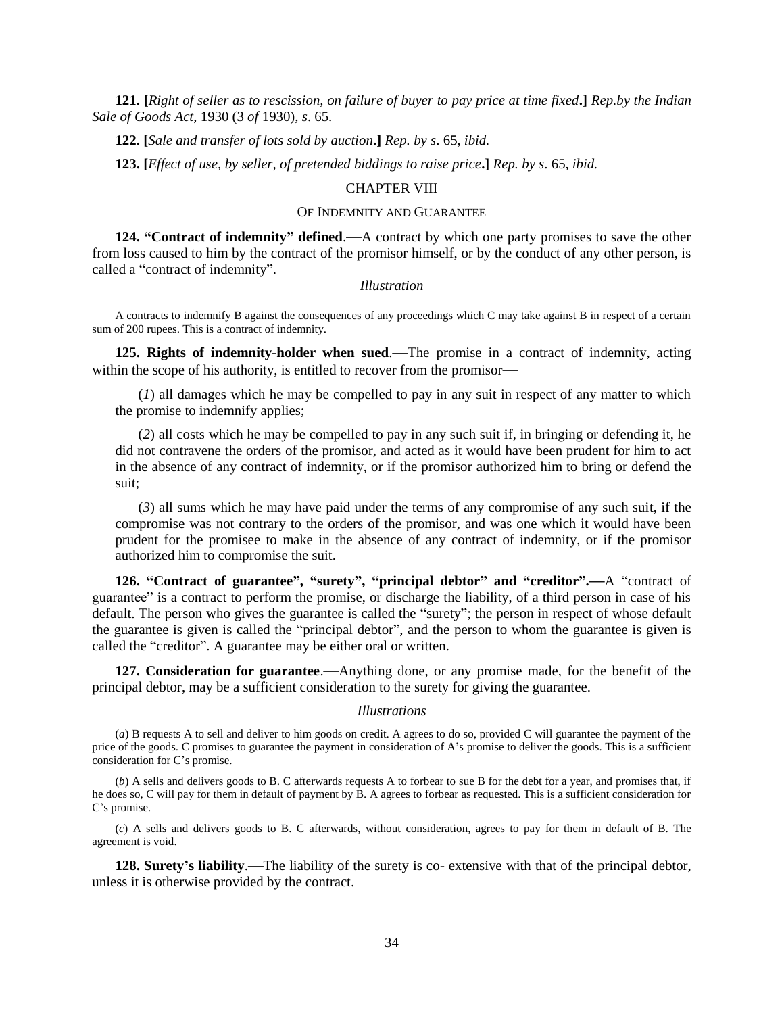**121. [***Right of seller as to rescission, on failure of buyer to pay price at time fixed***.]** *Rep.by the Indian Sale of Goods Act*, 1930 (3 *of* 1930), *s*. 65.

**122. [***Sale and transfer of lots sold by auction***.]** *Rep. by s*. 65, *ibid.*

**123. [***Effect of use, by seller, of pretended biddings to raise price***.]** *Rep. by s*. 65, *ibid.*

## CHAPTER VIII

## OF INDEMNITY AND GUARANTEE

**124. "Contract of indemnity" defined**.—A contract by which one party promises to save the other from loss caused to him by the contract of the promisor himself, or by the conduct of any other person, is called a "contract of indemnity".

#### *Illustration*

A contracts to indemnify B against the consequences of any proceedings which C may take against B in respect of a certain sum of 200 rupees. This is a contract of indemnity.

**125. Rights of indemnity-holder when sued**.—The promise in a contract of indemnity, acting within the scope of his authority, is entitled to recover from the promisor—

(*1*) all damages which he may be compelled to pay in any suit in respect of any matter to which the promise to indemnify applies;

(*2*) all costs which he may be compelled to pay in any such suit if, in bringing or defending it, he did not contravene the orders of the promisor, and acted as it would have been prudent for him to act in the absence of any contract of indemnity, or if the promisor authorized him to bring or defend the suit;

(*3*) all sums which he may have paid under the terms of any compromise of any such suit, if the compromise was not contrary to the orders of the promisor, and was one which it would have been prudent for the promisee to make in the absence of any contract of indemnity, or if the promisor authorized him to compromise the suit.

**126. "Contract of guarantee", "surety", "principal debtor" and "creditor".—**A "contract of guarantee" is a contract to perform the promise, or discharge the liability, of a third person in case of his default. The person who gives the guarantee is called the "surety"; the person in respect of whose default the guarantee is given is called the "principal debtor", and the person to whom the guarantee is given is called the "creditor". A guarantee may be either oral or written.

**127. Consideration for guarantee**.—Anything done, or any promise made, for the benefit of the principal debtor, may be a sufficient consideration to the surety for giving the guarantee.

#### *Illustrations*

(*a*) B requests A to sell and deliver to him goods on credit. A agrees to do so, provided C will guarantee the payment of the price of the goods. C promises to guarantee the payment in consideration of A"s promise to deliver the goods. This is a sufficient consideration for C"s promise.

(*b*) A sells and delivers goods to B. C afterwards requests A to forbear to sue B for the debt for a year, and promises that, if he does so, C will pay for them in default of payment by B. A agrees to forbear as requested. This is a sufficient consideration for C"s promise.

(*c*) A sells and delivers goods to B. C afterwards, without consideration, agrees to pay for them in default of B. The agreement is void.

**128. Surety's liability**.—The liability of the surety is co- extensive with that of the principal debtor, unless it is otherwise provided by the contract.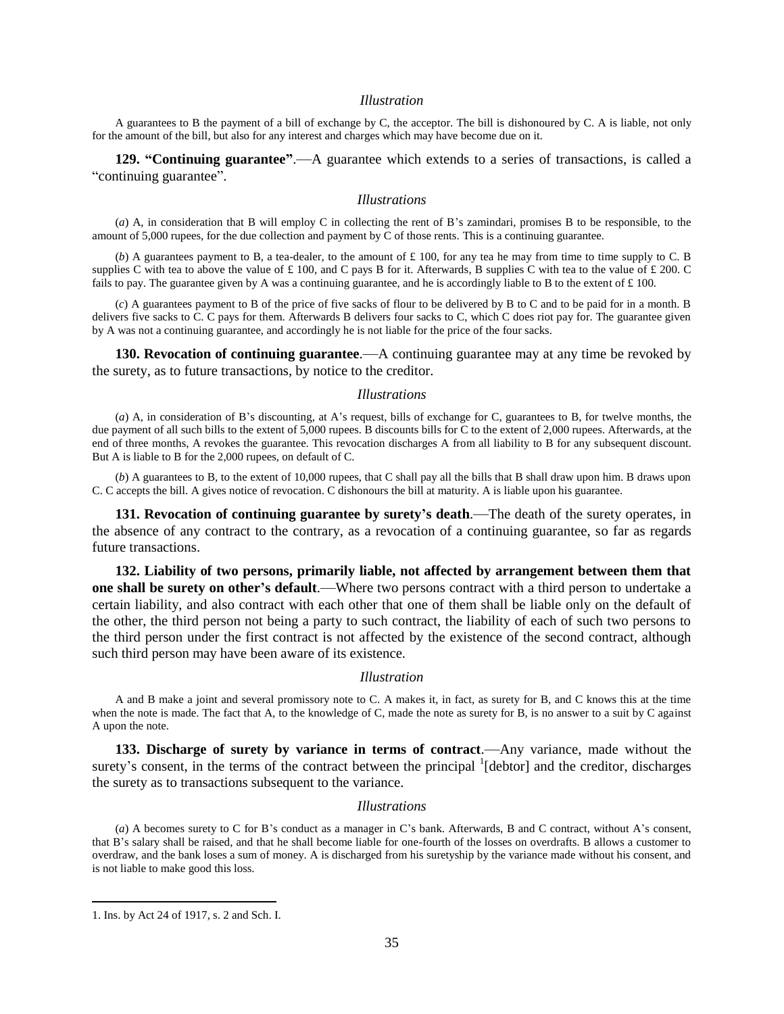#### *Illustration*

A guarantees to B the payment of a bill of exchange by C, the acceptor. The bill is dishonoured by C. A is liable, not only for the amount of the bill, but also for any interest and charges which may have become due on it.

**129. "Continuing guarantee"**.—A guarantee which extends to a series of transactions, is called a "continuing guarantee".

#### *Illustrations*

(*a*) A, in consideration that B will employ C in collecting the rent of B"s zamindari, promises B to be responsible, to the amount of 5,000 rupees, for the due collection and payment by C of those rents. This is a continuing guarantee.

(*b*) A guarantees payment to B, a tea-dealer, to the amount of £ 100, for any tea he may from time to time supply to C. B supplies C with tea to above the value of  $\pounds$  100, and C pays B for it. Afterwards, B supplies C with tea to the value of  $\pounds$  200. C fails to pay. The guarantee given by A was a continuing guarantee, and he is accordingly liable to B to the extent of  $\pounds$  100.

(*c*) A guarantees payment to B of the price of five sacks of flour to be delivered by B to C and to be paid for in a month. B delivers five sacks to C. C pays for them. Afterwards B delivers four sacks to C, which C does riot pay for. The guarantee given by A was not a continuing guarantee, and accordingly he is not liable for the price of the four sacks.

**130. Revocation of continuing guarantee**.—A continuing guarantee may at any time be revoked by the surety, as to future transactions, by notice to the creditor.

#### *Illustrations*

(*a*) A, in consideration of B"s discounting, at A"s request, bills of exchange for C, guarantees to B, for twelve months, the due payment of all such bills to the extent of 5,000 rupees. B discounts bills for C to the extent of 2,000 rupees. Afterwards, at the end of three months, A revokes the guarantee. This revocation discharges A from all liability to B for any subsequent discount. But A is liable to B for the 2,000 rupees, on default of C.

(*b*) A guarantees to B, to the extent of 10,000 rupees, that C shall pay all the bills that B shall draw upon him. B draws upon C. C accepts the bill. A gives notice of revocation. C dishonours the bill at maturity. A is liable upon his guarantee.

**131. Revocation of continuing guarantee by surety's death**.—The death of the surety operates, in the absence of any contract to the contrary, as a revocation of a continuing guarantee, so far as regards future transactions.

**132. Liability of two persons, primarily liable, not affected by arrangement between them that one shall be surety on other's default**.—Where two persons contract with a third person to undertake a certain liability, and also contract with each other that one of them shall be liable only on the default of the other, the third person not being a party to such contract, the liability of each of such two persons to the third person under the first contract is not affected by the existence of the second contract, although such third person may have been aware of its existence.

### *Illustration*

A and B make a joint and several promissory note to C. A makes it, in fact, as surety for B, and C knows this at the time when the note is made. The fact that A, to the knowledge of C, made the note as surety for B, is no answer to a suit by C against A upon the note.

**133. Discharge of surety by variance in terms of contract**.—Any variance, made without the surety's consent, in the terms of the contract between the principal  $\frac{1}{1}$  [debtor] and the creditor, discharges the surety as to transactions subsequent to the variance.

#### *Illustrations*

(*a*) A becomes surety to C for B"s conduct as a manager in C"s bank. Afterwards, B and C contract, without A"s consent, that B"s salary shall be raised, and that he shall become liable for one-fourth of the losses on overdrafts. B allows a customer to overdraw, and the bank loses a sum of money. A is discharged from his suretyship by the variance made without his consent, and is not liable to make good this loss.

<sup>1.</sup> Ins. by Act 24 of 1917, s. 2 and Sch. I.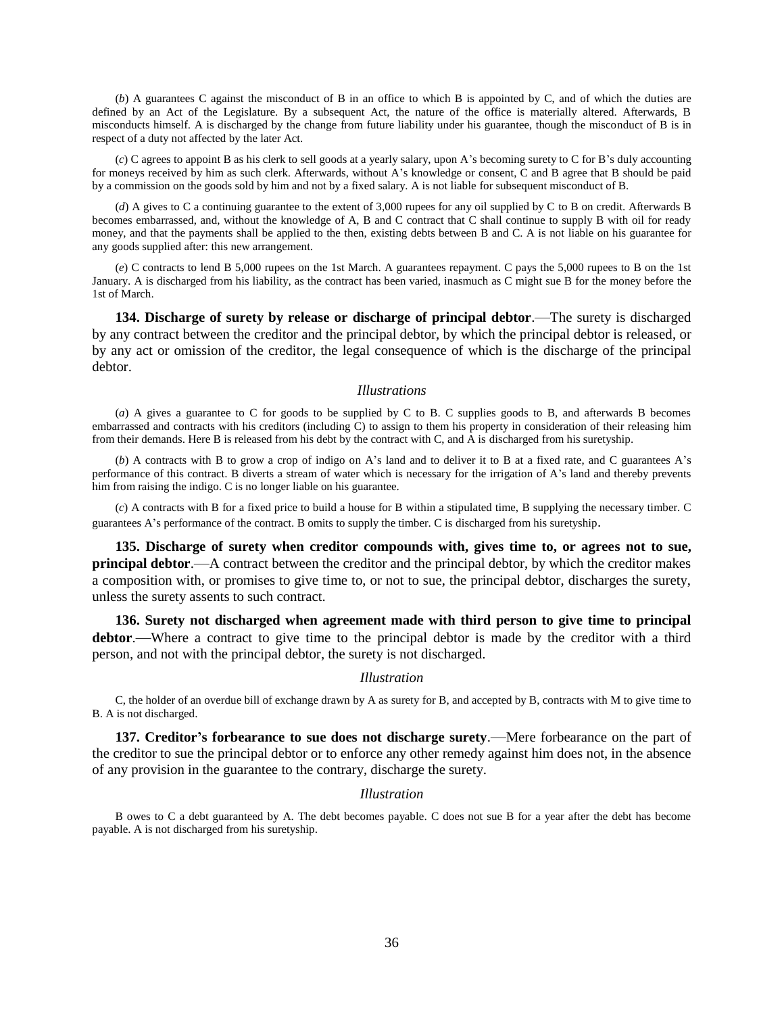(*b*) A guarantees C against the misconduct of B in an office to which B is appointed by C, and of which the duties are defined by an Act of the Legislature. By a subsequent Act, the nature of the office is materially altered. Afterwards, B misconducts himself. A is discharged by the change from future liability under his guarantee, though the misconduct of B is in respect of a duty not affected by the later Act.

(*c*) C agrees to appoint B as his clerk to sell goods at a yearly salary, upon A"s becoming surety to C for B"s duly accounting for moneys received by him as such clerk. Afterwards, without A"s knowledge or consent, C and B agree that B should be paid by a commission on the goods sold by him and not by a fixed salary. A is not liable for subsequent misconduct of B.

(*d*) A gives to C a continuing guarantee to the extent of 3,000 rupees for any oil supplied by C to B on credit. Afterwards B becomes embarrassed, and, without the knowledge of A, B and C contract that C shall continue to supply B with oil for ready money, and that the payments shall be applied to the then, existing debts between B and C. A is not liable on his guarantee for any goods supplied after: this new arrangement.

(*e*) C contracts to lend B 5,000 rupees on the 1st March. A guarantees repayment. C pays the 5,000 rupees to B on the 1st January. A is discharged from his liability, as the contract has been varied, inasmuch as C might sue B for the money before the 1st of March.

**134. Discharge of surety by release or discharge of principal debtor**.—The surety is discharged by any contract between the creditor and the principal debtor, by which the principal debtor is released, or by any act or omission of the creditor, the legal consequence of which is the discharge of the principal debtor.

### *Illustrations*

(*a*) A gives a guarantee to C for goods to be supplied by C to B. C supplies goods to B, and afterwards B becomes embarrassed and contracts with his creditors (including C) to assign to them his property in consideration of their releasing him from their demands. Here B is released from his debt by the contract with C, and A is discharged from his suretyship.

(*b*) A contracts with B to grow a crop of indigo on A"s land and to deliver it to B at a fixed rate, and C guarantees A"s performance of this contract. B diverts a stream of water which is necessary for the irrigation of A"s land and thereby prevents him from raising the indigo. C is no longer liable on his guarantee.

(*c*) A contracts with B for a fixed price to build a house for B within a stipulated time, B supplying the necessary timber. C guarantees A"s performance of the contract. B omits to supply the timber. C is discharged from his suretyship.

**135. Discharge of surety when creditor compounds with, gives time to, or agrees not to sue, principal debtor**.—A contract between the creditor and the principal debtor, by which the creditor makes a composition with, or promises to give time to, or not to sue, the principal debtor, discharges the surety, unless the surety assents to such contract.

**136. Surety not discharged when agreement made with third person to give time to principal debtor**.—Where a contract to give time to the principal debtor is made by the creditor with a third person, and not with the principal debtor, the surety is not discharged.

#### *Illustration*

C, the holder of an overdue bill of exchange drawn by A as surety for B, and accepted by B, contracts with M to give time to B. A is not discharged.

**137. Creditor's forbearance to sue does not discharge surety**.—Mere forbearance on the part of the creditor to sue the principal debtor or to enforce any other remedy against him does not, in the absence of any provision in the guarantee to the contrary, discharge the surety.

#### *Illustration*

B owes to C a debt guaranteed by A. The debt becomes payable. C does not sue B for a year after the debt has become payable. A is not discharged from his suretyship.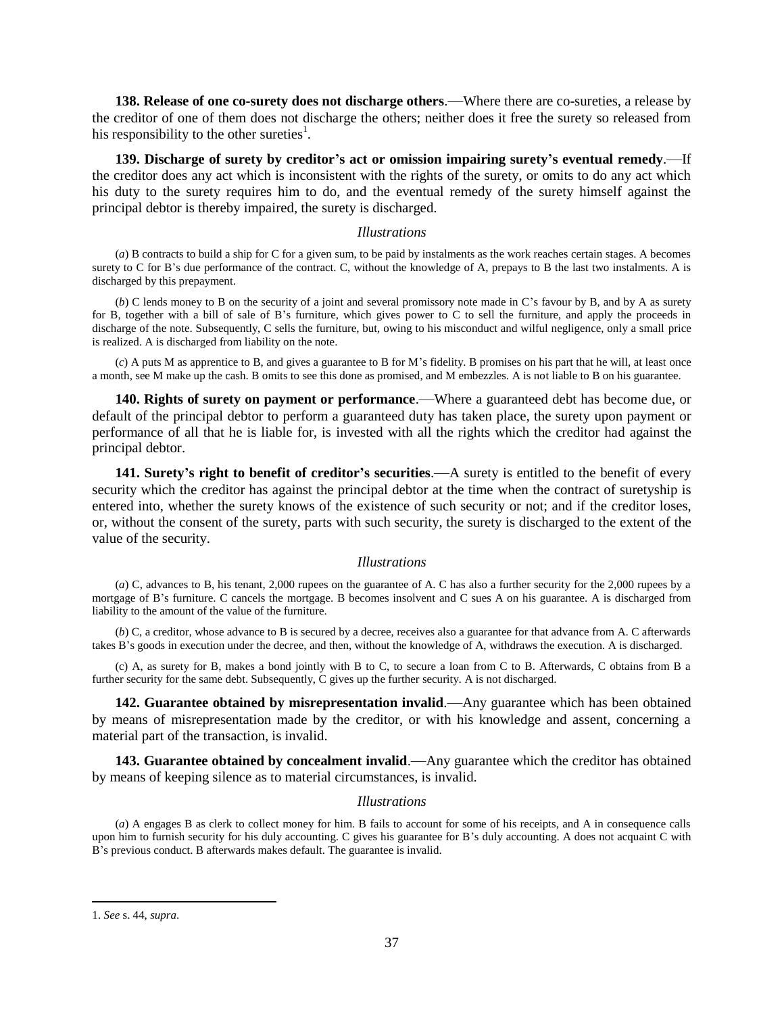**138. Release of one co-surety does not discharge others**.—Where there are co-sureties, a release by the creditor of one of them does not discharge the others; neither does it free the surety so released from his responsibility to the other sureties<sup>1</sup>.

**139. Discharge of surety by creditor's act or omission impairing surety's eventual remedy**.—If the creditor does any act which is inconsistent with the rights of the surety, or omits to do any act which his duty to the surety requires him to do, and the eventual remedy of the surety himself against the principal debtor is thereby impaired, the surety is discharged.

#### *Illustrations*

(*a*) B contracts to build a ship for C for a given sum, to be paid by instalments as the work reaches certain stages. A becomes surety to C for B's due performance of the contract. C, without the knowledge of A, prepays to B the last two instalments. A is discharged by this prepayment.

(*b*) C lends money to B on the security of a joint and several promissory note made in C"s favour by B, and by A as surety for B, together with a bill of sale of B's furniture, which gives power to C to sell the furniture, and apply the proceeds in discharge of the note. Subsequently, C sells the furniture, but, owing to his misconduct and wilful negligence, only a small price is realized. A is discharged from liability on the note.

(*c*) A puts M as apprentice to B, and gives a guarantee to B for M"s fidelity. B promises on his part that he will, at least once a month, see M make up the cash. B omits to see this done as promised, and M embezzles. A is not liable to B on his guarantee.

**140. Rights of surety on payment or performance**.—Where a guaranteed debt has become due, or default of the principal debtor to perform a guaranteed duty has taken place, the surety upon payment or performance of all that he is liable for, is invested with all the rights which the creditor had against the principal debtor.

**141. Surety's right to benefit of creditor's securities**.—A surety is entitled to the benefit of every security which the creditor has against the principal debtor at the time when the contract of suretyship is entered into, whether the surety knows of the existence of such security or not; and if the creditor loses, or, without the consent of the surety, parts with such security, the surety is discharged to the extent of the value of the security.

## *Illustrations*

(*a*) C, advances to B, his tenant, 2,000 rupees on the guarantee of A. C has also a further security for the 2,000 rupees by a mortgage of B"s furniture. C cancels the mortgage. B becomes insolvent and C sues A on his guarantee. A is discharged from liability to the amount of the value of the furniture.

(*b*) C, a creditor, whose advance to B is secured by a decree, receives also a guarantee for that advance from A. C afterwards takes B"s goods in execution under the decree, and then, without the knowledge of A, withdraws the execution. A is discharged.

(c) A, as surety for B, makes a bond jointly with B to C, to secure a loan from C to B. Afterwards, C obtains from B a further security for the same debt. Subsequently, C gives up the further security. A is not discharged.

**142. Guarantee obtained by misrepresentation invalid**.—Any guarantee which has been obtained by means of misrepresentation made by the creditor, or with his knowledge and assent, concerning a material part of the transaction, is invalid.

**143. Guarantee obtained by concealment invalid**.—Any guarantee which the creditor has obtained by means of keeping silence as to material circumstances, is invalid.

#### *Illustrations*

(*a*) A engages B as clerk to collect money for him. B fails to account for some of his receipts, and A in consequence calls upon him to furnish security for his duly accounting. C gives his guarantee for B"s duly accounting. A does not acquaint C with B"s previous conduct. B afterwards makes default. The guarantee is invalid.

<sup>1.</sup> *See* s. 44, *supra*.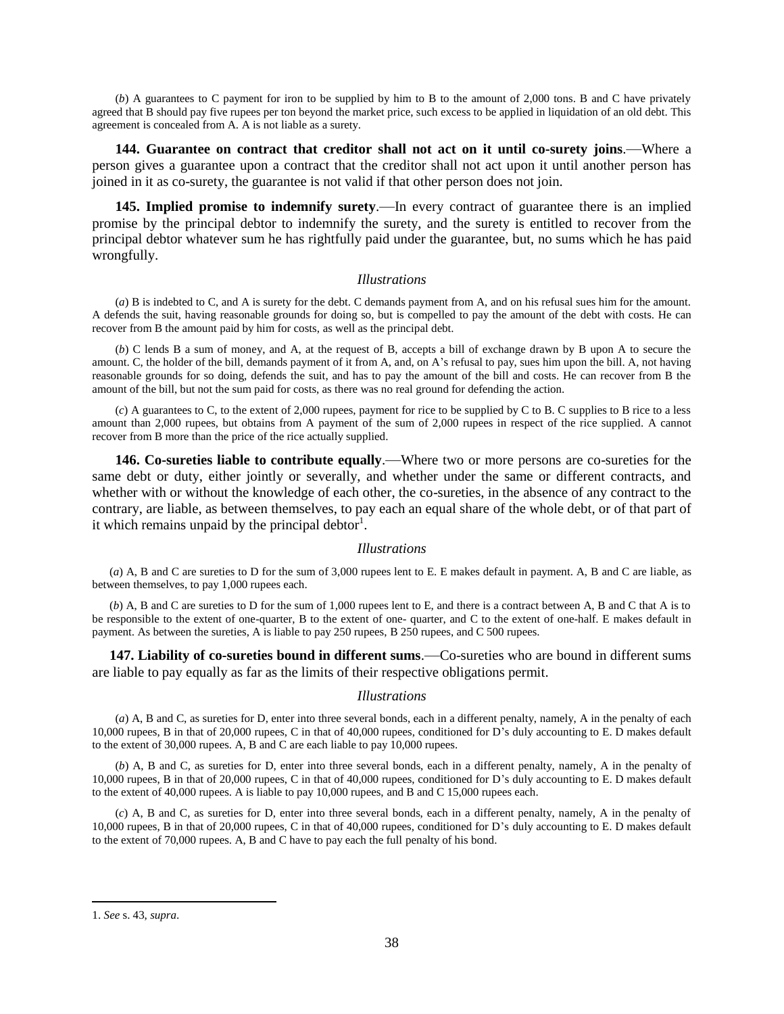(*b*) A guarantees to C payment for iron to be supplied by him to B to the amount of 2,000 tons. B and C have privately agreed that B should pay five rupees per ton beyond the market price, such excess to be applied in liquidation of an old debt. This agreement is concealed from A. A is not liable as a surety.

**144. Guarantee on contract that creditor shall not act on it until co-surety joins**.—Where a person gives a guarantee upon a contract that the creditor shall not act upon it until another person has joined in it as co-surety, the guarantee is not valid if that other person does not join.

**145. Implied promise to indemnify surety**.—In every contract of guarantee there is an implied promise by the principal debtor to indemnify the surety, and the surety is entitled to recover from the principal debtor whatever sum he has rightfully paid under the guarantee, but, no sums which he has paid wrongfully.

#### *Illustrations*

(*a*) B is indebted to C, and A is surety for the debt. C demands payment from A, and on his refusal sues him for the amount. A defends the suit, having reasonable grounds for doing so, but is compelled to pay the amount of the debt with costs. He can recover from B the amount paid by him for costs, as well as the principal debt.

(*b*) C lends B a sum of money, and A, at the request of B, accepts a bill of exchange drawn by B upon A to secure the amount. C, the holder of the bill, demands payment of it from A, and, on A"s refusal to pay, sues him upon the bill. A, not having reasonable grounds for so doing, defends the suit, and has to pay the amount of the bill and costs. He can recover from B the amount of the bill, but not the sum paid for costs, as there was no real ground for defending the action.

(*c*) A guarantees to C, to the extent of 2,000 rupees, payment for rice to be supplied by C to B. C supplies to B rice to a less amount than 2,000 rupees, but obtains from A payment of the sum of 2,000 rupees in respect of the rice supplied. A cannot recover from B more than the price of the rice actually supplied.

**146. Co-sureties liable to contribute equally**.—Where two or more persons are co-sureties for the same debt or duty, either jointly or severally, and whether under the same or different contracts, and whether with or without the knowledge of each other, the co-sureties, in the absence of any contract to the contrary, are liable, as between themselves, to pay each an equal share of the whole debt, or of that part of it which remains unpaid by the principal debtor<sup>1</sup>.

#### *Illustrations*

(*a*) A, B and C are sureties to D for the sum of 3,000 rupees lent to E. E makes default in payment. A, B and C are liable, as between themselves, to pay 1,000 rupees each.

(*b*) A, B and C are sureties to D for the sum of 1,000 rupees lent to E, and there is a contract between A, B and C that A is to be responsible to the extent of one-quarter, B to the extent of one- quarter, and C to the extent of one-half. E makes default in payment. As between the sureties, A is liable to pay 250 rupees, B 250 rupees, and C 500 rupees.

**147. Liability of co-sureties bound in different sums**.—Co-sureties who are bound in different sums are liable to pay equally as far as the limits of their respective obligations permit.

### *Illustrations*

(*a*) A, B and C, as sureties for D, enter into three several bonds, each in a different penalty, namely, A in the penalty of each 10,000 rupees, B in that of 20,000 rupees, C in that of 40,000 rupees, conditioned for D"s duly accounting to E. D makes default to the extent of 30,000 rupees. A, B and C are each liable to pay 10,000 rupees.

(*b*) A, B and C, as sureties for D, enter into three several bonds, each in a different penalty, namely, A in the penalty of 10,000 rupees, B in that of 20,000 rupees, C in that of 40,000 rupees, conditioned for D"s duly accounting to E. D makes default to the extent of 40,000 rupees. A is liable to pay 10,000 rupees, and B and C 15,000 rupees each.

(*c*) A, B and C, as sureties for D, enter into three several bonds, each in a different penalty, namely, A in the penalty of 10,000 rupees, B in that of 20,000 rupees, C in that of 40,000 rupees, conditioned for D"s duly accounting to E. D makes default to the extent of 70,000 rupees. A, B and C have to pay each the full penalty of his bond.

<sup>1.</sup> *See* s. 43, *supra*.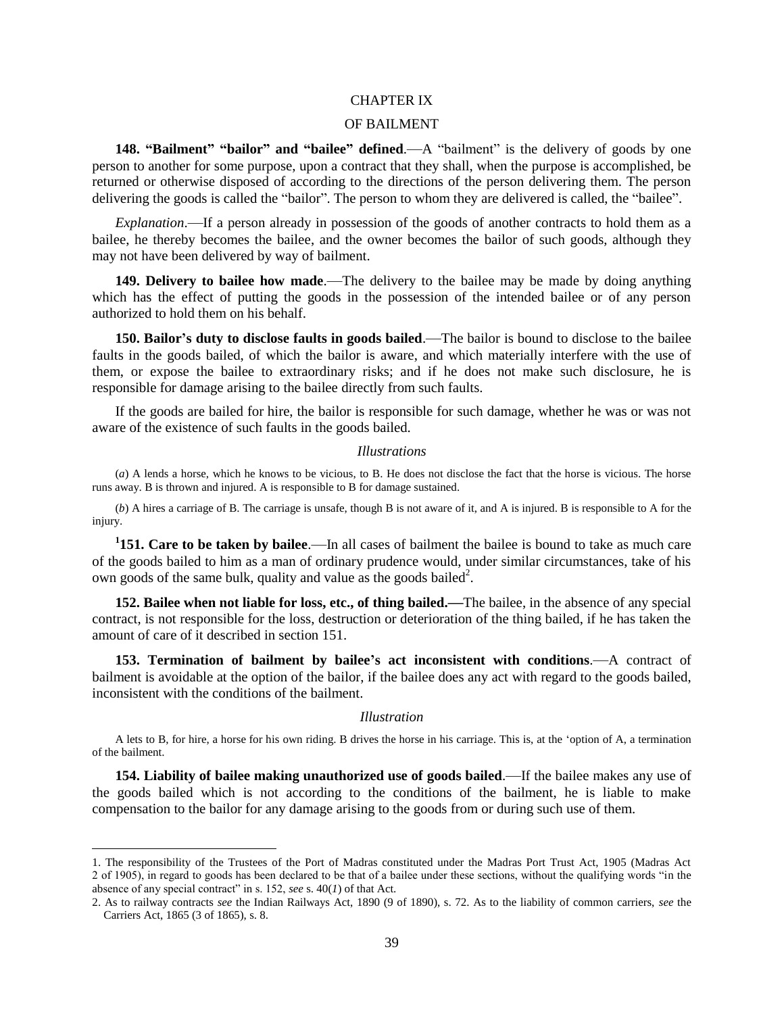## CHAPTER IX

#### OF BAILMENT

**148. "Bailment" "bailor" and "bailee" defined**.—A "bailment" is the delivery of goods by one person to another for some purpose, upon a contract that they shall, when the purpose is accomplished, be returned or otherwise disposed of according to the directions of the person delivering them. The person delivering the goods is called the "bailor". The person to whom they are delivered is called, the "bailee".

*Explanation*.—If a person already in possession of the goods of another contracts to hold them as a bailee, he thereby becomes the bailee, and the owner becomes the bailor of such goods, although they may not have been delivered by way of bailment.

**149. Delivery to bailee how made**.—The delivery to the bailee may be made by doing anything which has the effect of putting the goods in the possession of the intended bailee or of any person authorized to hold them on his behalf.

**150. Bailor's duty to disclose faults in goods bailed**.—The bailor is bound to disclose to the bailee faults in the goods bailed, of which the bailor is aware, and which materially interfere with the use of them, or expose the bailee to extraordinary risks; and if he does not make such disclosure, he is responsible for damage arising to the bailee directly from such faults.

If the goods are bailed for hire, the bailor is responsible for such damage, whether he was or was not aware of the existence of such faults in the goods bailed.

#### *Illustrations*

(*a*) A lends a horse, which he knows to be vicious, to B. He does not disclose the fact that the horse is vicious. The horse runs away. B is thrown and injured. A is responsible to B for damage sustained.

(*b*) A hires a carriage of B. The carriage is unsafe, though B is not aware of it, and A is injured. B is responsible to A for the injury.

<sup>1</sup>151. Care to be taken by bailee.—In all cases of bailment the bailee is bound to take as much care of the goods bailed to him as a man of ordinary prudence would, under similar circumstances, take of his own goods of the same bulk, quality and value as the goods bailed<sup>2</sup>.

**152. Bailee when not liable for loss, etc., of thing bailed.—**The bailee, in the absence of any special contract, is not responsible for the loss, destruction or deterioration of the thing bailed, if he has taken the amount of care of it described in section 151.

**153. Termination of bailment by bailee's act inconsistent with conditions**.—A contract of bailment is avoidable at the option of the bailor, if the bailee does any act with regard to the goods bailed, inconsistent with the conditions of the bailment.

#### *Illustration*

A lets to B, for hire, a horse for his own riding. B drives the horse in his carriage. This is, at the "option of A, a termination of the bailment.

**154. Liability of bailee making unauthorized use of goods bailed**.—If the bailee makes any use of the goods bailed which is not according to the conditions of the bailment, he is liable to make compensation to the bailor for any damage arising to the goods from or during such use of them.

l

<sup>1.</sup> The responsibility of the Trustees of the Port of Madras constituted under the Madras Port Trust Act, 1905 (Madras Act 2 of 1905), in regard to goods has been declared to be that of a bailee under these sections, without the qualifying words "in the absence of any special contract" in s. 152, *see* s. 40(*1*) of that Act.

<sup>2.</sup> As to railway contracts *see* the Indian Railways Act, 1890 (9 of 1890), s. 72. As to the liability of common carriers, *see* the Carriers Act, 1865 (3 of 1865), s. 8.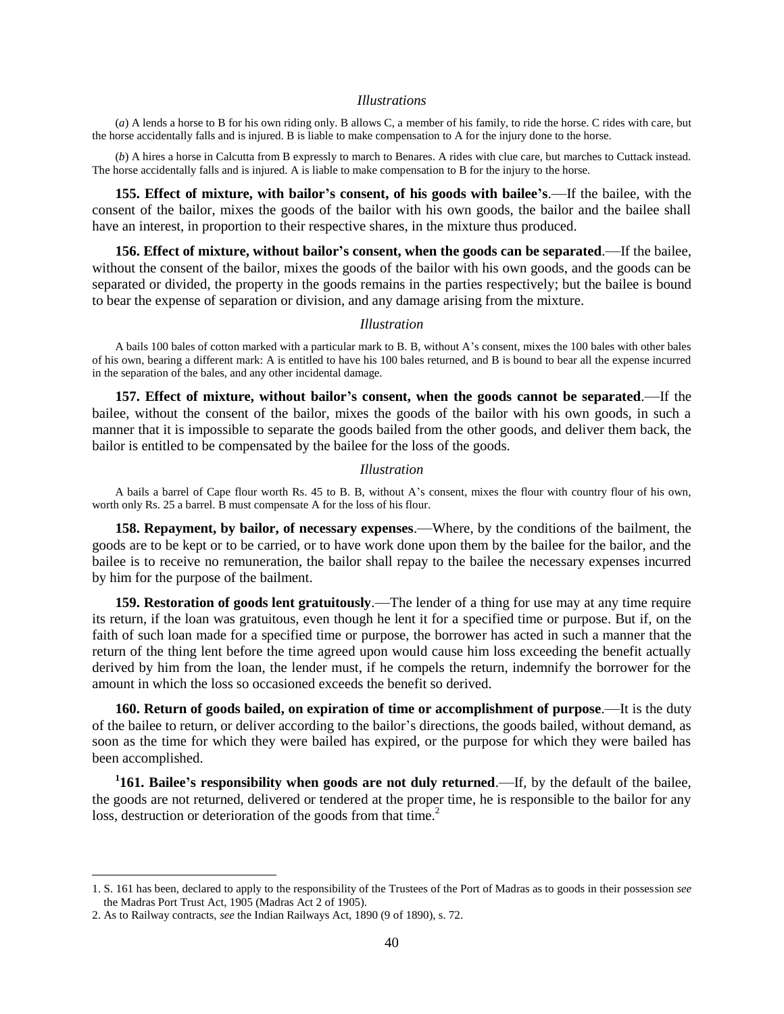#### *Illustrations*

(*a*) A lends a horse to B for his own riding only. B allows C, a member of his family, to ride the horse. C rides with care, but the horse accidentally falls and is injured. B is liable to make compensation to A for the injury done to the horse.

(*b*) A hires a horse in Calcutta from B expressly to march to Benares. A rides with clue care, but marches to Cuttack instead. The horse accidentally falls and is injured. A is liable to make compensation to B for the injury to the horse.

**155. Effect of mixture, with bailor's consent, of his goods with bailee's**.—If the bailee, with the consent of the bailor, mixes the goods of the bailor with his own goods, the bailor and the bailee shall have an interest, in proportion to their respective shares, in the mixture thus produced.

**156. Effect of mixture, without bailor's consent, when the goods can be separated**.—If the bailee, without the consent of the bailor, mixes the goods of the bailor with his own goods, and the goods can be separated or divided, the property in the goods remains in the parties respectively; but the bailee is bound to bear the expense of separation or division, and any damage arising from the mixture.

## *Illustration*

A bails 100 bales of cotton marked with a particular mark to B. B, without A"s consent, mixes the 100 bales with other bales of his own, bearing a different mark: A is entitled to have his 100 bales returned, and B is bound to bear all the expense incurred in the separation of the bales, and any other incidental damage.

**157. Effect of mixture, without bailor's consent, when the goods cannot be separated**.—If the bailee, without the consent of the bailor, mixes the goods of the bailor with his own goods, in such a manner that it is impossible to separate the goods bailed from the other goods, and deliver them back, the bailor is entitled to be compensated by the bailee for the loss of the goods.

#### *Illustration*

A bails a barrel of Cape flour worth Rs. 45 to B. B, without A"s consent, mixes the flour with country flour of his own, worth only Rs. 25 a barrel. B must compensate A for the loss of his flour.

**158. Repayment, by bailor, of necessary expenses**.—Where, by the conditions of the bailment, the goods are to be kept or to be carried, or to have work done upon them by the bailee for the bailor, and the bailee is to receive no remuneration, the bailor shall repay to the bailee the necessary expenses incurred by him for the purpose of the bailment.

**159. Restoration of goods lent gratuitously**.—The lender of a thing for use may at any time require its return, if the loan was gratuitous, even though he lent it for a specified time or purpose. But if, on the faith of such loan made for a specified time or purpose, the borrower has acted in such a manner that the return of the thing lent before the time agreed upon would cause him loss exceeding the benefit actually derived by him from the loan, the lender must, if he compels the return, indemnify the borrower for the amount in which the loss so occasioned exceeds the benefit so derived.

**160. Return of goods bailed, on expiration of time or accomplishment of purpose**.—It is the duty of the bailee to return, or deliver according to the bailor"s directions, the goods bailed, without demand, as soon as the time for which they were bailed has expired, or the purpose for which they were bailed has been accomplished.

<sup>1</sup>**161. Bailee's responsibility when goods are not duly returned.—If, by the default of the bailee,** the goods are not returned, delivered or tendered at the proper time, he is responsible to the bailor for any loss, destruction or deterioration of the goods from that time.<sup>2</sup>

l

<sup>1.</sup> S. 161 has been, declared to apply to the responsibility of the Trustees of the Port of Madras as to goods in their possession *see* the Madras Port Trust Act, 1905 (Madras Act 2 of 1905).

<sup>2.</sup> As to Railway contracts, *see* the Indian Railways Act, 1890 (9 of 1890), s. 72.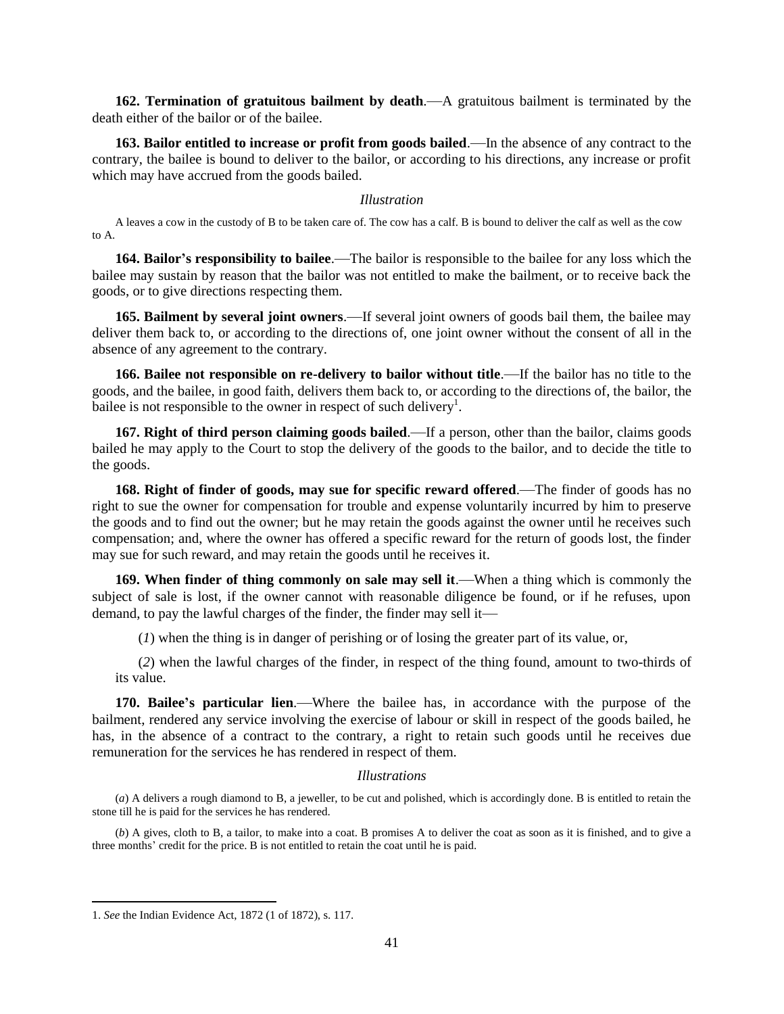**162. Termination of gratuitous bailment by death**.—A gratuitous bailment is terminated by the death either of the bailor or of the bailee.

**163. Bailor entitled to increase or profit from goods bailed**.—In the absence of any contract to the contrary, the bailee is bound to deliver to the bailor, or according to his directions, any increase or profit which may have accrued from the goods bailed.

## *Illustration*

A leaves a cow in the custody of B to be taken care of. The cow has a calf. B is bound to deliver the calf as well as the cow to A.

**164. Bailor's responsibility to bailee**.—The bailor is responsible to the bailee for any loss which the bailee may sustain by reason that the bailor was not entitled to make the bailment, or to receive back the goods, or to give directions respecting them.

**165. Bailment by several joint owners**.—If several joint owners of goods bail them, the bailee may deliver them back to, or according to the directions of, one joint owner without the consent of all in the absence of any agreement to the contrary.

**166. Bailee not responsible on re-delivery to bailor without title.—If the bailor has no title to the** goods, and the bailee, in good faith, delivers them back to, or according to the directions of, the bailor, the bailee is not responsible to the owner in respect of such delivery<sup>1</sup>.

**167. Right of third person claiming goods bailed**.—If a person, other than the bailor, claims goods bailed he may apply to the Court to stop the delivery of the goods to the bailor, and to decide the title to the goods.

**168. Right of finder of goods, may sue for specific reward offered**.—The finder of goods has no right to sue the owner for compensation for trouble and expense voluntarily incurred by him to preserve the goods and to find out the owner; but he may retain the goods against the owner until he receives such compensation; and, where the owner has offered a specific reward for the return of goods lost, the finder may sue for such reward, and may retain the goods until he receives it.

**169. When finder of thing commonly on sale may sell it**.—When a thing which is commonly the subject of sale is lost, if the owner cannot with reasonable diligence be found, or if he refuses, upon demand, to pay the lawful charges of the finder, the finder may sell it—

(*1*) when the thing is in danger of perishing or of losing the greater part of its value, or,

(*2*) when the lawful charges of the finder, in respect of the thing found, amount to two-thirds of its value.

**170. Bailee's particular lien**.—Where the bailee has, in accordance with the purpose of the bailment, rendered any service involving the exercise of labour or skill in respect of the goods bailed, he has, in the absence of a contract to the contrary, a right to retain such goods until he receives due remuneration for the services he has rendered in respect of them.

#### *Illustrations*

(*a*) A delivers a rough diamond to B, a jeweller, to be cut and polished, which is accordingly done. B is entitled to retain the stone till he is paid for the services he has rendered.

(*b*) A gives, cloth to B, a tailor, to make into a coat. B promises A to deliver the coat as soon as it is finished, and to give a three months' credit for the price. B is not entitled to retain the coat until he is paid.

<sup>1.</sup> *See* the Indian Evidence Act, 1872 (1 of 1872), s. 117.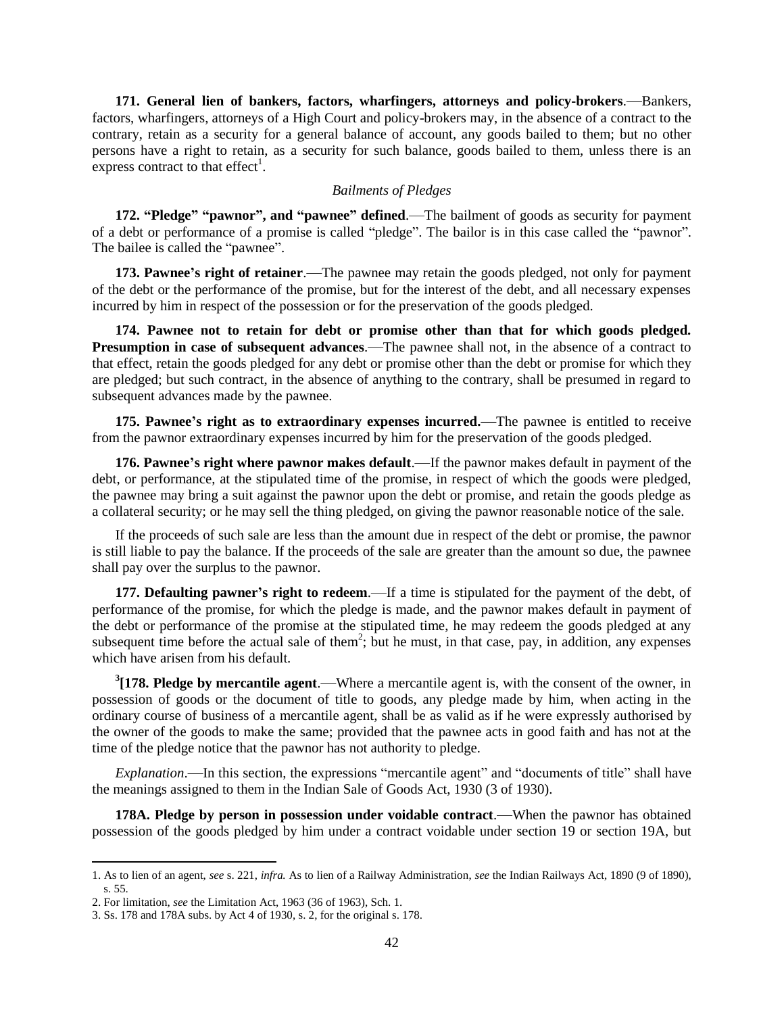**171. General lien of bankers, factors, wharfingers, attorneys and policy-brokers**.—Bankers, factors, wharfingers, attorneys of a High Court and policy-brokers may, in the absence of a contract to the contrary, retain as a security for a general balance of account, any goods bailed to them; but no other persons have a right to retain, as a security for such balance, goods bailed to them, unless there is an express contract to that effect<sup>1</sup>.

## *Bailments of Pledges*

**172. "Pledge" "pawnor", and "pawnee" defined**.—The bailment of goods as security for payment of a debt or performance of a promise is called "pledge". The bailor is in this case called the "pawnor". The bailee is called the "pawnee".

**173. Pawnee's right of retainer**.—The pawnee may retain the goods pledged, not only for payment of the debt or the performance of the promise, but for the interest of the debt, and all necessary expenses incurred by him in respect of the possession or for the preservation of the goods pledged.

**174. Pawnee not to retain for debt or promise other than that for which goods pledged. Presumption in case of subsequent advances**.—The pawnee shall not, in the absence of a contract to that effect, retain the goods pledged for any debt or promise other than the debt or promise for which they are pledged; but such contract, in the absence of anything to the contrary, shall be presumed in regard to subsequent advances made by the pawnee.

**175. Pawnee's right as to extraordinary expenses incurred.—**The pawnee is entitled to receive from the pawnor extraordinary expenses incurred by him for the preservation of the goods pledged.

**176. Pawnee's right where pawnor makes default**.—If the pawnor makes default in payment of the debt, or performance, at the stipulated time of the promise, in respect of which the goods were pledged, the pawnee may bring a suit against the pawnor upon the debt or promise, and retain the goods pledge as a collateral security; or he may sell the thing pledged, on giving the pawnor reasonable notice of the sale.

If the proceeds of such sale are less than the amount due in respect of the debt or promise, the pawnor is still liable to pay the balance. If the proceeds of the sale are greater than the amount so due, the pawnee shall pay over the surplus to the pawnor.

**177. Defaulting pawner's right to redeem**.—If a time is stipulated for the payment of the debt, of performance of the promise, for which the pledge is made, and the pawnor makes default in payment of the debt or performance of the promise at the stipulated time, he may redeem the goods pledged at any subsequent time before the actual sale of them<sup>2</sup>; but he must, in that case, pay, in addition, any expenses which have arisen from his default.

**3 [178. Pledge by mercantile agent**.—Where a mercantile agent is, with the consent of the owner, in possession of goods or the document of title to goods, any pledge made by him, when acting in the ordinary course of business of a mercantile agent, shall be as valid as if he were expressly authorised by the owner of the goods to make the same; provided that the pawnee acts in good faith and has not at the time of the pledge notice that the pawnor has not authority to pledge.

*Explanation*.—In this section, the expressions "mercantile agent" and "documents of title" shall have the meanings assigned to them in the Indian Sale of Goods Act, 1930 (3 of 1930).

**178A. Pledge by person in possession under voidable contract**.—When the pawnor has obtained possession of the goods pledged by him under a contract voidable under section 19 or section 19A, but

<sup>1.</sup> As to lien of an agent, *see* s. 221, *infra.* As to lien of a Railway Administration, *see* the Indian Railways Act, 1890 (9 of 1890), s. 55.

<sup>2.</sup> For limitation, *see* the Limitation Act, 1963 (36 of 1963), Sch. 1.

<sup>3.</sup> Ss. 178 and 178A subs. by Act 4 of 1930, s. 2, for the original s. 178.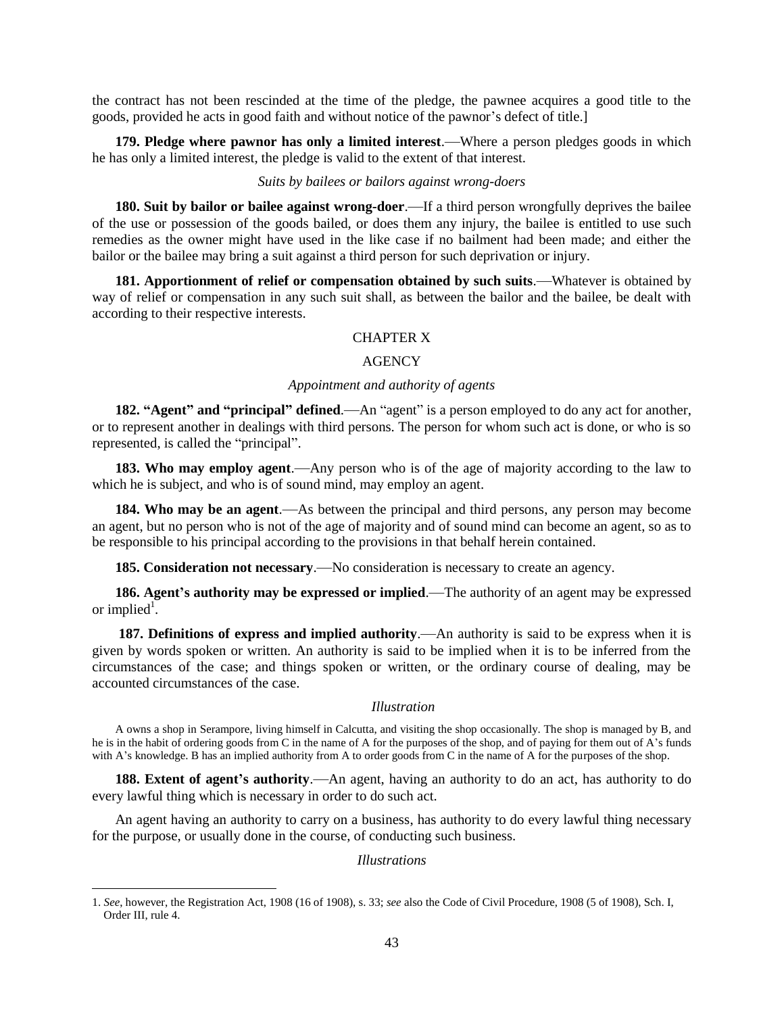the contract has not been rescinded at the time of the pledge, the pawnee acquires a good title to the goods, provided he acts in good faith and without notice of the pawnor"s defect of title.]

**179. Pledge where pawnor has only a limited interest**.—Where a person pledges goods in which he has only a limited interest, the pledge is valid to the extent of that interest.

### *Suits by bailees or bailors against wrong-doers*

**180. Suit by bailor or bailee against wrong-doer**.—If a third person wrongfully deprives the bailee of the use or possession of the goods bailed, or does them any injury, the bailee is entitled to use such remedies as the owner might have used in the like case if no bailment had been made; and either the bailor or the bailee may bring a suit against a third person for such deprivation or injury.

**181. Apportionment of relief or compensation obtained by such suits**.—Whatever is obtained by way of relief or compensation in any such suit shall, as between the bailor and the bailee, be dealt with according to their respective interests.

## CHAPTER X

## **AGENCY**

### *Appointment and authority of agents*

**182. "Agent" and "principal" defined**.—An "agent" is a person employed to do any act for another, or to represent another in dealings with third persons. The person for whom such act is done, or who is so represented, is called the "principal".

**183. Who may employ agent**.—Any person who is of the age of majority according to the law to which he is subject, and who is of sound mind, may employ an agent.

**184. Who may be an agent**.—As between the principal and third persons, any person may become an agent, but no person who is not of the age of majority and of sound mind can become an agent, so as to be responsible to his principal according to the provisions in that behalf herein contained.

**185. Consideration not necessary**.—No consideration is necessary to create an agency.

**186. Agent's authority may be expressed or implied**.—The authority of an agent may be expressed or implied<sup>1</sup>.

**187. Definitions of express and implied authority**.—An authority is said to be express when it is given by words spoken or written. An authority is said to be implied when it is to be inferred from the circumstances of the case; and things spoken or written, or the ordinary course of dealing, may be accounted circumstances of the case.

### *Illustration*

A owns a shop in Serampore, living himself in Calcutta, and visiting the shop occasionally. The shop is managed by B, and he is in the habit of ordering goods from C in the name of A for the purposes of the shop, and of paying for them out of A"s funds with A's knowledge. B has an implied authority from A to order goods from C in the name of A for the purposes of the shop.

**188. Extent of agent's authority**.—An agent, having an authority to do an act, has authority to do every lawful thing which is necessary in order to do such act.

An agent having an authority to carry on a business, has authority to do every lawful thing necessary for the purpose, or usually done in the course, of conducting such business.

## *Illustrations*

 $\overline{a}$ 

<sup>1.</sup> *See*, however, the Registration Act, 1908 (16 of 1908), s. 33; *see* also the Code of Civil Procedure, 1908 (5 of 1908), Sch. I, Order III, rule 4.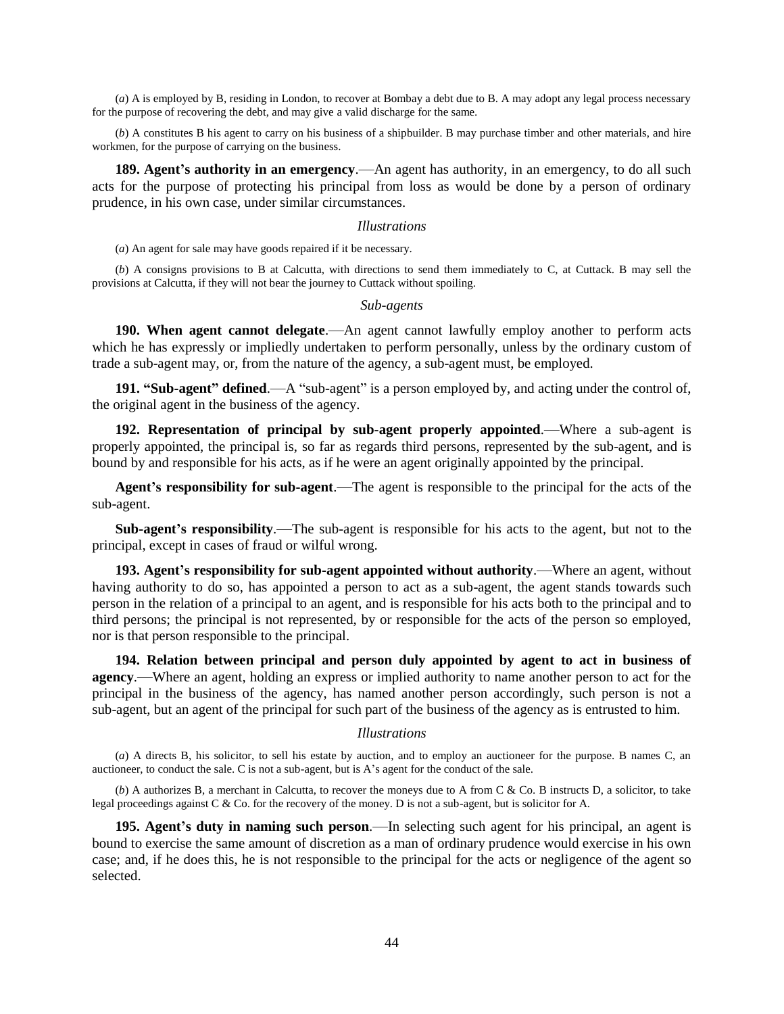(*a*) A is employed by B, residing in London, to recover at Bombay a debt due to B. A may adopt any legal process necessary for the purpose of recovering the debt, and may give a valid discharge for the same.

(*b*) A constitutes B his agent to carry on his business of a shipbuilder. B may purchase timber and other materials, and hire workmen, for the purpose of carrying on the business.

**189. Agent's authority in an emergency**.—An agent has authority, in an emergency, to do all such acts for the purpose of protecting his principal from loss as would be done by a person of ordinary prudence, in his own case, under similar circumstances.

#### *Illustrations*

(*a*) An agent for sale may have goods repaired if it be necessary.

(*b*) A consigns provisions to B at Calcutta, with directions to send them immediately to C, at Cuttack. B may sell the provisions at Calcutta, if they will not bear the journey to Cuttack without spoiling.

#### *Sub-agents*

**190. When agent cannot delegate**.—An agent cannot lawfully employ another to perform acts which he has expressly or impliedly undertaken to perform personally, unless by the ordinary custom of trade a sub-agent may, or, from the nature of the agency, a sub-agent must, be employed.

**191. "Sub-agent" defined**.—A "sub-agent" is a person employed by, and acting under the control of, the original agent in the business of the agency.

**192. Representation of principal by sub-agent properly appointed**.—Where a sub-agent is properly appointed, the principal is, so far as regards third persons, represented by the sub-agent, and is bound by and responsible for his acts, as if he were an agent originally appointed by the principal.

**Agent's responsibility for sub-agent**.—The agent is responsible to the principal for the acts of the sub-agent.

**Sub-agent's responsibility**.—The sub-agent is responsible for his acts to the agent, but not to the principal, except in cases of fraud or wilful wrong.

**193. Agent's responsibility for sub-agent appointed without authority**.—Where an agent, without having authority to do so, has appointed a person to act as a sub-agent, the agent stands towards such person in the relation of a principal to an agent, and is responsible for his acts both to the principal and to third persons; the principal is not represented, by or responsible for the acts of the person so employed, nor is that person responsible to the principal.

**194. Relation between principal and person duly appointed by agent to act in business of agency**.—Where an agent, holding an express or implied authority to name another person to act for the principal in the business of the agency, has named another person accordingly, such person is not a sub-agent, but an agent of the principal for such part of the business of the agency as is entrusted to him.

#### *Illustrations*

(*a*) A directs B, his solicitor, to sell his estate by auction, and to employ an auctioneer for the purpose. B names C, an auctioneer, to conduct the sale. C is not a sub-agent, but is A"s agent for the conduct of the sale.

(*b*) A authorizes B, a merchant in Calcutta, to recover the moneys due to A from C & Co. B instructs D, a solicitor, to take legal proceedings against C & Co. for the recovery of the money. D is not a sub-agent, but is solicitor for A.

**195. Agent's duty in naming such person**.—In selecting such agent for his principal, an agent is bound to exercise the same amount of discretion as a man of ordinary prudence would exercise in his own case; and, if he does this, he is not responsible to the principal for the acts or negligence of the agent so selected.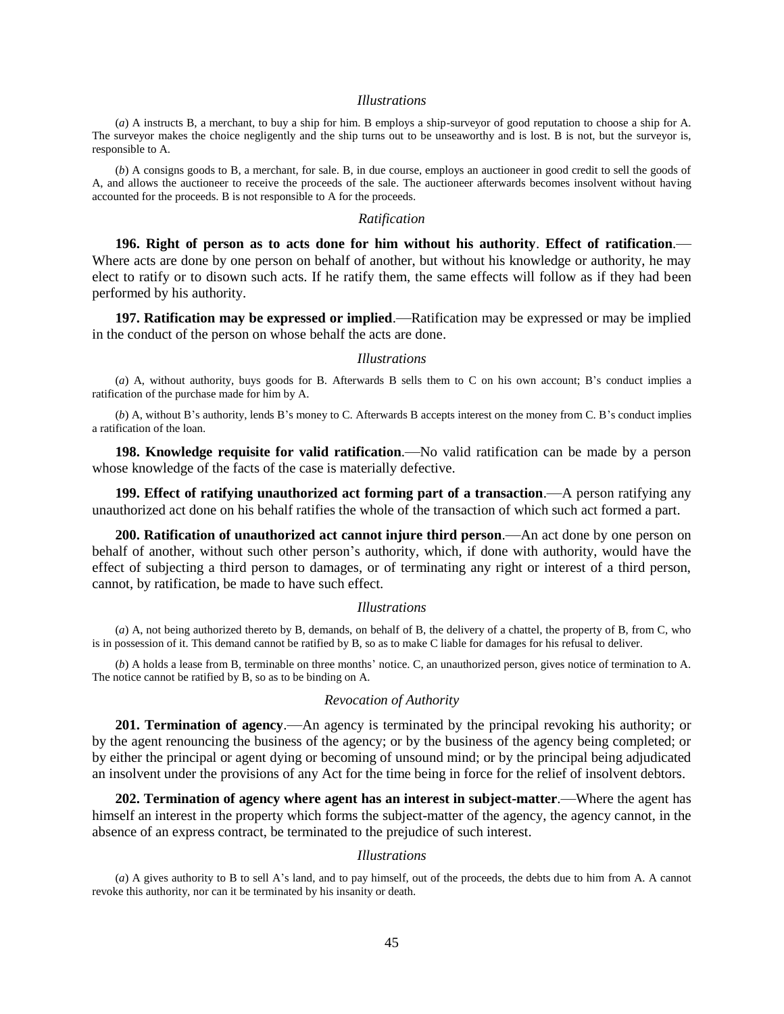#### *Illustrations*

(*a*) A instructs B, a merchant, to buy a ship for him. B employs a ship-surveyor of good reputation to choose a ship for A. The surveyor makes the choice negligently and the ship turns out to be unseaworthy and is lost. B is not, but the surveyor is, responsible to A.

(*b*) A consigns goods to B, a merchant, for sale. B, in due course, employs an auctioneer in good credit to sell the goods of A, and allows the auctioneer to receive the proceeds of the sale. The auctioneer afterwards becomes insolvent without having accounted for the proceeds. B is not responsible to A for the proceeds.

#### *Ratification*

**196. Right of person as to acts done for him without his authority**. **Effect of ratification**.— Where acts are done by one person on behalf of another, but without his knowledge or authority, he may elect to ratify or to disown such acts. If he ratify them, the same effects will follow as if they had been performed by his authority.

**197. Ratification may be expressed or implied**.—Ratification may be expressed or may be implied in the conduct of the person on whose behalf the acts are done.

#### *Illustrations*

(*a*) A, without authority, buys goods for B. Afterwards B sells them to C on his own account; B"s conduct implies a ratification of the purchase made for him by A.

(*b*) A, without B"s authority, lends B"s money to C. Afterwards B accepts interest on the money from C. B"s conduct implies a ratification of the loan.

**198. Knowledge requisite for valid ratification**.—No valid ratification can be made by a person whose knowledge of the facts of the case is materially defective.

**199. Effect of ratifying unauthorized act forming part of a transaction**.—A person ratifying any unauthorized act done on his behalf ratifies the whole of the transaction of which such act formed a part.

**200. Ratification of unauthorized act cannot injure third person**.—An act done by one person on behalf of another, without such other person"s authority, which, if done with authority, would have the effect of subjecting a third person to damages, or of terminating any right or interest of a third person, cannot, by ratification, be made to have such effect.

#### *Illustrations*

(*a*) A, not being authorized thereto by B, demands, on behalf of B, the delivery of a chattel, the property of B, from C, who is in possession of it. This demand cannot be ratified by B, so as to make C liable for damages for his refusal to deliver.

(*b*) A holds a lease from B, terminable on three months" notice. C, an unauthorized person, gives notice of termination to A. The notice cannot be ratified by B, so as to be binding on A.

#### *Revocation of Authority*

**201. Termination of agency**.—An agency is terminated by the principal revoking his authority; or by the agent renouncing the business of the agency; or by the business of the agency being completed; or by either the principal or agent dying or becoming of unsound mind; or by the principal being adjudicated an insolvent under the provisions of any Act for the time being in force for the relief of insolvent debtors.

**202. Termination of agency where agent has an interest in subject-matter**.—Where the agent has himself an interest in the property which forms the subject-matter of the agency, the agency cannot, in the absence of an express contract, be terminated to the prejudice of such interest.

#### *Illustrations*

(*a*) A gives authority to B to sell A"s land, and to pay himself, out of the proceeds, the debts due to him from A. A cannot revoke this authority, nor can it be terminated by his insanity or death.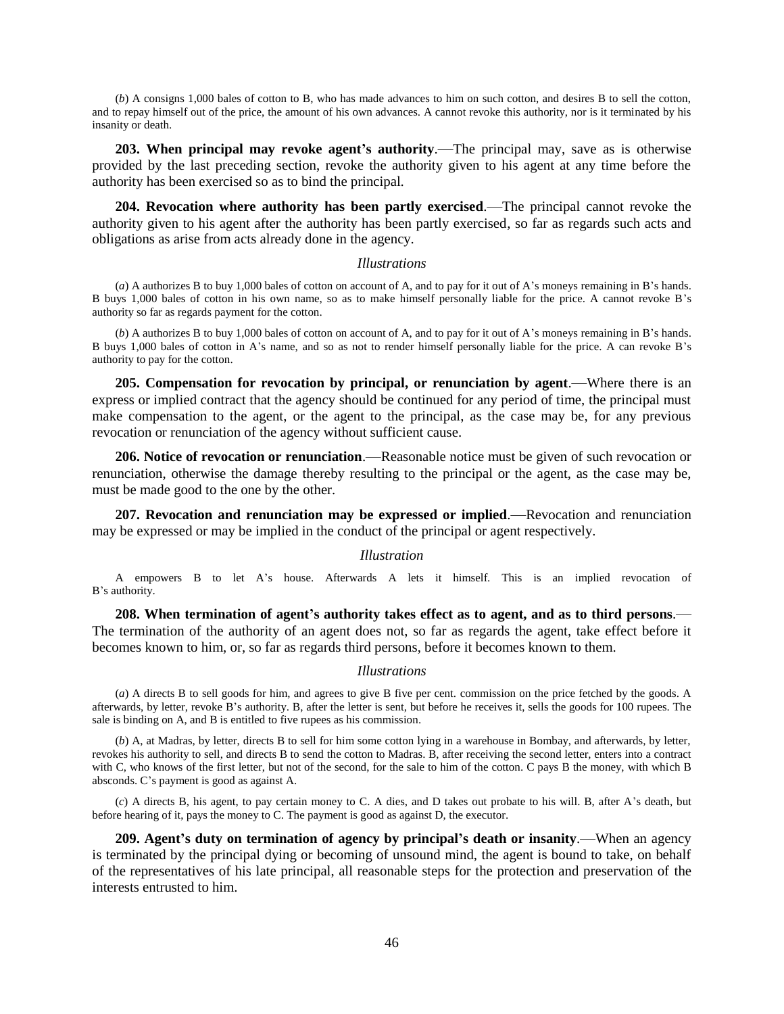(*b*) A consigns 1,000 bales of cotton to B, who has made advances to him on such cotton, and desires B to sell the cotton, and to repay himself out of the price, the amount of his own advances. A cannot revoke this authority, nor is it terminated by his insanity or death.

**203. When principal may revoke agent's authority**.—The principal may, save as is otherwise provided by the last preceding section, revoke the authority given to his agent at any time before the authority has been exercised so as to bind the principal.

**204. Revocation where authority has been partly exercised**.—The principal cannot revoke the authority given to his agent after the authority has been partly exercised, so far as regards such acts and obligations as arise from acts already done in the agency.

#### *Illustrations*

(*a*) A authorizes B to buy 1,000 bales of cotton on account of A, and to pay for it out of A"s moneys remaining in B"s hands. B buys 1,000 bales of cotton in his own name, so as to make himself personally liable for the price. A cannot revoke B"s authority so far as regards payment for the cotton.

(*b*) A authorizes B to buy 1,000 bales of cotton on account of A, and to pay for it out of A"s moneys remaining in B"s hands. B buys 1,000 bales of cotton in A"s name, and so as not to render himself personally liable for the price. A can revoke B"s authority to pay for the cotton.

**205. Compensation for revocation by principal, or renunciation by agent**.—Where there is an express or implied contract that the agency should be continued for any period of time, the principal must make compensation to the agent, or the agent to the principal, as the case may be, for any previous revocation or renunciation of the agency without sufficient cause.

**206. Notice of revocation or renunciation**.—Reasonable notice must be given of such revocation or renunciation, otherwise the damage thereby resulting to the principal or the agent, as the case may be, must be made good to the one by the other.

**207. Revocation and renunciation may be expressed or implied**.—Revocation and renunciation may be expressed or may be implied in the conduct of the principal or agent respectively.

### *Illustration*

A empowers B to let A"s house. Afterwards A lets it himself. This is an implied revocation of B"s authority.

**208. When termination of agent's authority takes effect as to agent, and as to third persons**.— The termination of the authority of an agent does not, so far as regards the agent, take effect before it becomes known to him, or, so far as regards third persons, before it becomes known to them.

#### *Illustrations*

(*a*) A directs B to sell goods for him, and agrees to give B five per cent. commission on the price fetched by the goods. A afterwards, by letter, revoke B"s authority. B, after the letter is sent, but before he receives it, sells the goods for 100 rupees. The sale is binding on A, and B is entitled to five rupees as his commission.

(*b*) A, at Madras, by letter, directs B to sell for him some cotton lying in a warehouse in Bombay, and afterwards, by letter, revokes his authority to sell, and directs B to send the cotton to Madras. B, after receiving the second letter, enters into a contract with C, who knows of the first letter, but not of the second, for the sale to him of the cotton. C pays B the money, with which B absconds. C"s payment is good as against A.

(*c*) A directs B, his agent, to pay certain money to C. A dies, and D takes out probate to his will. B, after A"s death, but before hearing of it, pays the money to C. The payment is good as against D, the executor.

**209. Agent's duty on termination of agency by principal's death or insanity**.—When an agency is terminated by the principal dying or becoming of unsound mind, the agent is bound to take, on behalf of the representatives of his late principal, all reasonable steps for the protection and preservation of the interests entrusted to him.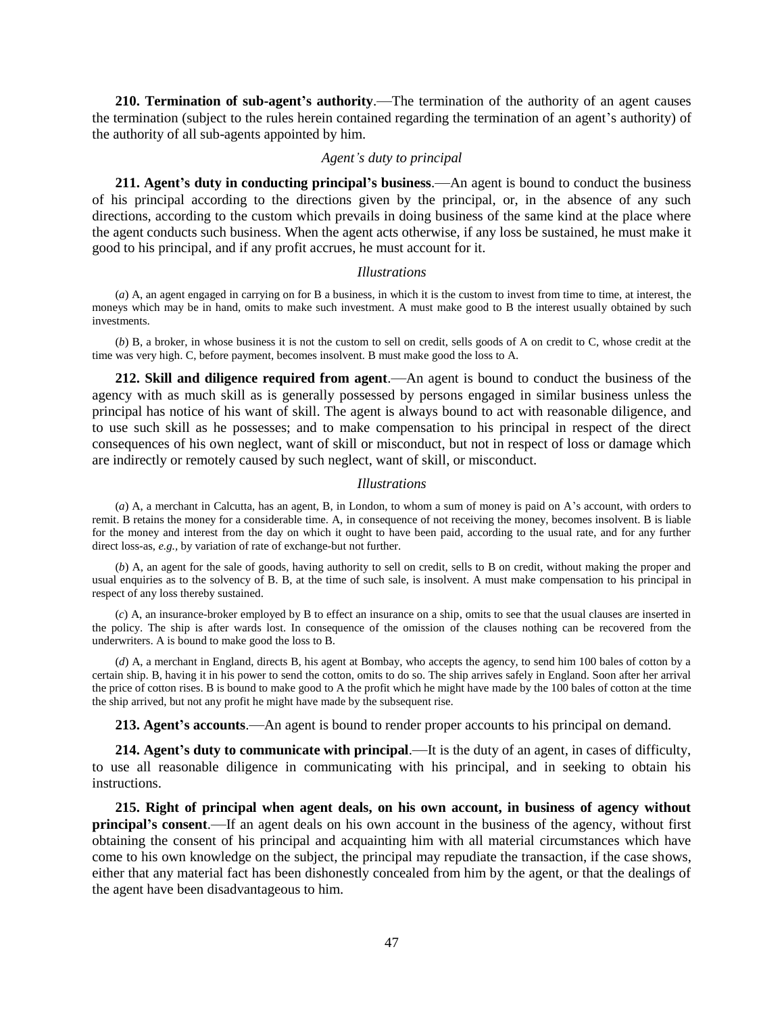**210. Termination of sub-agent's authority**.—The termination of the authority of an agent causes the termination (subject to the rules herein contained regarding the termination of an agent"s authority) of the authority of all sub-agents appointed by him.

### *Agent's duty to principal*

**211. Agent's duty in conducting principal's business**.—An agent is bound to conduct the business of his principal according to the directions given by the principal, or, in the absence of any such directions, according to the custom which prevails in doing business of the same kind at the place where the agent conducts such business. When the agent acts otherwise, if any loss be sustained, he must make it good to his principal, and if any profit accrues, he must account for it.

#### *Illustrations*

(*a*) A, an agent engaged in carrying on for B a business, in which it is the custom to invest from time to time, at interest, the moneys which may be in hand, omits to make such investment. A must make good to B the interest usually obtained by such investments.

(*b*) B, a broker, in whose business it is not the custom to sell on credit, sells goods of A on credit to C, whose credit at the time was very high. C, before payment, becomes insolvent. B must make good the loss to A.

**212. Skill and diligence required from agent**.—An agent is bound to conduct the business of the agency with as much skill as is generally possessed by persons engaged in similar business unless the principal has notice of his want of skill. The agent is always bound to act with reasonable diligence, and to use such skill as he possesses; and to make compensation to his principal in respect of the direct consequences of his own neglect, want of skill or misconduct, but not in respect of loss or damage which are indirectly or remotely caused by such neglect, want of skill, or misconduct.

#### *Illustrations*

(*a*) A, a merchant in Calcutta, has an agent, B, in London, to whom a sum of money is paid on A"s account, with orders to remit. B retains the money for a considerable time. A, in consequence of not receiving the money, becomes insolvent. B is liable for the money and interest from the day on which it ought to have been paid, according to the usual rate, and for any further direct loss-as, *e.g.,* by variation of rate of exchange-but not further.

(*b*) A, an agent for the sale of goods, having authority to sell on credit, sells to B on credit, without making the proper and usual enquiries as to the solvency of B. B, at the time of such sale, is insolvent. A must make compensation to his principal in respect of any loss thereby sustained.

(*c*) A, an insurance-broker employed by B to effect an insurance on a ship, omits to see that the usual clauses are inserted in the policy. The ship is after wards lost. In consequence of the omission of the clauses nothing can be recovered from the underwriters. A is bound to make good the loss to B.

(*d*) A, a merchant in England, directs B, his agent at Bombay, who accepts the agency, to send him 100 bales of cotton by a certain ship. B, having it in his power to send the cotton, omits to do so. The ship arrives safely in England. Soon after her arrival the price of cotton rises. B is bound to make good to A the profit which he might have made by the 100 bales of cotton at the time the ship arrived, but not any profit he might have made by the subsequent rise.

**213. Agent's accounts**.—An agent is bound to render proper accounts to his principal on demand.

**214. Agent's duty to communicate with principal**.—It is the duty of an agent, in cases of difficulty, to use all reasonable diligence in communicating with his principal, and in seeking to obtain his instructions.

**215. Right of principal when agent deals, on his own account, in business of agency without principal's consent**.—If an agent deals on his own account in the business of the agency, without first obtaining the consent of his principal and acquainting him with all material circumstances which have come to his own knowledge on the subject, the principal may repudiate the transaction, if the case shows, either that any material fact has been dishonestly concealed from him by the agent, or that the dealings of the agent have been disadvantageous to him.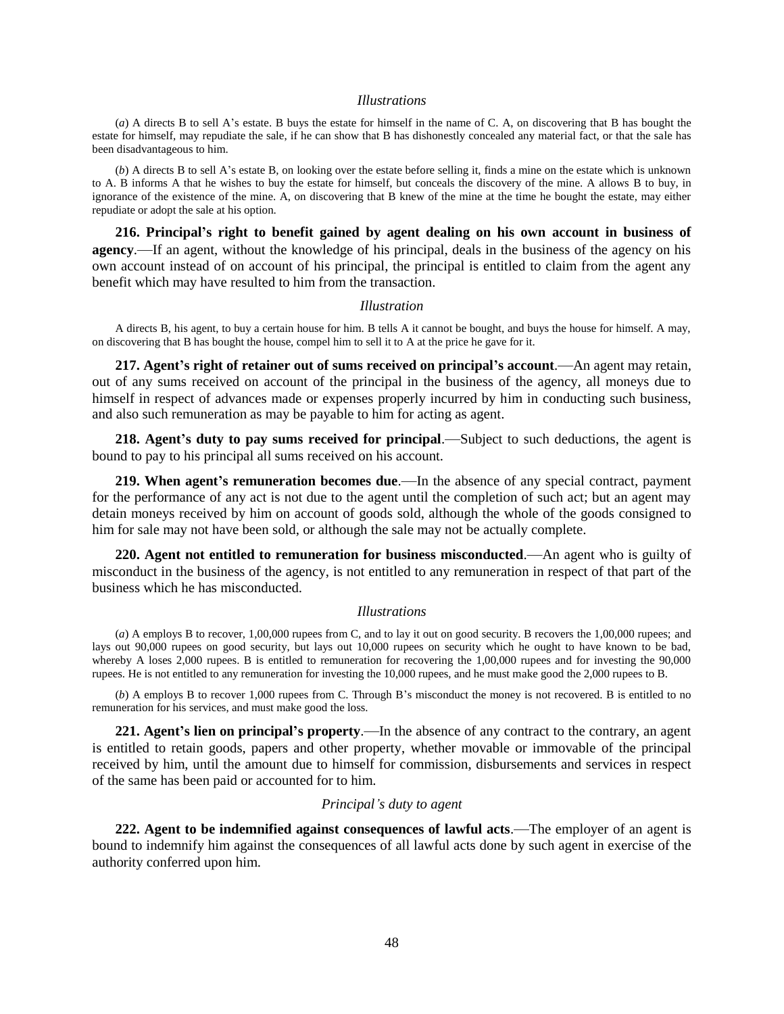#### *Illustrations*

(*a*) A directs B to sell A"s estate. B buys the estate for himself in the name of C. A, on discovering that B has bought the estate for himself, may repudiate the sale, if he can show that B has dishonestly concealed any material fact, or that the sale has been disadvantageous to him.

(*b*) A directs B to sell A"s estate B, on looking over the estate before selling it, finds a mine on the estate which is unknown to A. B informs A that he wishes to buy the estate for himself, but conceals the discovery of the mine. A allows B to buy, in ignorance of the existence of the mine. A, on discovering that B knew of the mine at the time he bought the estate, may either repudiate or adopt the sale at his option.

**216. Principal's right to benefit gained by agent dealing on his own account in business of agency**.—If an agent, without the knowledge of his principal, deals in the business of the agency on his own account instead of on account of his principal, the principal is entitled to claim from the agent any benefit which may have resulted to him from the transaction.

#### *Illustration*

A directs B, his agent, to buy a certain house for him. B tells A it cannot be bought, and buys the house for himself. A may, on discovering that B has bought the house, compel him to sell it to A at the price he gave for it.

**217. Agent's right of retainer out of sums received on principal's account**.—An agent may retain, out of any sums received on account of the principal in the business of the agency, all moneys due to himself in respect of advances made or expenses properly incurred by him in conducting such business, and also such remuneration as may be payable to him for acting as agent.

**218. Agent's duty to pay sums received for principal**.—Subject to such deductions, the agent is bound to pay to his principal all sums received on his account.

**219. When agent's remuneration becomes due**.—In the absence of any special contract, payment for the performance of any act is not due to the agent until the completion of such act; but an agent may detain moneys received by him on account of goods sold, although the whole of the goods consigned to him for sale may not have been sold, or although the sale may not be actually complete.

**220. Agent not entitled to remuneration for business misconducted**.—An agent who is guilty of misconduct in the business of the agency, is not entitled to any remuneration in respect of that part of the business which he has misconducted.

#### *Illustrations*

(*a*) A employs B to recover, 1,00,000 rupees from C, and to lay it out on good security. B recovers the 1,00,000 rupees; and lays out 90,000 rupees on good security, but lays out 10,000 rupees on security which he ought to have known to be bad, whereby A loses 2,000 rupees. B is entitled to remuneration for recovering the 1,00,000 rupees and for investing the 90,000 rupees. He is not entitled to any remuneration for investing the 10,000 rupees, and he must make good the 2,000 rupees to B.

(*b*) A employs B to recover 1,000 rupees from C. Through B"s misconduct the money is not recovered. B is entitled to no remuneration for his services, and must make good the loss.

**221. Agent's lien on principal's property**.—In the absence of any contract to the contrary, an agent is entitled to retain goods, papers and other property, whether movable or immovable of the principal received by him, until the amount due to himself for commission, disbursements and services in respect of the same has been paid or accounted for to him.

## *Principal's duty to agent*

**222. Agent to be indemnified against consequences of lawful acts**.—The employer of an agent is bound to indemnify him against the consequences of all lawful acts done by such agent in exercise of the authority conferred upon him.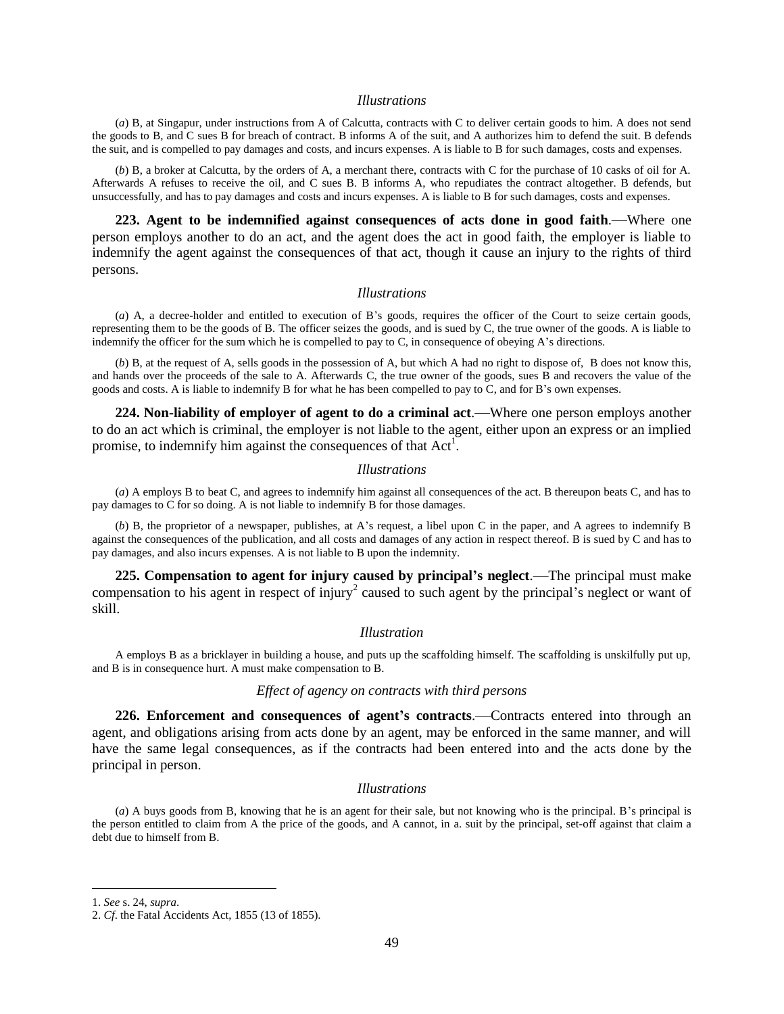#### *Illustrations*

(*a*) B, at Singapur, under instructions from A of Calcutta, contracts with C to deliver certain goods to him. A does not send the goods to B, and C sues B for breach of contract. B informs A of the suit, and A authorizes him to defend the suit. B defends the suit, and is compelled to pay damages and costs, and incurs expenses. A is liable to B for such damages, costs and expenses.

(*b*) B, a broker at Calcutta, by the orders of A, a merchant there, contracts with C for the purchase of 10 casks of oil for A. Afterwards A refuses to receive the oil, and C sues B. B informs A, who repudiates the contract altogether. B defends, but unsuccessfully, and has to pay damages and costs and incurs expenses. A is liable to B for such damages, costs and expenses.

**223. Agent to be indemnified against consequences of acts done in good faith**.—Where one person employs another to do an act, and the agent does the act in good faith, the employer is liable to indemnify the agent against the consequences of that act, though it cause an injury to the rights of third persons.

#### *Illustrations*

(*a*) A, a decree-holder and entitled to execution of B's goods, requires the officer of the Court to seize certain goods, representing them to be the goods of B. The officer seizes the goods, and is sued by C, the true owner of the goods. A is liable to indemnify the officer for the sum which he is compelled to pay to C, in consequence of obeying A"s directions.

(*b*) B, at the request of A, sells goods in the possession of A, but which A had no right to dispose of, B does not know this, and hands over the proceeds of the sale to A. Afterwards C, the true owner of the goods, sues B and recovers the value of the goods and costs. A is liable to indemnify B for what he has been compelled to pay to C, and for B"s own expenses.

**224. Non-liability of employer of agent to do a criminal act**.—Where one person employs another to do an act which is criminal, the employer is not liable to the agent, either upon an express or an implied promise, to indemnify him against the consequences of that  $Act^{\dagger}$ .

#### *Illustrations*

(*a*) A employs B to beat C, and agrees to indemnify him against all consequences of the act. B thereupon beats C, and has to pay damages to C for so doing. A is not liable to indemnify B for those damages.

(*b*) B, the proprietor of a newspaper, publishes, at A"s request, a libel upon C in the paper, and A agrees to indemnify B against the consequences of the publication, and all costs and damages of any action in respect thereof. B is sued by C and has to pay damages, and also incurs expenses. A is not liable to B upon the indemnity.

**225. Compensation to agent for injury caused by principal's neglect**.—The principal must make compensation to his agent in respect of injury<sup>2</sup> caused to such agent by the principal's neglect or want of skill.

#### *Illustration*

A employs B as a bricklayer in building a house, and puts up the scaffolding himself. The scaffolding is unskilfully put up, and B is in consequence hurt. A must make compensation to B.

### *Effect of agency on contracts with third persons*

**226. Enforcement and consequences of agent's contracts**.—Contracts entered into through an agent, and obligations arising from acts done by an agent, may be enforced in the same manner, and will have the same legal consequences, as if the contracts had been entered into and the acts done by the principal in person.

#### *Illustrations*

(*a*) A buys goods from B, knowing that he is an agent for their sale, but not knowing who is the principal. B"s principal is the person entitled to claim from A the price of the goods, and A cannot, in a. suit by the principal, set-off against that claim a debt due to himself from B.

1. *See* s. 24, *supra*.

 $\overline{a}$ 

<sup>2.</sup> *Cf*. the Fatal Accidents Act, 1855 (13 of 1855).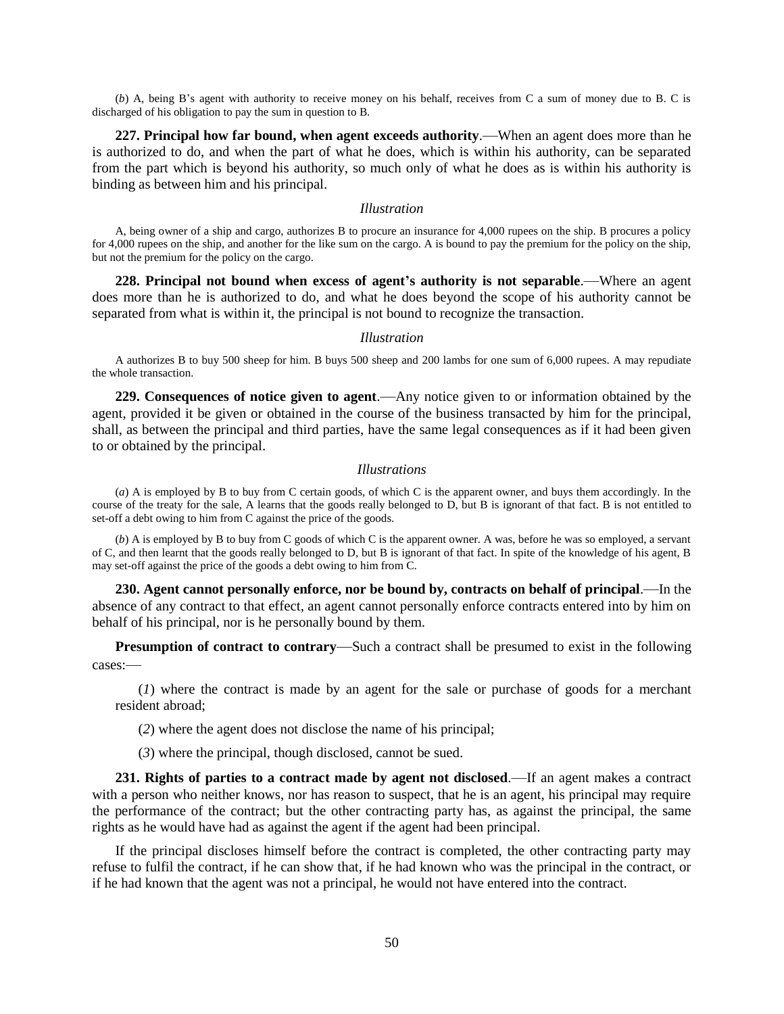(*b*) A, being B's agent with authority to receive money on his behalf, receives from C a sum of money due to B. C is discharged of his obligation to pay the sum in question to B.

**227. Principal how far bound, when agent exceeds authority**.—When an agent does more than he is authorized to do, and when the part of what he does, which is within his authority, can be separated from the part which is beyond his authority, so much only of what he does as is within his authority is binding as between him and his principal.

#### *Illustration*

A, being owner of a ship and cargo, authorizes B to procure an insurance for 4,000 rupees on the ship. B procures a policy for 4,000 rupees on the ship, and another for the like sum on the cargo. A is bound to pay the premium for the policy on the ship, but not the premium for the policy on the cargo.

**228. Principal not bound when excess of agent's authority is not separable**.—Where an agent does more than he is authorized to do, and what he does beyond the scope of his authority cannot be separated from what is within it, the principal is not bound to recognize the transaction.

#### *Illustration*

A authorizes B to buy 500 sheep for him. B buys 500 sheep and 200 lambs for one sum of 6,000 rupees. A may repudiate the whole transaction.

**229. Consequences of notice given to agent**.—Any notice given to or information obtained by the agent, provided it be given or obtained in the course of the business transacted by him for the principal, shall, as between the principal and third parties, have the same legal consequences as if it had been given to or obtained by the principal.

#### *Illustrations*

(*a*) A is employed by B to buy from C certain goods, of which C is the apparent owner, and buys them accordingly. In the course of the treaty for the sale, A learns that the goods really belonged to D, but B is ignorant of that fact. B is not entitled to set-off a debt owing to him from C against the price of the goods.

(*b*) A is employed by B to buy from C goods of which C is the apparent owner. A was, before he was so employed, a servant of C, and then learnt that the goods really belonged to D, but B is ignorant of that fact. In spite of the knowledge of his agent, B may set-off against the price of the goods a debt owing to him from C.

**230. Agent cannot personally enforce, nor be bound by, contracts on behalf of principal**.—In the absence of any contract to that effect, an agent cannot personally enforce contracts entered into by him on behalf of his principal, nor is he personally bound by them.

**Presumption of contract to contrary—Such a contract shall be presumed to exist in the following** cases:—

(*1*) where the contract is made by an agent for the sale or purchase of goods for a merchant resident abroad;

(*2*) where the agent does not disclose the name of his principal;

(*3*) where the principal, though disclosed, cannot be sued.

**231. Rights of parties to a contract made by agent not disclosed**.—If an agent makes a contract with a person who neither knows, nor has reason to suspect, that he is an agent, his principal may require the performance of the contract; but the other contracting party has, as against the principal, the same rights as he would have had as against the agent if the agent had been principal.

If the principal discloses himself before the contract is completed, the other contracting party may refuse to fulfil the contract, if he can show that, if he had known who was the principal in the contract, or if he had known that the agent was not a principal, he would not have entered into the contract.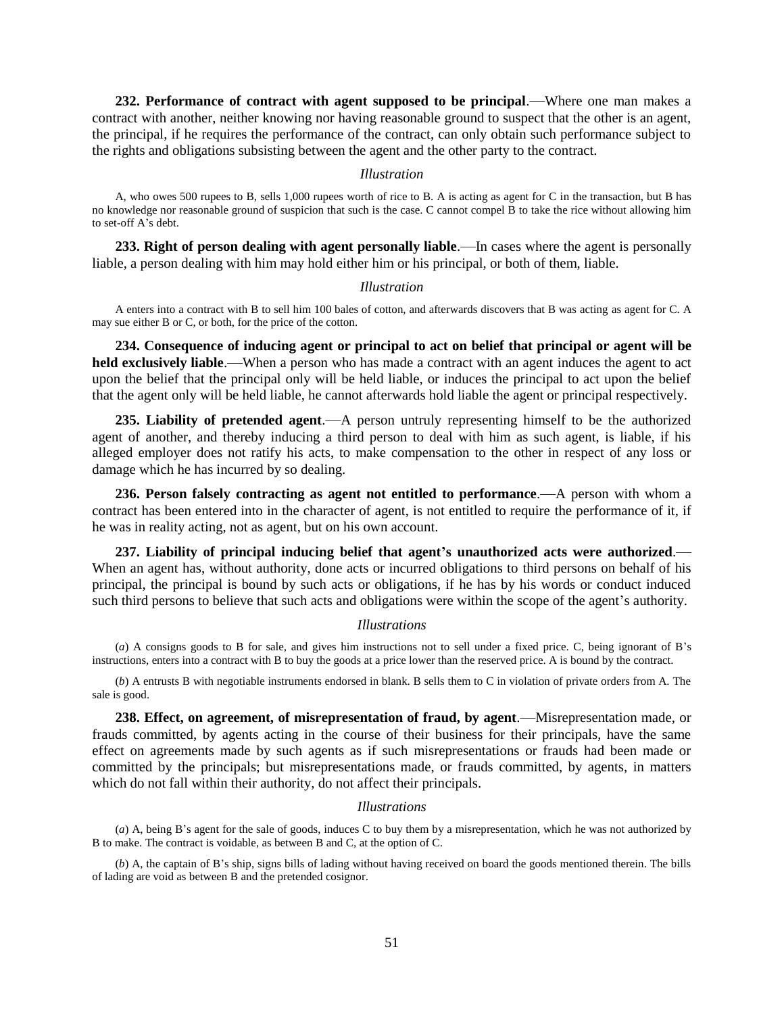**232. Performance of contract with agent supposed to be principal**.—Where one man makes a contract with another, neither knowing nor having reasonable ground to suspect that the other is an agent, the principal, if he requires the performance of the contract, can only obtain such performance subject to the rights and obligations subsisting between the agent and the other party to the contract.

#### *Illustration*

A, who owes 500 rupees to B, sells 1,000 rupees worth of rice to B. A is acting as agent for C in the transaction, but B has no knowledge nor reasonable ground of suspicion that such is the case. C cannot compel B to take the rice without allowing him to set-off A"s debt.

**233. Right of person dealing with agent personally liable**.—In cases where the agent is personally liable, a person dealing with him may hold either him or his principal, or both of them, liable.

#### *Illustration*

A enters into a contract with B to sell him 100 bales of cotton, and afterwards discovers that B was acting as agent for C. A may sue either B or C, or both, for the price of the cotton.

**234. Consequence of inducing agent or principal to act on belief that principal or agent will be held exclusively liable**.—When a person who has made a contract with an agent induces the agent to act upon the belief that the principal only will be held liable, or induces the principal to act upon the belief that the agent only will be held liable, he cannot afterwards hold liable the agent or principal respectively.

**235. Liability of pretended agent**.—A person untruly representing himself to be the authorized agent of another, and thereby inducing a third person to deal with him as such agent, is liable, if his alleged employer does not ratify his acts, to make compensation to the other in respect of any loss or damage which he has incurred by so dealing.

**236. Person falsely contracting as agent not entitled to performance**.—A person with whom a contract has been entered into in the character of agent, is not entitled to require the performance of it, if he was in reality acting, not as agent, but on his own account.

**237. Liability of principal inducing belief that agent's unauthorized acts were authorized**.— When an agent has, without authority, done acts or incurred obligations to third persons on behalf of his principal, the principal is bound by such acts or obligations, if he has by his words or conduct induced such third persons to believe that such acts and obligations were within the scope of the agent"s authority.

#### *Illustrations*

(*a*) A consigns goods to B for sale, and gives him instructions not to sell under a fixed price. C, being ignorant of B"s instructions, enters into a contract with B to buy the goods at a price lower than the reserved price. A is bound by the contract.

(*b*) A entrusts B with negotiable instruments endorsed in blank. B sells them to C in violation of private orders from A. The sale is good.

**238. Effect, on agreement, of misrepresentation of fraud, by agent**.—Misrepresentation made, or frauds committed, by agents acting in the course of their business for their principals, have the same effect on agreements made by such agents as if such misrepresentations or frauds had been made or committed by the principals; but misrepresentations made, or frauds committed, by agents, in matters which do not fall within their authority, do not affect their principals.

#### *Illustrations*

(*a*) A, being B"s agent for the sale of goods, induces C to buy them by a misrepresentation, which he was not authorized by B to make. The contract is voidable, as between B and C, at the option of C.

(*b*) A, the captain of B"s ship, signs bills of lading without having received on board the goods mentioned therein. The bills of lading are void as between B and the pretended cosignor.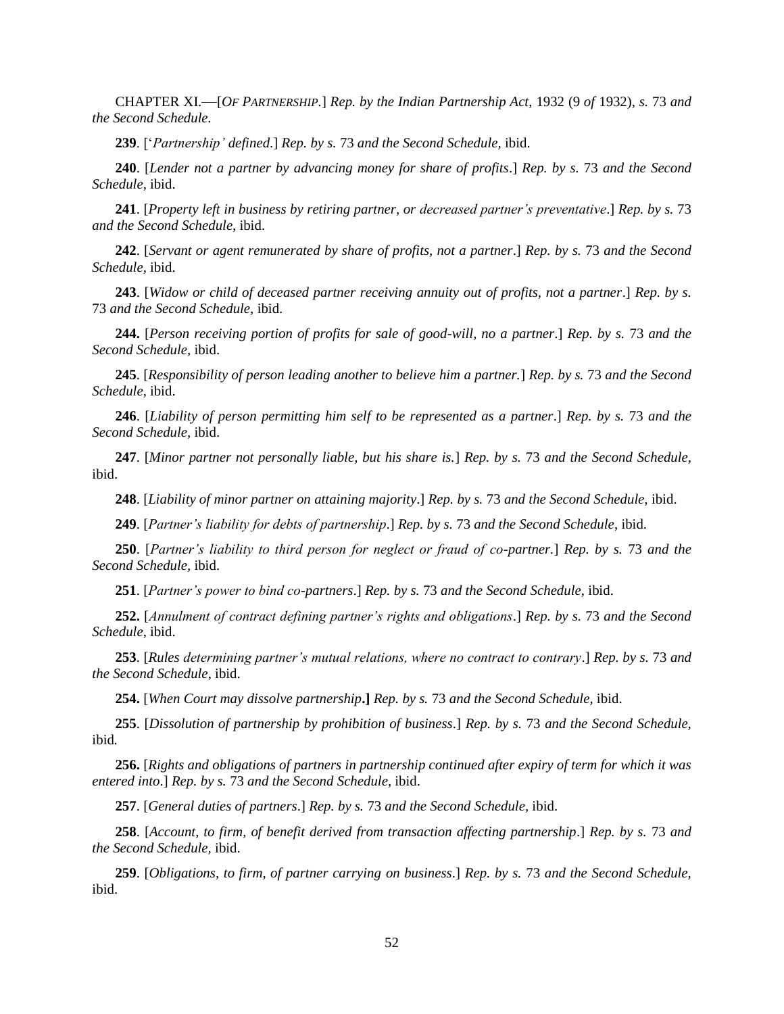CHAPTER XI.—[*OF PARTNERSHIP.*] *Rep. by the Indian Partnership Act*, 1932 (9 *of* 1932), *s.* 73 *and the Second Schedule.*

**239**. ["*Partnership' defined*.] *Rep. by s.* 73 *and the Second Schedule,* ibid.

**240**. [*Lender not a partner by advancing money for share of profits*.] *Rep. by s.* 73 *and the Second Schedule,* ibid.

**241**. [*Property left in business by retiring partner, or decreased partner's preventative*.] *Rep. by s.* 73 *and the Second Schedule*, ibid.

**242**. [*Servant or agent remunerated by share of profits, not a partner*.] *Rep. by s.* 73 *and the Second Schedule,* ibid.

**243**. [*Widow or child of deceased partner receiving annuity out of profits, not a partner*.] *Rep. by s.*  73 *and the Second Schedule,* ibid.

**244.** [*Person receiving portion of profits for sale of good-will, no a partner*.] *Rep. by s.* 73 *and the Second Schedule,* ibid.

**245**. [*Responsibility of person leading another to believe him a partner.*] *Rep. by s.* 73 *and the Second Schedule,* ibid.

**246**. [*Liability of person permitting him self to be represented as a partner*.] *Rep. by s.* 73 *and the Second Schedule,* ibid.

**247**. [*Minor partner not personally liable, but his share is.*] *Rep. by s.* 73 *and the Second Schedule,*  ibid.

**248**. [*Liability of minor partner on attaining majority*.] *Rep. by s.* 73 *and the Second Schedule,* ibid.

**249**. [*Partner's liability for debts of partnership*.] *Rep. by s.* 73 *and the Second Schedule*, ibid.

**250**. [*Partner's liability to third person for neglect or fraud of co-partner.*] *Rep. by s.* 73 *and the Second Schedule,* ibid.

**251**. [*Partner's power to bind co-partners*.] *Rep. by s.* 73 *and the Second Schedule,* ibid.

**252.** [*Annulment of contract defining partner's rights and obligations*.] *Rep. by s.* 73 *and the Second Schedule,* ibid.

**253**. [*Rules determining partner's mutual relations, where no contract to contrary*.] *Rep. by s.* 73 *and the Second Schedule*, ibid.

**254.** [*When Court may dissolve partnership***.]** *Rep. by s.* 73 *and the Second Schedule,* ibid.

**255**. [*Dissolution of partnership by prohibition of business*.] *Rep. by s.* 73 *and the Second Schedule,*  ibid*.*

**256.** [*Rights and obligations of partners in partnership continued after expiry of term for which it was entered into*.] *Rep. by s.* 73 *and the Second Schedule,* ibid.

**257**. [*General duties of partners*.] *Rep. by s.* 73 *and the Second Schedule,* ibid.

**258**. [*Account, to firm, of benefit derived from transaction affecting partnership*.] *Rep. by s.* 73 *and the Second Schedule,* ibid.

**259**. [*Obligations, to firm, of partner carrying on business*.] *Rep. by s.* 73 *and the Second Schedule,*  ibid.